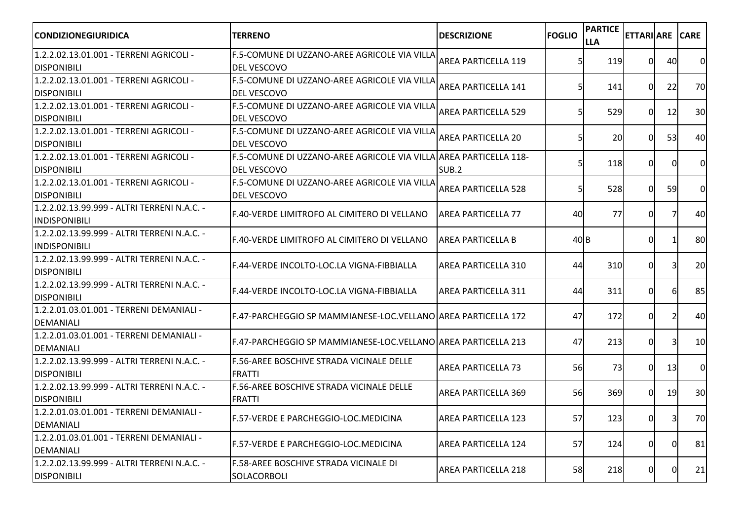| <b>CONDIZIONEGIURIDICA</b>                                           | <b>TERRENO</b>                                                                          | <b>DESCRIZIONE</b>         | <b>FOGLIO</b> | <b>PARTICE</b><br><b>LLA</b> | <b>ETTARIARE</b> |                | <b>CARE</b>     |
|----------------------------------------------------------------------|-----------------------------------------------------------------------------------------|----------------------------|---------------|------------------------------|------------------|----------------|-----------------|
| 1.2.2.02.13.01.001 - TERRENI AGRICOLI -<br><b>DISPONIBILI</b>        | F.5-COMUNE DI UZZANO-AREE AGRICOLE VIA VILLA<br><b>DEL VESCOVO</b>                      | <b>AREA PARTICELLA 119</b> |               | 119                          | 0                | 40             | 0               |
| 1.2.2.02.13.01.001 - TERRENI AGRICOLI -<br><b>DISPONIBILI</b>        | F.5-COMUNE DI UZZANO-AREE AGRICOLE VIA VILLA<br><b>DEL VESCOVO</b>                      | <b>AREA PARTICELLA 141</b> | 5             | 141                          | ΩI               | 22             | 70              |
| 1.2.2.02.13.01.001 - TERRENI AGRICOLI -<br><b>DISPONIBILI</b>        | F.5-COMUNE DI UZZANO-AREE AGRICOLE VIA VILLA<br><b>DEL VESCOVO</b>                      | <b>AREA PARTICELLA 529</b> | 5             | 529                          | ΩI               | 12             | 30 <sup>1</sup> |
| 1.2.2.02.13.01.001 - TERRENI AGRICOLI -<br><b>DISPONIBILI</b>        | F.5-COMUNE DI UZZANO-AREE AGRICOLE VIA VILLA<br><b>DEL VESCOVO</b>                      | <b>AREA PARTICELLA 20</b>  | 5             | <b>20</b>                    | ΩI               | 53             | 40              |
| 1.2.2.02.13.01.001 - TERRENI AGRICOLI -<br><b>IDISPONIBILI</b>       | F.5-COMUNE DI UZZANO-AREE AGRICOLE VIA VILLA AREA PARTICELLA 118-<br><b>DEL VESCOVO</b> | SUB <sub>.2</sub>          | 5             | 118                          | 0                | $\Omega$       | $\Omega$        |
| 1.2.2.02.13.01.001 - TERRENI AGRICOLI -<br><b>DISPONIBILI</b>        | F.5-COMUNE DI UZZANO-AREE AGRICOLE VIA VILLA<br><b>DEL VESCOVO</b>                      | <b>AREA PARTICELLA 528</b> | 5             | 528                          | ΟI               | 59             | $\overline{0}$  |
| 1.2.2.02.13.99.999 - ALTRI TERRENI N.A.C. -<br><b>INDISPONIBILI</b>  | F.40-VERDE LIMITROFO AL CIMITERO DI VELLANO                                             | <b>AREA PARTICELLA 77</b>  | 40            | 77                           | ΩI               | 7              | 40              |
| 11.2.2.02.13.99.999 - ALTRI TERRENI N.A.C. -<br><b>INDISPONIBILI</b> | IF.40-VERDE LIMITROFO AL CIMITERO DI VELLANO                                            | <b>AREA PARTICELLA B</b>   | 40B           |                              | $\Omega$         |                | 80              |
| 11.2.2.02.13.99.999 - ALTRI TERRENI N.A.C. -<br><b>DISPONIBILI</b>   | F.44-VERDE INCOLTO-LOC.LA VIGNA-FIBBIALLA                                               | <b>AREA PARTICELLA 310</b> | 44            | 310                          | ΩI               |                | 20              |
| 1.2.2.02.13.99.999 - ALTRI TERRENI N.A.C. -<br><b>DISPONIBILI</b>    | F.44-VERDE INCOLTO-LOC.LA VIGNA-FIBBIALLA                                               | <b>AREA PARTICELLA 311</b> | 44            | 311                          | ΩI               | 6              | 85              |
| 1.2.2.01.03.01.001 - TERRENI DEMANIALI -<br>DEMANIALI                | [F.47-PARCHEGGIO SP MAMMIANESE-LOC.VELLANO]AREA PARTICELLA 172                          |                            | 47            | 172                          | 0                | $\overline{2}$ | 40              |
| 1.2.2.01.03.01.001 - TERRENI DEMANIALI -<br>DEMANIALI                | [F.47-PARCHEGGIO SP MAMMIANESE-LOC.VELLANO]AREA PARTICELLA 213                          |                            | 47            | 213                          | ΟI               | 31             | 10              |
| 1.2.2.02.13.99.999 - ALTRI TERRENI N.A.C. -<br><b>DISPONIBILI</b>    | F.56-AREE BOSCHIVE STRADA VICINALE DELLE<br><b>FRATTI</b>                               | <b>AREA PARTICELLA 73</b>  | 56            | <b>73</b>                    | <sup>0</sup>     | 13             | $\overline{0}$  |
| 1.2.2.02.13.99.999 - ALTRI TERRENI N.A.C. -<br><b>DISPONIBILI</b>    | <b>F.56-AREE BOSCHIVE STRADA VICINALE DELLE</b><br><b>FRATTI</b>                        | <b>AREA PARTICELLA 369</b> | 56            | 369                          | $\Omega$         | 19             | 30 <sup>1</sup> |
| 1.2.2.01.03.01.001 - TERRENI DEMANIALI -<br>DEMANIALI                | F.57-VERDE E PARCHEGGIO-LOC.MEDICINA                                                    | <b>AREA PARTICELLA 123</b> | 57            | 123                          | υı               | 31             | 70              |
| 1.2.2.01.03.01.001 - TERRENI DEMANIALI -<br>DEMANIALI                | F.57-VERDE E PARCHEGGIO-LOC.MEDICINA                                                    | <b>AREA PARTICELLA 124</b> | 57            | 124                          | 0I               | $\Omega$       | 81              |
| 1.2.2.02.13.99.999 - ALTRI TERRENI N.A.C. -<br><b>DISPONIBILI</b>    | F.58-AREE BOSCHIVE STRADA VICINALE DI<br>SOLACORBOLI                                    | <b>AREA PARTICELLA 218</b> | 58            | 218                          | 01               | $\Omega$       | 21              |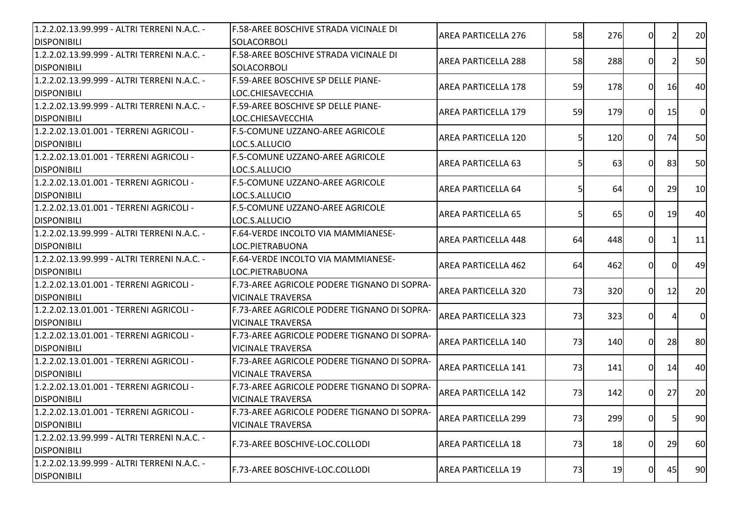| 1.2.2.02.13.99.999 - ALTRI TERRENI N.A.C. -<br><b>DISPONIBILI</b> | F.58-AREE BOSCHIVE STRADA VICINALE DI<br>SOLACORBOLI                    | <b>AREA PARTICELLA 276</b> | 58 | 276       | 0              |    | 20             |
|-------------------------------------------------------------------|-------------------------------------------------------------------------|----------------------------|----|-----------|----------------|----|----------------|
| 1.2.2.02.13.99.999 - ALTRI TERRENI N.A.C. -<br><b>DISPONIBILI</b> | F.58-AREE BOSCHIVE STRADA VICINALE DI<br>SOLACORBOLI                    | <b>AREA PARTICELLA 288</b> | 58 | 288       | 0              |    | 50             |
| 1.2.2.02.13.99.999 - ALTRI TERRENI N.A.C. -<br><b>DISPONIBILI</b> | <b>F.59-AREE BOSCHIVE SP DELLE PIANE-</b><br>LOC.CHIESAVECCHIA          | <b>AREA PARTICELLA 178</b> | 59 | 178       | ΩI             | 16 | 40             |
| 1.2.2.02.13.99.999 - ALTRI TERRENI N.A.C. -<br><b>DISPONIBILI</b> | <b>F.59-AREE BOSCHIVE SP DELLE PIANE-</b><br>LOC.CHIESAVECCHIA          | <b>AREA PARTICELLA 179</b> | 59 | 179       | ΟI             | 15 | $\overline{0}$ |
| 1.2.2.02.13.01.001 - TERRENI AGRICOLI -<br><b>DISPONIBILI</b>     | F.5-COMUNE UZZANO-AREE AGRICOLE<br>LOC.S.ALLUCIO                        | <b>AREA PARTICELLA 120</b> |    | 120       | $\Omega$       | 74 | 50             |
| 1.2.2.02.13.01.001 - TERRENI AGRICOLI -<br><b>DISPONIBILI</b>     | F.5-COMUNE UZZANO-AREE AGRICOLE<br>LOC.S.ALLUCIO                        | <b>AREA PARTICELLA 63</b>  | 5  | 63        | $\Omega$       | 83 | 50             |
| 1.2.2.02.13.01.001 - TERRENI AGRICOLI -<br><b>DISPONIBILI</b>     | F.5-COMUNE UZZANO-AREE AGRICOLE<br>LOC.S.ALLUCIO                        | <b>AREA PARTICELLA 64</b>  | 5  | 64        | $\Omega$       | 29 | 10             |
| 1.2.2.02.13.01.001 - TERRENI AGRICOLI -<br><b>DISPONIBILI</b>     | <b>F.5-COMUNE UZZANO-AREE AGRICOLE</b><br>LOC.S.ALLUCIO                 | <b>AREA PARTICELLA 65</b>  |    | <b>65</b> | 0              | 19 | 40             |
| 1.2.2.02.13.99.999 - ALTRI TERRENI N.A.C. -<br><b>DISPONIBILI</b> | F.64-VERDE INCOLTO VIA MAMMIANESE-<br>LOC.PIETRABUONA                   | <b>AREA PARTICELLA 448</b> | 64 | 448       | 0I             |    | 11             |
| 1.2.2.02.13.99.999 - ALTRI TERRENI N.A.C. -<br><b>DISPONIBILI</b> | <b>F.64-VERDE INCOLTO VIA MAMMIANESE-</b><br>LOC.PIETRABUONA            | <b>AREA PARTICELLA 462</b> | 64 | 462       | 0I             |    | 49             |
| 1.2.2.02.13.01.001 - TERRENI AGRICOLI -<br><b>DISPONIBILI</b>     | F.73-AREE AGRICOLE PODERE TIGNANO DI SOPRA-<br><b>VICINALE TRAVERSA</b> | <b>AREA PARTICELLA 320</b> | 73 | 320       | 0I             | 12 | 20             |
| 1.2.2.02.13.01.001 - TERRENI AGRICOLI -<br><b>DISPONIBILI</b>     | F.73-AREE AGRICOLE PODERE TIGNANO DI SOPRA-<br><b>VICINALE TRAVERSA</b> | <b>AREA PARTICELLA 323</b> | 73 | 323       | 0I             |    | $\overline{0}$ |
| 1.2.2.02.13.01.001 - TERRENI AGRICOLI -<br><b>DISPONIBILI</b>     | F.73-AREE AGRICOLE PODERE TIGNANO DI SOPRA-<br><b>VICINALE TRAVERSA</b> | <b>AREA PARTICELLA 140</b> | 73 | 140       | $\Omega$       | 28 | 80             |
| 1.2.2.02.13.01.001 - TERRENI AGRICOLI -<br><b>DISPONIBILI</b>     | F.73-AREE AGRICOLE PODERE TIGNANO DI SOPRA-<br><b>VICINALE TRAVERSA</b> | <b>AREA PARTICELLA 141</b> | 73 | 141       | $\Omega$       | 14 | 40             |
| 1.2.2.02.13.01.001 - TERRENI AGRICOLI -<br><b>DISPONIBILI</b>     | F.73-AREE AGRICOLE PODERE TIGNANO DI SOPRA-<br><b>VICINALE TRAVERSA</b> | <b>AREA PARTICELLA 142</b> | 73 | 142       | ΟI             | 27 | 20             |
| 1.2.2.02.13.01.001 - TERRENI AGRICOLI -<br><b>DISPONIBILI</b>     | F.73-AREE AGRICOLE PODERE TIGNANO DI SOPRA-<br><b>VICINALE TRAVERSA</b> | <b>AREA PARTICELLA 299</b> | 73 | 299       | ΟI             | 51 | 90             |
| 1.2.2.02.13.99.999 - ALTRI TERRENI N.A.C. -<br><b>DISPONIBILI</b> | F.73-AREE BOSCHIVE-LOC.COLLODI                                          | <b>AREA PARTICELLA 18</b>  | 73 | 18        | $\overline{0}$ | 29 | 60             |
| 1.2.2.02.13.99.999 - ALTRI TERRENI N.A.C. -<br><b>DISPONIBILI</b> | F.73-AREE BOSCHIVE-LOC.COLLODI                                          | <b>AREA PARTICELLA 19</b>  | 73 | 19        | $\overline{0}$ | 45 | 90             |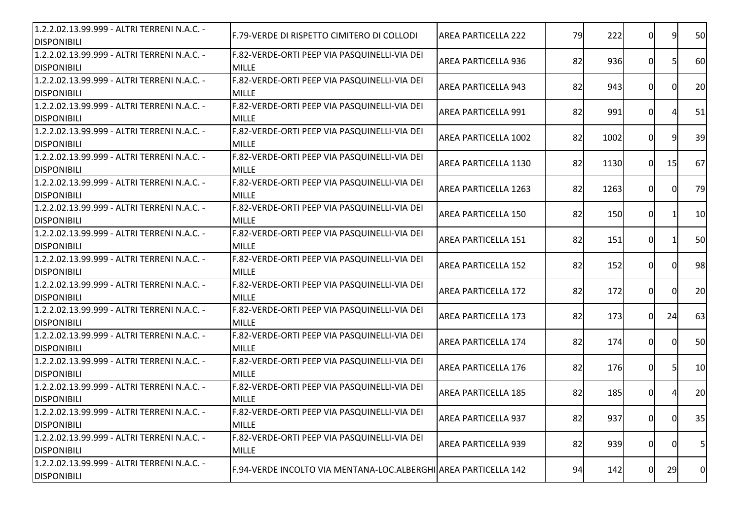| F.79-VERDE DI RISPETTO CIMITERO DI COLLODI                   | <b>AREA PARTICELLA 222</b>                                                                                                                                                                                   |                                                                                                                              | 222 |                                                                                                             |                                  | 50                                                                                                                                                                                                                                                                              |
|--------------------------------------------------------------|--------------------------------------------------------------------------------------------------------------------------------------------------------------------------------------------------------------|------------------------------------------------------------------------------------------------------------------------------|-----|-------------------------------------------------------------------------------------------------------------|----------------------------------|---------------------------------------------------------------------------------------------------------------------------------------------------------------------------------------------------------------------------------------------------------------------------------|
| F.82-VERDE-ORTI PEEP VIA PASQUINELLI-VIA DEI                 | AREA PARTICELLA 936                                                                                                                                                                                          | 82                                                                                                                           |     |                                                                                                             |                                  | 60                                                                                                                                                                                                                                                                              |
| F.82-VERDE-ORTI PEEP VIA PASQUINELLI-VIA DEI                 |                                                                                                                                                                                                              |                                                                                                                              |     |                                                                                                             |                                  | 20                                                                                                                                                                                                                                                                              |
|                                                              |                                                                                                                                                                                                              |                                                                                                                              |     |                                                                                                             |                                  |                                                                                                                                                                                                                                                                                 |
| <b>MILLE</b>                                                 | <b>AREA PARTICELLA 991</b>                                                                                                                                                                                   | 82                                                                                                                           | 991 |                                                                                                             |                                  | 51                                                                                                                                                                                                                                                                              |
| F.82-VERDE-ORTI PEEP VIA PASQUINELLI-VIA DEI                 |                                                                                                                                                                                                              |                                                                                                                              |     |                                                                                                             |                                  | 39                                                                                                                                                                                                                                                                              |
| <b>MILLE</b>                                                 |                                                                                                                                                                                                              |                                                                                                                              |     |                                                                                                             |                                  |                                                                                                                                                                                                                                                                                 |
| F.82-VERDE-ORTI PEEP VIA PASQUINELLI-VIA DEI<br><b>MILLE</b> | AREA PARTICELLA 1130                                                                                                                                                                                         |                                                                                                                              |     |                                                                                                             |                                  | 67                                                                                                                                                                                                                                                                              |
| F.82-VERDE-ORTI PEEP VIA PASQUINELLI-VIA DEI                 | <b>AREA PARTICELLA 1263</b>                                                                                                                                                                                  |                                                                                                                              |     |                                                                                                             |                                  | 79                                                                                                                                                                                                                                                                              |
| F.82-VERDE-ORTI PEEP VIA PASQUINELLI-VIA DEI                 | <b>AREA PARTICELLA 150</b>                                                                                                                                                                                   |                                                                                                                              |     |                                                                                                             |                                  | 10                                                                                                                                                                                                                                                                              |
| F.82-VERDE-ORTI PEEP VIA PASQUINELLI-VIA DEI                 | <b>AREA PARTICELLA 151</b>                                                                                                                                                                                   | 82                                                                                                                           | 151 |                                                                                                             |                                  | 50                                                                                                                                                                                                                                                                              |
| F.82-VERDE-ORTI PEEP VIA PASQUINELLI-VIA DEI                 | <b>AREA PARTICELLA 152</b>                                                                                                                                                                                   | 82                                                                                                                           | 152 |                                                                                                             |                                  | 98                                                                                                                                                                                                                                                                              |
| F.82-VERDE-ORTI PEEP VIA PASQUINELLI-VIA DEI                 | <b>AREA PARTICELLA 172</b>                                                                                                                                                                                   | 82                                                                                                                           |     |                                                                                                             |                                  | 20                                                                                                                                                                                                                                                                              |
| F.82-VERDE-ORTI PEEP VIA PASQUINELLI-VIA DEI                 | <b>AREA PARTICELLA 173</b>                                                                                                                                                                                   | 82                                                                                                                           |     |                                                                                                             |                                  | 63                                                                                                                                                                                                                                                                              |
| F.82-VERDE-ORTI PEEP VIA PASQUINELLI-VIA DEI<br><b>MILLE</b> | <b>AREA PARTICELLA 174</b>                                                                                                                                                                                   |                                                                                                                              |     |                                                                                                             |                                  | 50                                                                                                                                                                                                                                                                              |
| F.82-VERDE-ORTI PEEP VIA PASQUINELLI-VIA DEI<br><b>MILLE</b> | <b>AREA PARTICELLA 176</b>                                                                                                                                                                                   | 82                                                                                                                           |     |                                                                                                             |                                  | 10                                                                                                                                                                                                                                                                              |
| F.82-VERDE-ORTI PEEP VIA PASQUINELLI-VIA DEI<br><b>MILLE</b> | <b>AREA PARTICELLA 185</b>                                                                                                                                                                                   |                                                                                                                              |     |                                                                                                             |                                  | 20                                                                                                                                                                                                                                                                              |
| F.82-VERDE-ORTI PEEP VIA PASQUINELLI-VIA DEI                 | <b>AREA PARTICELLA 937</b>                                                                                                                                                                                   |                                                                                                                              | 937 |                                                                                                             |                                  | 35                                                                                                                                                                                                                                                                              |
| F.82-VERDE-ORTI PEEP VIA PASQUINELLI-VIA DEI                 | <b>AREA PARTICELLA 939</b>                                                                                                                                                                                   | 82                                                                                                                           | 939 |                                                                                                             |                                  | 5                                                                                                                                                                                                                                                                               |
|                                                              |                                                                                                                                                                                                              |                                                                                                                              |     |                                                                                                             |                                  | $\overline{0}$                                                                                                                                                                                                                                                                  |
|                                                              | <b>MILLE</b><br><b>MILLE</b><br>F.82-VERDE-ORTI PEEP VIA PASQUINELLI-VIA DEI<br><b>MILLE</b><br><b>MILLE</b><br><b>MILLE</b><br><b>MILLE</b><br><b>MILLE</b><br><b>MILLE</b><br><b>MILLE</b><br><b>MILLE</b> | <b>AREA PARTICELLA 943</b><br><b>AREA PARTICELLA 1002</b><br>F.94-VERDE INCOLTO VIA MENTANA-LOC.ALBERGHI AREA PARTICELLA 142 |     | 79<br>936<br>82<br>943<br>82<br>1002<br>82<br>82<br>1263<br>82<br>172<br>82<br>174<br>82<br>82<br>94<br>142 | 1130<br>150<br>173<br>176<br>185 | 0<br>9<br>$\overline{0}$<br>51<br>0<br>0I<br>0I<br>$\Omega$<br>q<br>15<br>0I<br>$\overline{0}$<br>0I<br>$\overline{0}$<br>0I<br>0I<br>$\overline{0}$<br>ΩI<br>$\Omega$<br>24<br>0<br>ΩI<br>$\overline{0}$<br>51<br>0<br>01<br>01<br>$\overline{0}$<br>0<br>$\overline{0}$<br>29 |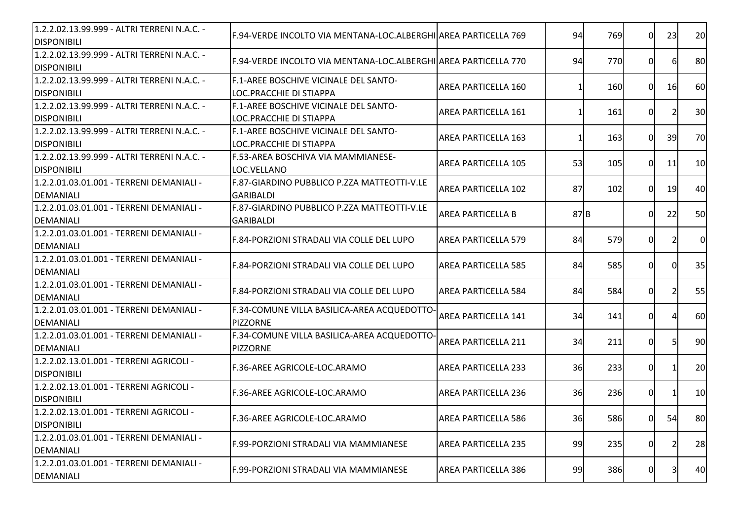|                                                                          |                            |                                                                                                                                                                                   |     |                                                                                         |                                                                                         | 20                                                                                                                                                                                                     |
|--------------------------------------------------------------------------|----------------------------|-----------------------------------------------------------------------------------------------------------------------------------------------------------------------------------|-----|-----------------------------------------------------------------------------------------|-----------------------------------------------------------------------------------------|--------------------------------------------------------------------------------------------------------------------------------------------------------------------------------------------------------|
|                                                                          |                            |                                                                                                                                                                                   |     |                                                                                         |                                                                                         | 80                                                                                                                                                                                                     |
| F.1-AREE BOSCHIVE VICINALE DEL SANTO-<br>LOC.PRACCHIE DI STIAPPA         | <b>AREA PARTICELLA 160</b> |                                                                                                                                                                                   |     |                                                                                         |                                                                                         | 60                                                                                                                                                                                                     |
| F.1-AREE BOSCHIVE VICINALE DEL SANTO-<br>LOC.PRACCHIE DI STIAPPA         | <b>AREA PARTICELLA 161</b> |                                                                                                                                                                                   | 161 |                                                                                         |                                                                                         | 30                                                                                                                                                                                                     |
| <b>IF.1-AREE BOSCHIVE VICINALE DEL SANTO-</b><br>LOC.PRACCHIE DI STIAPPA | <b>AREA PARTICELLA 163</b> |                                                                                                                                                                                   |     |                                                                                         |                                                                                         | 70                                                                                                                                                                                                     |
| F.53-AREA BOSCHIVA VIA MAMMIANESE-<br>LOC.VELLANO                        | <b>AREA PARTICELLA 105</b> |                                                                                                                                                                                   |     |                                                                                         | 11                                                                                      | 10                                                                                                                                                                                                     |
| F.87-GIARDINO PUBBLICO P.ZZA MATTEOTTI-V.LE<br><b>GARIBALDI</b>          | <b>AREA PARTICELLA 102</b> |                                                                                                                                                                                   | 102 |                                                                                         |                                                                                         | 40                                                                                                                                                                                                     |
| F.87-GIARDINO PUBBLICO P.ZZA MATTEOTTI-V.LE<br><b>GARIBALDI</b>          | <b>AREA PARTICELLA B</b>   |                                                                                                                                                                                   |     |                                                                                         |                                                                                         | 50                                                                                                                                                                                                     |
| F.84-PORZIONI STRADALI VIA COLLE DEL LUPO                                | <b>AREA PARTICELLA 579</b> |                                                                                                                                                                                   |     |                                                                                         |                                                                                         | $\overline{0}$                                                                                                                                                                                         |
| F.84-PORZIONI STRADALI VIA COLLE DEL LUPO                                | <b>AREA PARTICELLA 585</b> |                                                                                                                                                                                   |     |                                                                                         |                                                                                         | 35                                                                                                                                                                                                     |
| F.84-PORZIONI STRADALI VIA COLLE DEL LUPO                                | <b>AREA PARTICELLA 584</b> |                                                                                                                                                                                   |     |                                                                                         |                                                                                         | 55                                                                                                                                                                                                     |
| <b>PIZZORNE</b>                                                          | <b>AREA PARTICELLA 141</b> |                                                                                                                                                                                   | 141 |                                                                                         |                                                                                         | 60                                                                                                                                                                                                     |
| F.34-COMUNE VILLA BASILICA-AREA ACQUEDOTTO<br><b>PIZZORNE</b>            | <b>AREA PARTICELLA 211</b> |                                                                                                                                                                                   | 211 |                                                                                         |                                                                                         | 90                                                                                                                                                                                                     |
| F.36-AREE AGRICOLE-LOC.ARAMO                                             | <b>AREA PARTICELLA 233</b> |                                                                                                                                                                                   |     |                                                                                         |                                                                                         | 20                                                                                                                                                                                                     |
| F.36-AREE AGRICOLE-LOC.ARAMO                                             | <b>AREA PARTICELLA 236</b> |                                                                                                                                                                                   |     |                                                                                         |                                                                                         | 10                                                                                                                                                                                                     |
| F.36-AREE AGRICOLE-LOC.ARAMO                                             | <b>AREA PARTICELLA 586</b> |                                                                                                                                                                                   |     |                                                                                         |                                                                                         | 80                                                                                                                                                                                                     |
| F.99-PORZIONI STRADALI VIA MAMMIANESE                                    | <b>AREA PARTICELLA 235</b> |                                                                                                                                                                                   |     |                                                                                         | 2                                                                                       | 28                                                                                                                                                                                                     |
| F.99-PORZIONI STRADALI VIA MAMMIANESE                                    | <b>AREA PARTICELLA 386</b> |                                                                                                                                                                                   |     |                                                                                         |                                                                                         | 40                                                                                                                                                                                                     |
|                                                                          |                            | F.94-VERDE INCOLTO VIA MENTANA-LOC.ALBERGHI AREA PARTICELLA 769<br>F.94-VERDE INCOLTO VIA MENTANA-LOC.ALBERGHI AREA PARTICELLA 770<br>F.34-COMUNE VILLA BASILICA-AREA ACQUEDOTTO- |     | 94<br>94<br>53<br>87<br>87B<br>84<br>84<br>84<br>34<br>34<br>36<br>36<br>36<br>99<br>99 | 769<br>770<br>160<br>163<br>105<br>579<br>585<br>584<br>233<br>236<br>586<br>235<br>386 | $\Omega$<br>23<br>$\overline{0}$<br>6<br>16<br>ΟI<br>0<br>39<br>ΩL<br>0<br>$\overline{0}$<br>19<br>$\Omega$<br>22<br>0I<br>0<br>0<br>0I<br>0<br>51<br>$\overline{0}$<br>0I<br>01<br>54<br>0<br>01<br>3 |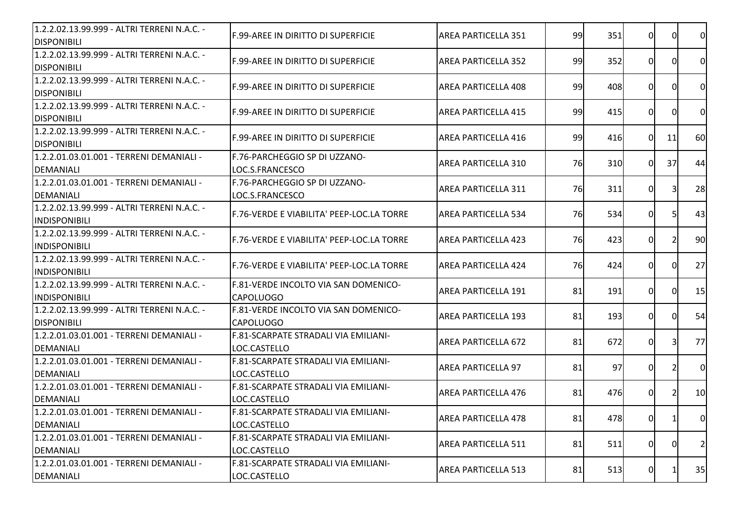| 1.2.2.02.13.99.999 - ALTRI TERRENI N.A.C. -<br><b>DISPONIBILI</b>   | <b>F.99-AREE IN DIRITTO DI SUPERFICIE</b>                | <b>AREA PARTICELLA 351</b> | 99 | 351 | $\Omega$       | ΩI                      | <sub>0</sub>   |
|---------------------------------------------------------------------|----------------------------------------------------------|----------------------------|----|-----|----------------|-------------------------|----------------|
| 1.2.2.02.13.99.999 - ALTRI TERRENI N.A.C. -<br><b>DISPONIBILI</b>   | F.99-AREE IN DIRITTO DI SUPERFICIE                       | <b>AREA PARTICELLA 352</b> | 99 | 352 | 0              | ΩI                      | $\overline{0}$ |
| 1.2.2.02.13.99.999 - ALTRI TERRENI N.A.C. -<br><b>DISPONIBILI</b>   | <b>F.99-AREE IN DIRITTO DI SUPERFICIE</b>                | <b>AREA PARTICELLA 408</b> | 99 | 408 | 0l             | ΩI                      | $\overline{0}$ |
| 1.2.2.02.13.99.999 - ALTRI TERRENI N.A.C. -<br><b>DISPONIBILI</b>   | F.99-AREE IN DIRITTO DI SUPERFICIE                       | <b>AREA PARTICELLA 415</b> | 99 | 415 | $\Omega$       | ΩI                      | <sub>0</sub>   |
| 1.2.2.02.13.99.999 - ALTRI TERRENI N.A.C. -<br><b>DISPONIBILI</b>   | F.99-AREE IN DIRITTO DI SUPERFICIE                       | <b>AREA PARTICELLA 416</b> | 99 | 416 | 0l             | 11                      | 60             |
| 1.2.2.01.03.01.001 - TERRENI DEMANIALI -<br><b>DEMANIALI</b>        | F.76-PARCHEGGIO SP DI UZZANO-<br>LOC.S.FRANCESCO         | AREA PARTICELLA 310        | 76 | 310 | $\Omega$       | 37                      | 44             |
| 1.2.2.01.03.01.001 - TERRENI DEMANIALI -<br><b>DEMANIALI</b>        | F.76-PARCHEGGIO SP DI UZZANO-<br>LOC.S.FRANCESCO         | AREA PARTICELLA 311        | 76 | 311 | 0              | $\overline{\mathbf{3}}$ | 28             |
| 1.2.2.02.13.99.999 - ALTRI TERRENI N.A.C. -<br><b>INDISPONIBILI</b> | F.76-VERDE E VIABILITA' PEEP-LOC.LA TORRE                | <b>AREA PARTICELLA 534</b> | 76 | 534 | 01             | 51                      | 43             |
| 1.2.2.02.13.99.999 - ALTRI TERRENI N.A.C. -<br><b>INDISPONIBILI</b> | F.76-VERDE E VIABILITA' PEEP-LOC.LA TORRE                | <b>AREA PARTICELLA 423</b> | 76 | 423 | 0              |                         | 90             |
| 1.2.2.02.13.99.999 - ALTRI TERRENI N.A.C. -<br><b>INDISPONIBILI</b> | F.76-VERDE E VIABILITA' PEEP-LOC.LA TORRE                | <b>AREA PARTICELLA 424</b> | 76 | 424 | 0l             | ΩI                      | 27             |
| 1.2.2.02.13.99.999 - ALTRI TERRENI N.A.C. -<br><b>INDISPONIBILI</b> | F.81-VERDE INCOLTO VIA SAN DOMENICO-<br><b>CAPOLUOGO</b> | AREA PARTICELLA 191        | 81 | 191 | $\Omega$       | ΩI                      | 15             |
| 1.2.2.02.13.99.999 - ALTRI TERRENI N.A.C. -<br><b>DISPONIBILI</b>   | F.81-VERDE INCOLTO VIA SAN DOMENICO-<br><b>CAPOLUOGO</b> | <b>AREA PARTICELLA 193</b> | 81 | 193 | $\Omega$       | $\Omega$                | 54             |
| 1.2.2.01.03.01.001 - TERRENI DEMANIALI -<br><b>DEMANIALI</b>        | F.81-SCARPATE STRADALI VIA EMILIANI-<br>LOC.CASTELLO     | <b>AREA PARTICELLA 672</b> | 81 | 672 | 0l             | 31                      | 77             |
| 1.2.2.01.03.01.001 - TERRENI DEMANIALI -<br><b>DEMANIALI</b>        | F.81-SCARPATE STRADALI VIA EMILIANI-<br>LOC.CASTELLO     | <b>AREA PARTICELLA 97</b>  | 81 | 97  | 0              | 21                      | $\overline{0}$ |
| 1.2.2.01.03.01.001 - TERRENI DEMANIALI -<br><b>DEMANIALI</b>        | F.81-SCARPATE STRADALI VIA EMILIANI-<br>LOC.CASTELLO     | <b>AREA PARTICELLA 476</b> | 81 | 476 | 0              | 21                      | 10             |
| 1.2.2.01.03.01.001 - TERRENI DEMANIALI -<br><b>DEMANIALI</b>        | F.81-SCARPATE STRADALI VIA EMILIANI-<br>LOC.CASTELLO     | AREA PARTICELLA 478        | 81 | 478 | <sub>0</sub>   | 1                       | 0              |
| 1.2.2.01.03.01.001 - TERRENI DEMANIALI -<br><b>DEMANIALI</b>        | F.81-SCARPATE STRADALI VIA EMILIANI-<br>LOC.CASTELLO     | AREA PARTICELLA 511        | 81 | 511 | $\overline{0}$ | $\Omega$                | 2              |
| 1.2.2.01.03.01.001 - TERRENI DEMANIALI -<br>DEMANIALI               | F.81-SCARPATE STRADALI VIA EMILIANI-<br>LOC.CASTELLO     | <b>AREA PARTICELLA 513</b> | 81 | 513 | 01             |                         | 35             |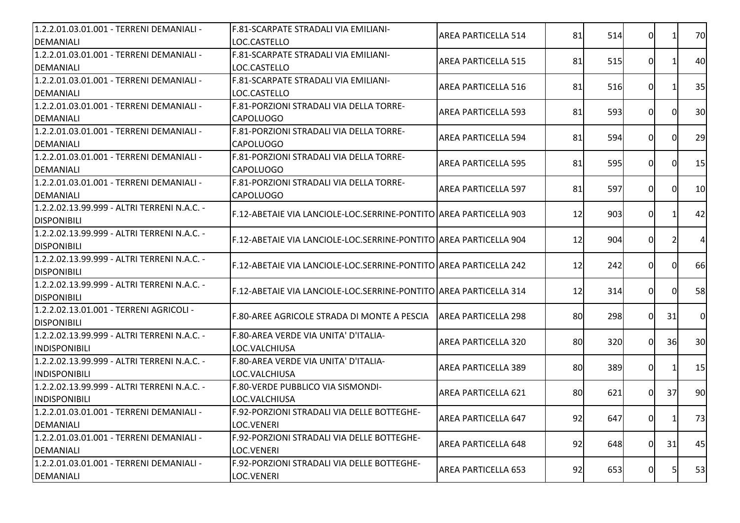| 1.2.2.01.03.01.001 - TERRENI DEMANIALI -    | F.81-SCARPATE STRADALI VIA EMILIANI-                                | <b>AREA PARTICELLA 514</b> | 81 | 514 | 0I             |          | 70             |
|---------------------------------------------|---------------------------------------------------------------------|----------------------------|----|-----|----------------|----------|----------------|
| DEMANIALI                                   | LOC.CASTELLO                                                        |                            |    |     |                |          |                |
| 1.2.2.01.03.01.001 - TERRENI DEMANIALI -    | F.81-SCARPATE STRADALI VIA EMILIANI-                                | <b>AREA PARTICELLA 515</b> | 81 | 515 | 0              |          | 40             |
| DEMANIALI                                   | LOC.CASTELLO                                                        |                            |    |     |                |          |                |
| 1.2.2.01.03.01.001 - TERRENI DEMANIALI -    | F.81-SCARPATE STRADALI VIA EMILIANI-                                | <b>AREA PARTICELLA 516</b> | 81 | 516 | 0I             |          | 35             |
| DEMANIALI                                   | LOC.CASTELLO                                                        |                            |    |     |                |          |                |
| 1.2.2.01.03.01.001 - TERRENI DEMANIALI -    | F.81-PORZIONI STRADALI VIA DELLA TORRE-                             | <b>AREA PARTICELLA 593</b> | 81 | 593 | 0I             | ΩI       | 30             |
| DEMANIALI                                   | <b>CAPOLUOGO</b>                                                    |                            |    |     |                |          |                |
| 1.2.2.01.03.01.001 - TERRENI DEMANIALI -    | lF.81-PORZIONI STRADALI VIA DELLA TORRE-                            | <b>AREA PARTICELLA 594</b> | 81 | 594 | $\Omega$       | $\Omega$ | 29             |
| <b>DEMANIALI</b>                            | <b>CAPOLUOGO</b>                                                    |                            |    |     |                |          |                |
| 1.2.2.01.03.01.001 - TERRENI DEMANIALI -    | F.81-PORZIONI STRADALI VIA DELLA TORRE-                             | <b>AREA PARTICELLA 595</b> | 81 | 595 | $\overline{0}$ | $\Omega$ | 15             |
| DEMANIALI                                   | <b>CAPOLUOGO</b>                                                    |                            |    |     |                |          |                |
| 1.2.2.01.03.01.001 - TERRENI DEMANIALI -    | F.81-PORZIONI STRADALI VIA DELLA TORRE-                             | <b>AREA PARTICELLA 597</b> | 81 | 597 | 0              | ΩI       | 10             |
| DEMANIALI                                   | <b>CAPOLUOGO</b>                                                    |                            |    |     |                |          |                |
| 1.2.2.02.13.99.999 - ALTRI TERRENI N.A.C. - | F.12-ABETAIE VIA LANCIOLE-LOC.SERRINE-PONTITO AREA PARTICELLA 903   |                            | 12 | 903 | 0I             |          | 42             |
| <b>DISPONIBILI</b>                          |                                                                     |                            |    |     |                |          |                |
| 1.2.2.02.13.99.999 - ALTRI TERRENI N.A.C. - | F.12-ABETAIE VIA LANCIOLE-LOC.SERRINE-PONTITO AREA PARTICELLA 904   |                            |    | 904 | 0              |          | $\overline{4}$ |
| <b>DISPONIBILI</b>                          |                                                                     |                            | 12 |     |                |          |                |
| 1.2.2.02.13.99.999 - ALTRI TERRENI N.A.C. - | F.12-ABETAIE VIA LANCIOLE-LOC.SERRINE-PONTITO AREA PARTICELLA 242   |                            |    |     |                |          | 66             |
| <b>DISPONIBILI</b>                          |                                                                     |                            | 12 | 242 | 0              |          |                |
| 1.2.2.02.13.99.999 - ALTRI TERRENI N.A.C. - | F.12-ABETAIE VIA LANCIOLE-LOC.SERRINE-PONTITO AREA PARTICELLA 314   |                            | 12 | 314 | $\Omega$       | $\Omega$ | 58             |
| <b>DISPONIBILI</b>                          |                                                                     |                            |    |     |                |          |                |
| 1.2.2.02.13.01.001 - TERRENI AGRICOLI -     |                                                                     |                            |    |     | $\Omega$       | 31       | $\overline{0}$ |
| <b>DISPONIBILI</b>                          | [F.80-AREE AGRICOLE STRADA DI MONTE A PESCIA    AREA PARTICELLA 298 |                            | 80 | 298 |                |          |                |
| 1.2.2.02.13.99.999 - ALTRI TERRENI N.A.C. - | F.80-AREA VERDE VIA UNITA' D'ITALIA-                                |                            |    | 320 | $\Omega$       | 36       | 30             |
| <b>INDISPONIBILI</b>                        | LOC.VALCHIUSA                                                       | <b>AREA PARTICELLA 320</b> | 80 |     |                |          |                |
| 1.2.2.02.13.99.999 - ALTRI TERRENI N.A.C. - | F.80-AREA VERDE VIA UNITA' D'ITALIA-                                |                            |    |     |                |          |                |
| <b>INDISPONIBILI</b>                        | LOC.VALCHIUSA                                                       | <b>AREA PARTICELLA 389</b> | 80 | 389 | $\overline{0}$ |          | 15             |
| 1.2.2.02.13.99.999 - ALTRI TERRENI N.A.C. - | F.80-VERDE PUBBLICO VIA SISMONDI-                                   |                            |    |     | 0I             |          |                |
| <b>INDISPONIBILI</b>                        | LOC.VALCHIUSA                                                       | <b>AREA PARTICELLA 621</b> | 80 | 621 |                | 37       | 90             |
| 1.2.2.01.03.01.001 - TERRENI DEMANIALI -    | F.92-PORZIONI STRADALI VIA DELLE BOTTEGHE-                          |                            |    |     |                |          |                |
| <b>DEMANIALI</b>                            | LOC.VENERI                                                          | AREA PARTICELLA 647        | 92 | 647 | 0              | 1        | 73 <b> </b>    |
| 1.2.2.01.03.01.001 - TERRENI DEMANIALI -    | F.92-PORZIONI STRADALI VIA DELLE BOTTEGHE-                          |                            |    |     |                |          |                |
| DEMANIALI                                   | LOC.VENERI                                                          | <b>AREA PARTICELLA 648</b> | 92 | 648 | 0I             | 31       | 45             |
| 1.2.2.01.03.01.001 - TERRENI DEMANIALI -    | F.92-PORZIONI STRADALI VIA DELLE BOTTEGHE-                          |                            |    |     |                |          |                |
| DEMANIALI                                   | LOC.VENERI                                                          | <b>AREA PARTICELLA 653</b> | 92 | 653 | 01             | 5        | 53             |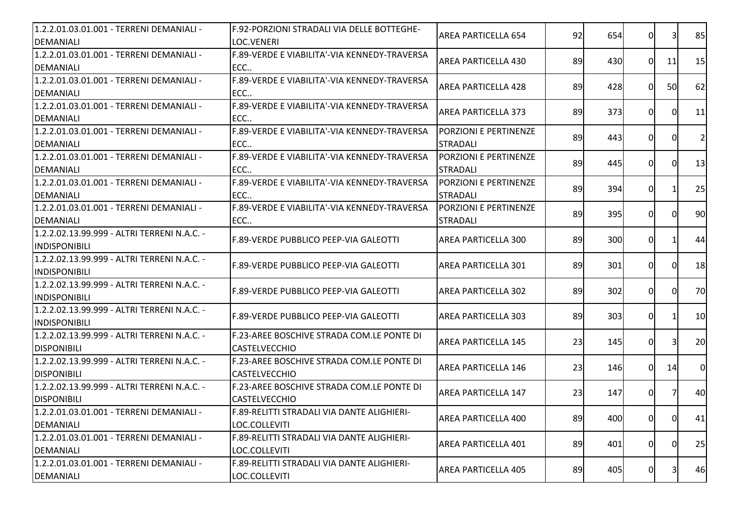| 1.2.2.01.03.01.001 - TERRENI DEMANIALI -<br><b>DEMANIALI</b>        | F.92-PORZIONI STRADALI VIA DELLE BOTTEGHE-<br>LOC.VENERI          | <b>AREA PARTICELLA 654</b>                       | 92 | 654 | 0              | 3  | 85             |
|---------------------------------------------------------------------|-------------------------------------------------------------------|--------------------------------------------------|----|-----|----------------|----|----------------|
| 1.2.2.01.03.01.001 - TERRENI DEMANIALI -<br><b>DEMANIALI</b>        | F.89-VERDE E VIABILITA'-VIA KENNEDY-TRAVERSA<br>ECC               | AREA PARTICELLA 430                              | 89 | 430 | 0I             | 11 | 15             |
| 1.2.2.01.03.01.001 - TERRENI DEMANIALI -<br><b>DEMANIALI</b>        | F.89-VERDE E VIABILITA'-VIA KENNEDY-TRAVERSA<br>ECC               | <b>AREA PARTICELLA 428</b>                       | 89 | 428 | ΩI             | 50 | 62             |
| 1.2.2.01.03.01.001 - TERRENI DEMANIALI -<br><b>DEMANIALI</b>        | F.89-VERDE E VIABILITA'-VIA KENNEDY-TRAVERSA<br>ECC               | <b>AREA PARTICELLA 373</b>                       | 89 | 373 | 0I             | 0  | 11             |
| 1.2.2.01.03.01.001 - TERRENI DEMANIALI -<br><b>DEMANIALI</b>        | <b>IF.89-VERDE E VIABILITA'-VIA KENNEDY-TRAVERSA</b><br>ECC       | <b>IPORZIONI E PERTINENZE</b><br><b>STRADALI</b> | 89 | 443 | $\Omega$       |    | $\overline{2}$ |
| 1.2.2.01.03.01.001 - TERRENI DEMANIALI -<br><b>DEMANIALI</b>        | F.89-VERDE E VIABILITA'-VIA KENNEDY-TRAVERSA<br>ECC               | <b>PORZIONI E PERTINENZE</b><br><b>STRADALI</b>  | 89 | 445 | 0              | ΩI | 13             |
| 1.2.2.01.03.01.001 - TERRENI DEMANIALI -<br><b>DEMANIALI</b>        | F.89-VERDE E VIABILITA'-VIA KENNEDY-TRAVERSA<br>ECC               | <b>PORZIONI E PERTINENZE</b><br><b>STRADALI</b>  | 89 | 394 | 0              |    | 25             |
| 1.2.2.01.03.01.001 - TERRENI DEMANIALI -<br><b>DEMANIALI</b>        | F.89-VERDE E VIABILITA'-VIA KENNEDY-TRAVERSA<br>ECC               | <b>PORZIONI E PERTINENZE</b><br><b>STRADALI</b>  | 89 | 395 | 0              | ΩI | 90             |
| 1.2.2.02.13.99.999 - ALTRI TERRENI N.A.C. -<br><b>INDISPONIBILI</b> | F.89-VERDE PUBBLICO PEEP-VIA GALEOTTI                             | AREA PARTICELLA 300                              | 89 | 300 | 0I             |    | 44             |
| 1.2.2.02.13.99.999 - ALTRI TERRENI N.A.C. -<br><b>INDISPONIBILI</b> | F.89-VERDE PUBBLICO PEEP-VIA GALEOTTI                             | <b>AREA PARTICELLA 301</b>                       | 89 | 301 | $\Omega$       |    | 18             |
| 1.2.2.02.13.99.999 - ALTRI TERRENI N.A.C. -<br><b>INDISPONIBILI</b> | F.89-VERDE PUBBLICO PEEP-VIA GALEOTTI                             | AREA PARTICELLA 302                              | 89 | 302 | 0I             | ΩI | 70             |
| 1.2.2.02.13.99.999 - ALTRI TERRENI N.A.C. -<br><b>INDISPONIBILI</b> | F.89-VERDE PUBBLICO PEEP-VIA GALEOTTI                             | <b>AREA PARTICELLA 303</b>                       | 89 | 303 | 0              |    | 10             |
| 1.2.2.02.13.99.999 - ALTRI TERRENI N.A.C. -<br><b>DISPONIBILI</b>   | F.23-AREE BOSCHIVE STRADA COM.LE PONTE DI<br><b>CASTELVECCHIO</b> | <b>AREA PARTICELLA 145</b>                       | 23 | 145 | 0              | 31 | 20             |
| 1.2.2.02.13.99.999 - ALTRI TERRENI N.A.C. -<br><b>DISPONIBILI</b>   | F.23-AREE BOSCHIVE STRADA COM.LE PONTE DI<br><b>CASTELVECCHIO</b> | <b>AREA PARTICELLA 146</b>                       | 23 | 146 | $\overline{0}$ | 14 | $\overline{0}$ |
| 1.2.2.02.13.99.999 - ALTRI TERRENI N.A.C. -<br><b>DISPONIBILI</b>   | F.23-AREE BOSCHIVE STRADA COM.LE PONTE DI<br><b>CASTELVECCHIO</b> | <b>AREA PARTICELLA 147</b>                       | 23 | 147 | 0I             |    | 40             |
| 1.2.2.01.03.01.001 - TERRENI DEMANIALI -<br><b>DEMANIALI</b>        | F.89-RELITTI STRADALI VIA DANTE ALIGHIERI-<br>LOC.COLLEVITI       | AREA PARTICELLA 400                              | 89 | 400 | 0I             | OI | 41             |
| 1.2.2.01.03.01.001 - TERRENI DEMANIALI -<br><b>DEMANIALI</b>        | F.89-RELITTI STRADALI VIA DANTE ALIGHIERI-<br>LOC.COLLEVITI       | AREA PARTICELLA 401                              | 89 | 401 | $\overline{0}$ | 0I | 25             |
| 1.2.2.01.03.01.001 - TERRENI DEMANIALI -<br>DEMANIALI               | F.89-RELITTI STRADALI VIA DANTE ALIGHIERI-<br>LOC.COLLEVITI       | <b>AREA PARTICELLA 405</b>                       | 89 | 405 | 0              | 3  | 46             |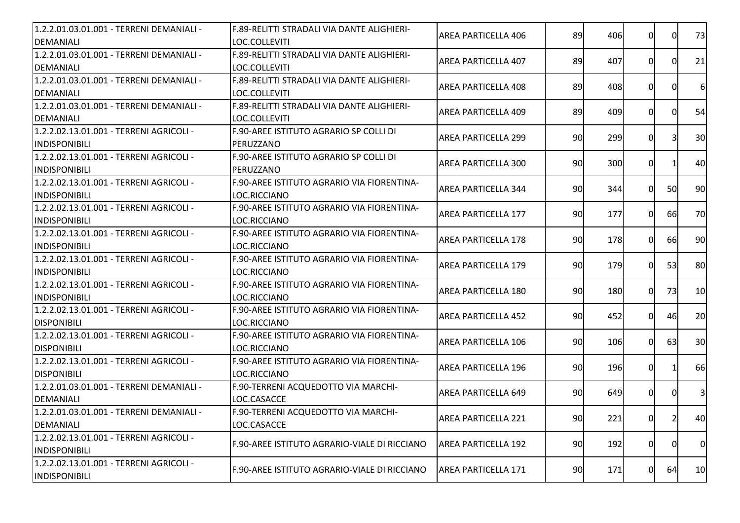| 1.2.2.01.03.01.001 - TERRENI DEMANIALI - | F.89-RELITTI STRADALI VIA DANTE ALIGHIERI-   | <b>AREA PARTICELLA 406</b> | 89 | 406 | 0              | 0I        | 73                      |
|------------------------------------------|----------------------------------------------|----------------------------|----|-----|----------------|-----------|-------------------------|
| DEMANIALI                                | LOC.COLLEVITI                                |                            |    |     |                |           |                         |
| 1.2.2.01.03.01.001 - TERRENI DEMANIALI - | F.89-RELITTI STRADALI VIA DANTE ALIGHIERI-   | <b>AREA PARTICELLA 407</b> | 89 | 407 | 0              | 0I        | 21                      |
| DEMANIALI                                | LOC.COLLEVITI                                |                            |    |     |                |           |                         |
| 1.2.2.01.03.01.001 - TERRENI DEMANIALI - | F.89-RELITTI STRADALI VIA DANTE ALIGHIERI-   | <b>AREA PARTICELLA 408</b> | 89 | 408 | 0              |           | 6                       |
| DEMANIALI                                | LOC.COLLEVITI                                |                            |    |     |                |           |                         |
| 1.2.2.01.03.01.001 - TERRENI DEMANIALI - | F.89-RELITTI STRADALI VIA DANTE ALIGHIERI-   | <b>AREA PARTICELLA 409</b> | 89 | 409 | 0I             | 0         | 54                      |
| DEMANIALI                                | LOC.COLLEVITI                                |                            |    |     |                |           |                         |
| 1.2.2.02.13.01.001 - TERRENI AGRICOLI -  | F.90-AREE ISTITUTO AGRARIO SP COLLI DI       | <b>AREA PARTICELLA 299</b> |    |     | $\Omega$       |           | 30                      |
| <b>INDISPONIBILI</b>                     | PERUZZANO                                    |                            | 90 | 299 |                |           |                         |
| 1.2.2.02.13.01.001 - TERRENI AGRICOLI -  | F.90-AREE ISTITUTO AGRARIO SP COLLI DI       |                            |    |     |                |           |                         |
| <b>INDISPONIBILI</b>                     | PERUZZANO                                    | <b>AREA PARTICELLA 300</b> | 90 | 300 | $\overline{0}$ |           | 40                      |
| 1.2.2.02.13.01.001 - TERRENI AGRICOLI -  | F.90-AREE ISTITUTO AGRARIO VIA FIORENTINA-   |                            |    |     |                |           |                         |
| <b>INDISPONIBILI</b>                     | LOC.RICCIANO                                 | <b>AREA PARTICELLA 344</b> | 90 | 344 | $\overline{0}$ | <b>50</b> | 90                      |
| 1.2.2.02.13.01.001 - TERRENI AGRICOLI -  | F.90-AREE ISTITUTO AGRARIO VIA FIORENTINA-   |                            |    |     |                |           |                         |
| <b>INDISPONIBILI</b>                     | LOC.RICCIANO                                 | <b>AREA PARTICELLA 177</b> | 90 | 177 | 0I             | <b>66</b> | 70                      |
| 1.2.2.02.13.01.001 - TERRENI AGRICOLI -  | F.90-AREE ISTITUTO AGRARIO VIA FIORENTINA-   |                            |    |     |                |           |                         |
| <b>INDISPONIBILI</b>                     | LOC.RICCIANO                                 | <b>AREA PARTICELLA 178</b> | 90 | 178 | ΟI             | 66        | 90                      |
| 1.2.2.02.13.01.001 - TERRENI AGRICOLI -  | F.90-AREE ISTITUTO AGRARIO VIA FIORENTINA-   |                            |    |     |                |           |                         |
| <b>INDISPONIBILI</b>                     | LOC.RICCIANO                                 | <b>AREA PARTICELLA 179</b> | 90 | 179 | ΩI             | 53        | 80                      |
| 1.2.2.02.13.01.001 - TERRENI AGRICOLI -  | F.90-AREE ISTITUTO AGRARIO VIA FIORENTINA-   |                            |    |     |                |           |                         |
| <b>INDISPONIBILI</b>                     | LOC.RICCIANO                                 | <b>AREA PARTICELLA 180</b> | 90 | 180 | $\Omega$       | 73        | 10                      |
| 1.2.2.02.13.01.001 - TERRENI AGRICOLI -  | F.90-AREE ISTITUTO AGRARIO VIA FIORENTINA-   |                            |    |     |                |           |                         |
| <b>DISPONIBILI</b>                       | LOC.RICCIANO                                 | AREA PARTICELLA 452        | 90 | 452 | $\Omega$       | 46        | 20                      |
| 1.2.2.02.13.01.001 - TERRENI AGRICOLI -  | F.90-AREE ISTITUTO AGRARIO VIA FIORENTINA-   |                            |    |     |                |           |                         |
| <b>DISPONIBILI</b>                       | LOC.RICCIANO                                 | <b>AREA PARTICELLA 106</b> | 90 | 106 | ΟI             | 63        | 30                      |
| 1.2.2.02.13.01.001 - TERRENI AGRICOLI -  | F.90-AREE ISTITUTO AGRARIO VIA FIORENTINA-   |                            |    |     |                |           |                         |
| <b>DISPONIBILI</b>                       | LOC.RICCIANO                                 | <b>AREA PARTICELLA 196</b> | 90 | 196 | $\overline{0}$ |           | 66                      |
| 1.2.2.01.03.01.001 - TERRENI DEMANIALI - | F.90-TERRENI ACQUEDOTTO VIA MARCHI-          |                            |    |     |                |           |                         |
| DEMANIALI                                | LOC.CASACCE                                  | <b>AREA PARTICELLA 649</b> | 90 | 649 | 0I             |           | $\overline{\mathbf{3}}$ |
| 1.2.2.01.03.01.001 - TERRENI DEMANIALI - | F.90-TERRENI ACQUEDOTTO VIA MARCHI-          |                            |    |     |                |           |                         |
| DEMANIALI                                | LOC.CASACCE                                  | AREA PARTICELLA 221        | 90 | 221 | 0              | 2         | 40                      |
| 1.2.2.02.13.01.001 - TERRENI AGRICOLI -  |                                              |                            |    |     |                |           |                         |
| INDISPONIBILI                            | F.90-AREE ISTITUTO AGRARIO-VIALE DI RICCIANO | <b>AREA PARTICELLA 192</b> | 90 | 192 | $\overline{0}$ | 0         | $\overline{0}$          |
| 1.2.2.02.13.01.001 - TERRENI AGRICOLI -  |                                              |                            |    |     |                |           |                         |
| <b>INDISPONIBILI</b>                     | F.90-AREE ISTITUTO AGRARIO-VIALE DI RICCIANO | AREA PARTICELLA 171        | 90 | 171 | $\overline{0}$ | 64        | 10                      |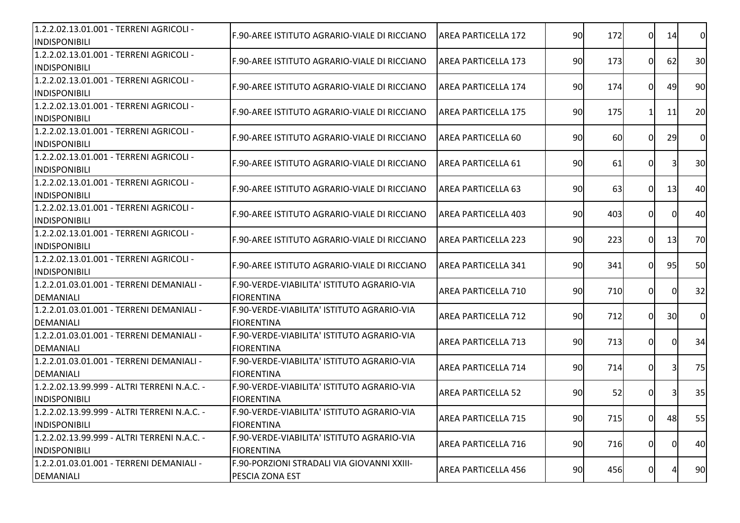| 1.2.2.02.13.01.001 - TERRENI AGRICOLI -<br>INDISPONIBILI            | F.90-AREE ISTITUTO AGRARIO-VIALE DI RICCIANO                    | AREA PARTICELLA 172        | 90 | 172       | $\Omega$       | 14 | $\overline{0}$ |
|---------------------------------------------------------------------|-----------------------------------------------------------------|----------------------------|----|-----------|----------------|----|----------------|
| 1.2.2.02.13.01.001 - TERRENI AGRICOLI -<br><b>INDISPONIBILI</b>     | F.90-AREE ISTITUTO AGRARIO-VIALE DI RICCIANO                    | IAREA PARTICELLA 173       | 90 | 173       | 0              | 62 | 30             |
| 1.2.2.02.13.01.001 - TERRENI AGRICOLI -<br><b>INDISPONIBILI</b>     | F.90-AREE ISTITUTO AGRARIO-VIALE DI RICCIANO                    | <b>AREA PARTICELLA 174</b> | 90 | 174       | 0I             | 49 | 90             |
| 1.2.2.02.13.01.001 - TERRENI AGRICOLI -<br><b>INDISPONIBILI</b>     | F.90-AREE ISTITUTO AGRARIO-VIALE DI RICCIANO                    | AREA PARTICELLA 175        | 90 | 175       | 11             | 11 | 20             |
| 1.2.2.02.13.01.001 - TERRENI AGRICOLI -<br><b>INDISPONIBILI</b>     | F.90-AREE ISTITUTO AGRARIO-VIALE DI RICCIANO                    | AREA PARTICELLA 60         | 90 | <b>60</b> | ΩI             | 29 | $\overline{0}$ |
| 1.2.2.02.13.01.001 - TERRENI AGRICOLI -<br><b>INDISPONIBILI</b>     | IF.90-AREE ISTITUTO AGRARIO-VIALE DI RICCIANO                   | IAREA PARTICELLA 61        | 90 | 61        | 0I             |    | 30             |
| 1.2.2.02.13.01.001 - TERRENI AGRICOLI -<br><b>INDISPONIBILI</b>     | F.90-AREE ISTITUTO AGRARIO-VIALE DI RICCIANO                    | <b>AREA PARTICELLA 63</b>  | 90 | 63        | $\Omega$       | 13 | 40             |
| 1.2.2.02.13.01.001 - TERRENI AGRICOLI -<br><b>INDISPONIBILI</b>     | F.90-AREE ISTITUTO AGRARIO-VIALE DI RICCIANO                    | <b>AREA PARTICELLA 403</b> | 90 | 403       | 0              | 0I | 40             |
| 1.2.2.02.13.01.001 - TERRENI AGRICOLI -<br><b>INDISPONIBILI</b>     | F.90-AREE ISTITUTO AGRARIO-VIALE DI RICCIANO                    | IAREA PARTICELLA 223       | 90 | 223       | $\Omega$       | 13 | 70             |
| 1.2.2.02.13.01.001 - TERRENI AGRICOLI -<br><b>INDISPONIBILI</b>     | IF.90-AREE ISTITUTO AGRARIO-VIALE DI RICCIANO                   | <b>AREA PARTICELLA 341</b> | 90 | 341       | 0              | 95 | 50             |
| 1.2.2.01.03.01.001 - TERRENI DEMANIALI -<br><b>DEMANIALI</b>        | F.90-VERDE-VIABILITA' ISTITUTO AGRARIO-VIA<br><b>FIORENTINA</b> | AREA PARTICELLA 710        | 90 | 710       | 0I             | 0  | 32             |
| 1.2.2.01.03.01.001 - TERRENI DEMANIALI -<br><b>DEMANIALI</b>        | F.90-VERDE-VIABILITA' ISTITUTO AGRARIO-VIA<br><b>FIORENTINA</b> | AREA PARTICELLA 712        | 90 | 712       | ΩI             | 30 | $\overline{0}$ |
| 1.2.2.01.03.01.001 - TERRENI DEMANIALI -<br><b>DEMANIALI</b>        | F.90-VERDE-VIABILITA' ISTITUTO AGRARIO-VIA<br><b>FIORENTINA</b> | <b>AREA PARTICELLA 713</b> | 90 | 713       | 0              | ΩI | 34             |
| 1.2.2.01.03.01.001 - TERRENI DEMANIALI -<br><b>DEMANIALI</b>        | F.90-VERDE-VIABILITA' ISTITUTO AGRARIO-VIA<br><b>FIORENTINA</b> | <b>AREA PARTICELLA 714</b> | 90 | 714       | $\overline{0}$ |    | 75             |
| 1.2.2.02.13.99.999 - ALTRI TERRENI N.A.C. -<br><b>INDISPONIBILI</b> | F.90-VERDE-VIABILITA' ISTITUTO AGRARIO-VIA<br><b>FIORENTINA</b> | <b>AREA PARTICELLA 52</b>  | 90 | 52        | 0              | 31 | 35             |
| 1.2.2.02.13.99.999 - ALTRI TERRENI N.A.C. -<br><b>INDISPONIBILI</b> | F.90-VERDE-VIABILITA' ISTITUTO AGRARIO-VIA<br><b>FIORENTINA</b> | <b>AREA PARTICELLA 715</b> | 90 | 715       | 01             | 48 | 55             |
| 1.2.2.02.13.99.999 - ALTRI TERRENI N.A.C. -<br><b>INDISPONIBILI</b> | F.90-VERDE-VIABILITA' ISTITUTO AGRARIO-VIA<br><b>FIORENTINA</b> | <b>AREA PARTICELLA 716</b> | 90 | 716       | 0I             | 0  | 40             |
| 1.2.2.01.03.01.001 - TERRENI DEMANIALI -<br>DEMANIALI               | F.90-PORZIONI STRADALI VIA GIOVANNI XXIII-<br>PESCIA ZONA EST   | <b>AREA PARTICELLA 456</b> | 90 | 456       | 0              |    | 90             |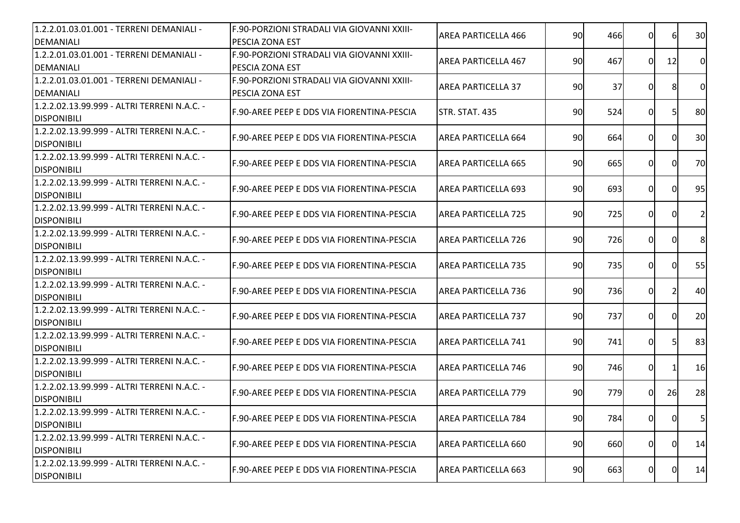| 1.2.2.01.03.01.001 - TERRENI DEMANIALI -                          | F.90-PORZIONI STRADALI VIA GIOVANNI XXIII-  | <b>AREA PARTICELLA 466</b> | 90 | 466 | $\overline{0}$ | 6        | 30             |
|-------------------------------------------------------------------|---------------------------------------------|----------------------------|----|-----|----------------|----------|----------------|
| <b>DEMANIALI</b>                                                  | PESCIA ZONA EST                             |                            |    |     |                |          |                |
| 1.2.2.01.03.01.001 - TERRENI DEMANIALI -                          | F.90-PORZIONI STRADALI VIA GIOVANNI XXIII-  | <b>AREA PARTICELLA 467</b> | 90 | 467 | 0I             | 12       | $\overline{0}$ |
| <b>DEMANIALI</b>                                                  | PESCIA ZONA EST                             |                            |    |     |                |          |                |
| 1.2.2.01.03.01.001 - TERRENI DEMANIALI -                          | F.90-PORZIONI STRADALI VIA GIOVANNI XXIII-  | <b>AREA PARTICELLA 37</b>  | 90 | 37  | 0              |          | $\overline{0}$ |
| <b>DEMANIALI</b>                                                  | <b>PESCIA ZONA EST</b>                      |                            |    |     |                |          |                |
| 1.2.2.02.13.99.999 - ALTRI TERRENI N.A.C. -<br><b>DISPONIBILI</b> | IF.90-AREE PEEP E DDS VIA FIORENTINA-PESCIA | STR. STAT. 435             | 90 | 524 | 0I             | 51       | 80             |
| 1.2.2.02.13.99.999 - ALTRI TERRENI N.A.C. -                       |                                             |                            |    |     |                |          |                |
| <b>DISPONIBILI</b>                                                | F.90-AREE PEEP E DDS VIA FIORENTINA-PESCIA  | <b>AREA PARTICELLA 664</b> | 90 | 664 | $\Omega$       | $\Omega$ | 30             |
| 1.2.2.02.13.99.999 - ALTRI TERRENI N.A.C. -                       |                                             |                            |    |     |                |          |                |
| <b>DISPONIBILI</b>                                                | F.90-AREE PEEP E DDS VIA FIORENTINA-PESCIA  | AREA PARTICELLA 665        | 90 | 665 | 0              | $\Omega$ | 70             |
| 1.2.2.02.13.99.999 - ALTRI TERRENI N.A.C. -                       |                                             |                            |    |     |                |          |                |
| <b>DISPONIBILI</b>                                                | F.90-AREE PEEP E DDS VIA FIORENTINA-PESCIA  | AREA PARTICELLA 693        | 90 | 693 | 0              | 0I       | 95             |
| 1.2.2.02.13.99.999 - ALTRI TERRENI N.A.C. -                       |                                             |                            |    |     |                |          |                |
| <b>DISPONIBILI</b>                                                | IF.90-AREE PEEP E DDS VIA FIORENTINA-PESCIA | IAREA PARTICELLA 725       | 90 | 725 | 0              | 0        | $\overline{2}$ |
| 1.2.2.02.13.99.999 - ALTRI TERRENI N.A.C. -                       |                                             |                            |    |     |                |          |                |
| <b>DISPONIBILI</b>                                                | F.90-AREE PEEP E DDS VIA FIORENTINA-PESCIA  | IAREA PARTICELLA 726       | 90 | 726 | $\Omega$       | 0        | 8              |
| 1.2.2.02.13.99.999 - ALTRI TERRENI N.A.C. -                       |                                             |                            |    |     |                |          |                |
| <b>DISPONIBILI</b>                                                | F.90-AREE PEEP E DDS VIA FIORENTINA-PESCIA  | <b>AREA PARTICELLA 735</b> | 90 | 735 | 0              |          | 55             |
| 1.2.2.02.13.99.999 - ALTRI TERRENI N.A.C. -                       |                                             |                            |    |     |                |          |                |
| <b>DISPONIBILI</b>                                                | IF.90-AREE PEEP E DDS VIA FIORENTINA-PESCIA | IAREA PARTICELLA 736       | 90 | 736 | $\Omega$       |          | 40             |
| 1.2.2.02.13.99.999 - ALTRI TERRENI N.A.C. -                       |                                             |                            |    |     |                |          |                |
| <b>DISPONIBILI</b>                                                | F.90-AREE PEEP E DDS VIA FIORENTINA-PESCIA  | <b>AREA PARTICELLA 737</b> | 90 | 737 | 0              | ΩI       | 20             |
| 1.2.2.02.13.99.999 - ALTRI TERRENI N.A.C. -                       |                                             |                            |    |     |                |          |                |
| <b>DISPONIBILI</b>                                                | F.90-AREE PEEP E DDS VIA FIORENTINA-PESCIA  | <b>AREA PARTICELLA 741</b> | 90 | 741 | 0              | 51       | 83             |
| 1.2.2.02.13.99.999 - ALTRI TERRENI N.A.C. -                       |                                             |                            |    |     |                |          |                |
| <b>DISPONIBILI</b>                                                | IF.90-AREE PEEP E DDS VIA FIORENTINA-PESCIA | <b>AREA PARTICELLA 746</b> | 90 | 746 | $\overline{0}$ |          | 16             |
| 1.2.2.02.13.99.999 - ALTRI TERRENI N.A.C. -                       |                                             |                            |    |     |                |          |                |
| <b>DISPONIBILI</b>                                                | IF.90-AREE PEEP E DDS VIA FIORENTINA-PESCIA | <b>AREA PARTICELLA 779</b> | 90 | 779 | 0              | 26       | 28             |
| 1.2.2.02.13.99.999 - ALTRI TERRENI N.A.C. -                       |                                             |                            |    |     |                |          |                |
| <b>DISPONIBILI</b>                                                | F.90-AREE PEEP E DDS VIA FIORENTINA-PESCIA  | IAREA PARTICELLA 784       | 90 | 784 | 0I             | 01       | $5 \mid$       |
| 1.2.2.02.13.99.999 - ALTRI TERRENI N.A.C. -                       |                                             |                            |    |     |                |          |                |
| <b>DISPONIBILI</b>                                                | F.90-AREE PEEP E DDS VIA FIORENTINA-PESCIA  | AREA PARTICELLA 660        | 90 | 660 | $\overline{0}$ | 01       | 14             |
| 1.2.2.02.13.99.999 - ALTRI TERRENI N.A.C. -                       |                                             |                            |    |     |                |          |                |
| <b>DISPONIBILI</b>                                                | F.90-AREE PEEP E DDS VIA FIORENTINA-PESCIA  | AREA PARTICELLA 663        | 90 | 663 | $\overline{0}$ | 0        | 14             |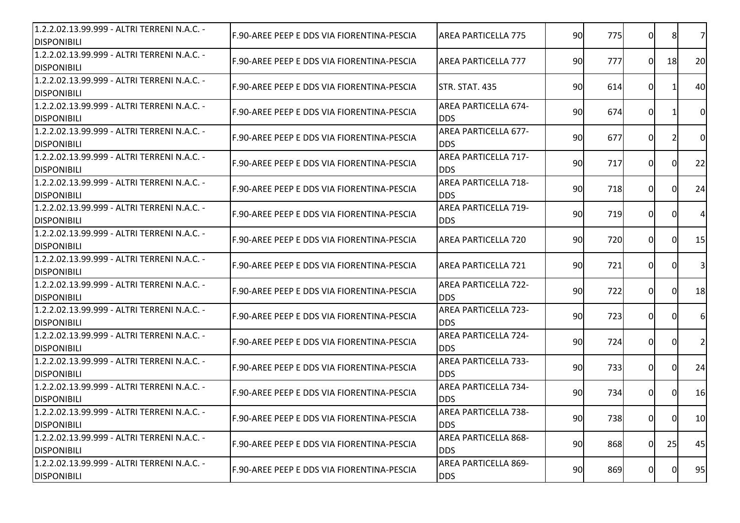| 1.2.2.02.13.99.999 - ALTRI TERRENI N.A.C. -<br><b>DISPONIBILI</b> | IF.90-AREE PEEP E DDS VIA FIORENTINA-PESCIA | <b>AREA PARTICELLA 775</b>                | 90 | 775 | $\Omega$     | 8        | 7 <sup>1</sup> |
|-------------------------------------------------------------------|---------------------------------------------|-------------------------------------------|----|-----|--------------|----------|----------------|
| 1.2.2.02.13.99.999 - ALTRI TERRENI N.A.C. -<br><b>DISPONIBILI</b> | IF.90-AREE PEEP E DDS VIA FIORENTINA-PESCIA | AREA PARTICELLA 777                       | 90 | 777 | $\Omega$     | 18       | 20             |
| 1.2.2.02.13.99.999 - ALTRI TERRENI N.A.C. -<br><b>DISPONIBILI</b> | F.90-AREE PEEP E DDS VIA FIORENTINA-PESCIA  | <b>STR. STAT. 435</b>                     | 90 | 614 | 0            |          | 40             |
| 1.2.2.02.13.99.999 - ALTRI TERRENI N.A.C. -<br><b>DISPONIBILI</b> | IF.90-AREE PEEP E DDS VIA FIORENTINA-PESCIA | <b>AREA PARTICELLA 674-</b><br><b>DDS</b> | 90 | 674 | 0            |          | $\overline{0}$ |
| 1.2.2.02.13.99.999 - ALTRI TERRENI N.A.C. -<br><b>DISPONIBILI</b> | IF.90-AREE PEEP E DDS VIA FIORENTINA-PESCIA | <b>AREA PARTICELLA 677-</b><br><b>DDS</b> | 90 | 677 | 0l           |          | <sub>0</sub>   |
| 1.2.2.02.13.99.999 - ALTRI TERRENI N.A.C. -<br><b>DISPONIBILI</b> | F.90-AREE PEEP E DDS VIA FIORENTINA-PESCIA  | <b>AREA PARTICELLA 717-</b><br><b>DDS</b> | 90 | 717 | $\Omega$     | ΩI       | 22             |
| 1.2.2.02.13.99.999 - ALTRI TERRENI N.A.C. -<br><b>DISPONIBILI</b> | F.90-AREE PEEP E DDS VIA FIORENTINA-PESCIA  | <b>AREA PARTICELLA 718-</b><br><b>DDS</b> | 90 | 718 | $\Omega$     | ΩI       | 24             |
| 1.2.2.02.13.99.999 - ALTRI TERRENI N.A.C. -<br><b>DISPONIBILI</b> | IF.90-AREE PEEP E DDS VIA FIORENTINA-PESCIA | <b>AREA PARTICELLA 719-</b><br><b>DDS</b> | 90 | 719 | 0            | $\Omega$ | $\overline{4}$ |
| 1.2.2.02.13.99.999 - ALTRI TERRENI N.A.C. -<br><b>DISPONIBILI</b> | IF.90-AREE PEEP E DDS VIA FIORENTINA-PESCIA | <b>AREA PARTICELLA 720</b>                | 90 | 720 | 0            | 0l       | 15             |
| 1.2.2.02.13.99.999 - ALTRI TERRENI N.A.C. -<br><b>DISPONIBILI</b> | IF.90-AREE PEEP E DDS VIA FIORENTINA-PESCIA | <b>AREA PARTICELLA 721</b>                | 90 | 721 | 0l           | ΩI       | 3 <sup>l</sup> |
| 1.2.2.02.13.99.999 - ALTRI TERRENI N.A.C. -<br><b>DISPONIBILI</b> | F.90-AREE PEEP E DDS VIA FIORENTINA-PESCIA  | <b>AREA PARTICELLA 722-</b><br><b>DDS</b> | 90 | 722 | $\Omega$     | ΩI       | 18             |
| 1.2.2.02.13.99.999 - ALTRI TERRENI N.A.C. -<br><b>DISPONIBILI</b> | F.90-AREE PEEP E DDS VIA FIORENTINA-PESCIA  | <b>AREA PARTICELLA 723-</b><br><b>DDS</b> | 90 | 723 | $\Omega$     | ΩI       | 6 <sup>l</sup> |
| 1.2.2.02.13.99.999 - ALTRI TERRENI N.A.C. -<br><b>DISPONIBILI</b> | F.90-AREE PEEP E DDS VIA FIORENTINA-PESCIA  | <b>AREA PARTICELLA 724-</b><br><b>DDS</b> | 90 | 724 | $\Omega$     | ΩI       | 2 <sup>1</sup> |
| 1.2.2.02.13.99.999 - ALTRI TERRENI N.A.C. -<br><b>DISPONIBILI</b> | IF.90-AREE PEEP E DDS VIA FIORENTINA-PESCIA | <b>AREA PARTICELLA 733-</b><br><b>DDS</b> | 90 | 733 | <sup>0</sup> | ΩI       | 24             |
| 1.2.2.02.13.99.999 - ALTRI TERRENI N.A.C. -<br><b>DISPONIBILI</b> | IF.90-AREE PEEP E DDS VIA FIORENTINA-PESCIA | <b>AREA PARTICELLA 734-</b><br><b>DDS</b> | 90 | 734 | 0            | 01       | 16             |
| 1.2.2.02.13.99.999 - ALTRI TERRENI N.A.C. -<br><b>DISPONIBILI</b> | F.90-AREE PEEP E DDS VIA FIORENTINA-PESCIA  | <b>AREA PARTICELLA 738-</b><br><b>DDS</b> | 90 | 738 | <sub>0</sub> | 01       | 10             |
| 1.2.2.02.13.99.999 - ALTRI TERRENI N.A.C. -<br><b>DISPONIBILI</b> | F.90-AREE PEEP E DDS VIA FIORENTINA-PESCIA  | <b>AREA PARTICELLA 868-</b><br><b>DDS</b> | 90 | 868 | $\Omega$     | 25       | 45             |
| 1.2.2.02.13.99.999 - ALTRI TERRENI N.A.C. -<br><b>DISPONIBILI</b> | IF.90-AREE PEEP E DDS VIA FIORENTINA-PESCIA | AREA PARTICELLA 869-<br><b>DDS</b>        | 90 | 869 | 0            | 0l       | 95             |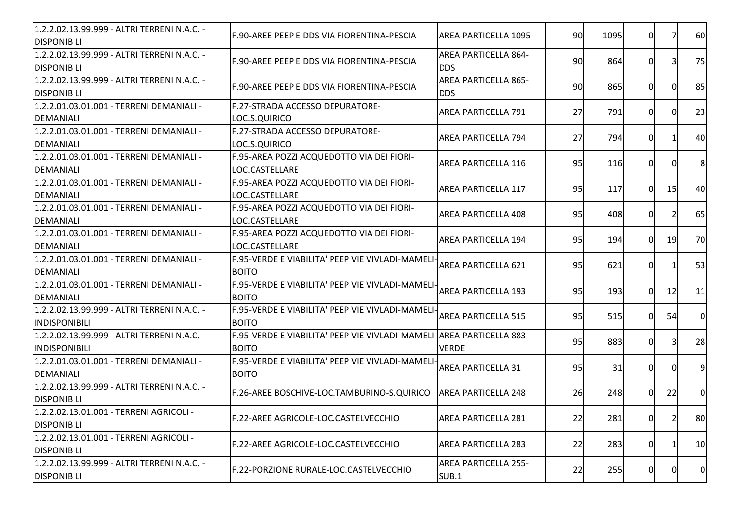| F.90-AREE PEEP E DDS VIA FIORENTINA-PESCIA                      | AREA PARTICELLA 1095               |                                                                                                                                                                                                                                                                                                        |     |                                                                            |                                                                                   | <b>60</b>                                                                                                                                                                                                                                  |
|-----------------------------------------------------------------|------------------------------------|--------------------------------------------------------------------------------------------------------------------------------------------------------------------------------------------------------------------------------------------------------------------------------------------------------|-----|----------------------------------------------------------------------------|-----------------------------------------------------------------------------------|--------------------------------------------------------------------------------------------------------------------------------------------------------------------------------------------------------------------------------------------|
| F.90-AREE PEEP E DDS VIA FIORENTINA-PESCIA                      | AREA PARTICELLA 864-<br><b>DDS</b> |                                                                                                                                                                                                                                                                                                        | 864 |                                                                            |                                                                                   | 75                                                                                                                                                                                                                                         |
| IF.90-AREE PEEP E DDS VIA FIORENTINA-PESCIA                     | AREA PARTICELLA 865-<br><b>DDS</b> |                                                                                                                                                                                                                                                                                                        |     |                                                                            |                                                                                   | 85                                                                                                                                                                                                                                         |
| F.27-STRADA ACCESSO DEPURATORE-<br>LOC.S.QUIRICO                | <b>AREA PARTICELLA 791</b>         | 27                                                                                                                                                                                                                                                                                                     | 791 |                                                                            |                                                                                   | 23                                                                                                                                                                                                                                         |
| F.27-STRADA ACCESSO DEPURATORE-<br>LOC.S.QUIRICO                | <b>AREA PARTICELLA 794</b>         | 27                                                                                                                                                                                                                                                                                                     |     |                                                                            |                                                                                   | 40                                                                                                                                                                                                                                         |
| F.95-AREA POZZI ACQUEDOTTO VIA DEI FIORI-<br>LOC.CASTELLARE     | AREA PARTICELLA 116                |                                                                                                                                                                                                                                                                                                        |     |                                                                            |                                                                                   | 8                                                                                                                                                                                                                                          |
| F.95-AREA POZZI ACQUEDOTTO VIA DEI FIORI-<br>LOC.CASTELLARE     | <b>AREA PARTICELLA 117</b>         |                                                                                                                                                                                                                                                                                                        | 117 |                                                                            |                                                                                   | 40                                                                                                                                                                                                                                         |
| F.95-AREA POZZI ACQUEDOTTO VIA DEI FIORI-<br>LOC.CASTELLARE     | <b>AREA PARTICELLA 408</b>         |                                                                                                                                                                                                                                                                                                        |     |                                                                            |                                                                                   | 65                                                                                                                                                                                                                                         |
| F.95-AREA POZZI ACQUEDOTTO VIA DEI FIORI-<br>LOC.CASTELLARE     | AREA PARTICELLA 194                |                                                                                                                                                                                                                                                                                                        | 194 |                                                                            |                                                                                   | 70                                                                                                                                                                                                                                         |
| <b>BOITO</b>                                                    | <b>AREA PARTICELLA 621</b>         |                                                                                                                                                                                                                                                                                                        | 621 |                                                                            |                                                                                   | 53                                                                                                                                                                                                                                         |
| <b>BOITO</b>                                                    | <b>AREA PARTICELLA 193</b>         | 95                                                                                                                                                                                                                                                                                                     |     |                                                                            | 12                                                                                | 11                                                                                                                                                                                                                                         |
| <b>BOITO</b>                                                    | <b>AREA PARTICELLA 515</b>         |                                                                                                                                                                                                                                                                                                        |     |                                                                            |                                                                                   | $\overline{0}$                                                                                                                                                                                                                             |
| <b>BOITO</b>                                                    | <b>VERDE</b>                       |                                                                                                                                                                                                                                                                                                        |     |                                                                            |                                                                                   | 28                                                                                                                                                                                                                                         |
| F.95-VERDE E VIABILITA' PEEP VIE VIVLADI-MAMELI<br><b>BOITO</b> | <b>AREA PARTICELLA 31</b>          | 95                                                                                                                                                                                                                                                                                                     | 31  |                                                                            |                                                                                   | 9                                                                                                                                                                                                                                          |
| F.26-AREE BOSCHIVE-LOC.TAMBURINO-S.QUIRICO                      |                                    |                                                                                                                                                                                                                                                                                                        |     |                                                                            | 22                                                                                | $\overline{0}$                                                                                                                                                                                                                             |
| F.22-AREE AGRICOLE-LOC.CASTELVECCHIO                            |                                    |                                                                                                                                                                                                                                                                                                        |     |                                                                            |                                                                                   | <b>80</b>                                                                                                                                                                                                                                  |
| F.22-AREE AGRICOLE-LOC.CASTELVECCHIO                            | <b>AREA PARTICELLA 283</b>         | 22                                                                                                                                                                                                                                                                                                     |     |                                                                            |                                                                                   | 10                                                                                                                                                                                                                                         |
| F.22-PORZIONE RURALE-LOC.CASTELVECCHIO                          | <b>AREA PARTICELLA 255-</b>        |                                                                                                                                                                                                                                                                                                        |     |                                                                            |                                                                                   | $\overline{0}$                                                                                                                                                                                                                             |
|                                                                 |                                    | F.95-VERDE E VIABILITA' PEEP VIE VIVLADI-MAMELI-<br>F.95-VERDE E VIABILITA' PEEP VIE VIVLADI-MAMELI-<br>F.95-VERDE E VIABILITA' PEEP VIE VIVLADI-MAMELI-<br>F.95-VERDE E VIABILITA' PEEP VIE VIVLADI-MAMELI- AREA PARTICELLA 883-<br><b>AREA PARTICELLA 248</b><br><b>AREA PARTICELLA 281</b><br>SUB.1 |     | 90<br>90<br>90<br>95<br>95<br>95<br>95<br>95<br>95<br>95<br>26<br>22<br>22 | 1095<br>865<br>794<br>116<br>408<br>193<br>515<br>883<br>248<br>281<br>283<br>255 | 0<br>$\overline{0}$<br>31<br>0<br>0<br>0I<br>ΩI<br>0I<br>0<br>0<br>$\overline{0}$<br>15<br>$\overline{0}$<br>0I<br><b>19</b><br>0I<br>ΟI<br>$\Omega$<br>54<br>0<br>31<br>$\overline{0}$<br>0I<br>01<br>01<br>2<br>0<br>$\overline{0}$<br>0 |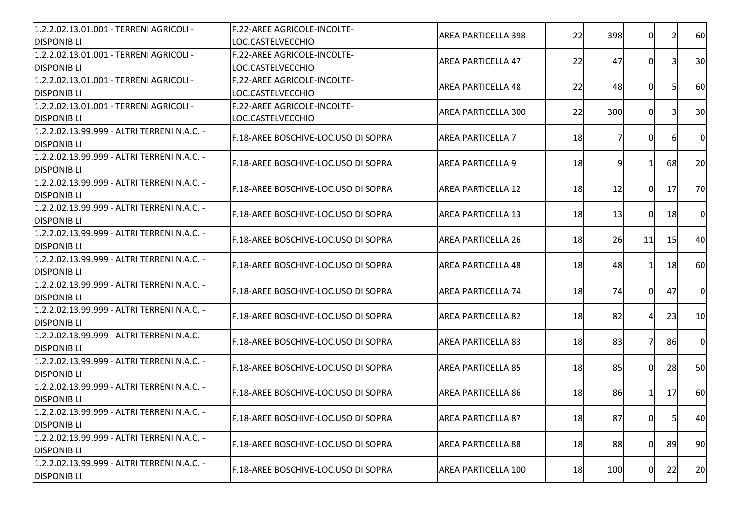| 1.2.2.02.13.01.001 - TERRENI AGRICOLI -<br><b>DISPONIBILI</b>     | F.22-AREE AGRICOLE-INCOLTE-<br>LOC.CASTELVECCHIO | AREA PARTICELLA 398        | 22        | 398 | 0              |           | 60             |
|-------------------------------------------------------------------|--------------------------------------------------|----------------------------|-----------|-----|----------------|-----------|----------------|
| 1.2.2.02.13.01.001 - TERRENI AGRICOLI -                           | F.22-AREE AGRICOLE-INCOLTE-                      | AREA PARTICELLA 47         | 22        | 47  | 0              |           | 30             |
| <b>DISPONIBILI</b>                                                | LOC.CASTELVECCHIO                                |                            |           |     |                |           |                |
| 1.2.2.02.13.01.001 - TERRENI AGRICOLI -                           | <b>F.22-AREE AGRICOLE-INCOLTE-</b>               | <b>AREA PARTICELLA 48</b>  | 22        | 48  | $\Omega$       |           | 60             |
| <b>DISPONIBILI</b>                                                | LOC.CASTELVECCHIO                                |                            |           |     |                |           |                |
| 1.2.2.02.13.01.001 - TERRENI AGRICOLI -                           | F.22-AREE AGRICOLE-INCOLTE-                      | <b>AREA PARTICELLA 300</b> | 22        | 300 | 0I             |           | 30             |
| <b>DISPONIBILI</b>                                                | LOC.CASTELVECCHIO                                |                            |           |     |                |           |                |
| 1.2.2.02.13.99.999 - ALTRI TERRENI N.A.C. -                       |                                                  |                            |           |     |                |           |                |
| <b>DISPONIBILI</b>                                                | F.18-AREE BOSCHIVE-LOC.USO DI SOPRA              | <b>AREA PARTICELLA 7</b>   | 18        |     | 0I             |           | $\overline{0}$ |
| 1.2.2.02.13.99.999 - ALTRI TERRENI N.A.C. -<br><b>DISPONIBILI</b> | F.18-AREE BOSCHIVE-LOC.USO DI SOPRA              | <b>AREA PARTICELLA 9</b>   | 18        | 91  | 11             | 68        | 20             |
| 1.2.2.02.13.99.999 - ALTRI TERRENI N.A.C. -                       |                                                  |                            |           |     |                |           |                |
| <b>DISPONIBILI</b>                                                | F.18-AREE BOSCHIVE-LOC.USO DI SOPRA              | <b>AREA PARTICELLA 12</b>  | 18        | 12  | $\overline{0}$ | 17        | 70             |
| 1.2.2.02.13.99.999 - ALTRI TERRENI N.A.C. -                       |                                                  |                            |           |     |                |           |                |
| <b>DISPONIBILI</b>                                                | <b>IF.18-AREE BOSCHIVE-LOC.USO DI SOPRA</b>      | <b>AREA PARTICELLA 13</b>  | 18        | 13  | 0              | 18        | $\overline{0}$ |
| 1.2.2.02.13.99.999 - ALTRI TERRENI N.A.C. -                       |                                                  |                            |           |     |                |           |                |
| <b>DISPONIBILI</b>                                                | F.18-AREE BOSCHIVE-LOC.USO DI SOPRA              | AREA PARTICELLA 26         | 18        | 26  | 11             | -15       | 40             |
| 1.2.2.02.13.99.999 - ALTRI TERRENI N.A.C. -                       |                                                  |                            |           |     |                |           |                |
| <b>DISPONIBILI</b>                                                | F.18-AREE BOSCHIVE-LOC.USO DI SOPRA              | <b>AREA PARTICELLA 48</b>  | 18        | 48  | 11             | 18        | 60             |
| 1.2.2.02.13.99.999 - ALTRI TERRENI N.A.C. -                       |                                                  |                            |           |     |                |           |                |
|                                                                   | IF.18-AREE BOSCHIVE-LOC.USO DI SOPRA             | <b>AREA PARTICELLA 74</b>  | 18        | 74  | ΩI             | 47        | $\overline{0}$ |
| <b>DISPONIBILI</b>                                                |                                                  |                            |           |     |                |           |                |
| 1.2.2.02.13.99.999 - ALTRI TERRENI N.A.C. -                       | F.18-AREE BOSCHIVE-LOC.USO DI SOPRA              | AREA PARTICELLA 82         | 18        | 82  | $\overline{4}$ | 23        | 10             |
| <b>DISPONIBILI</b>                                                |                                                  |                            |           |     |                |           |                |
| 1.2.2.02.13.99.999 - ALTRI TERRENI N.A.C. -                       | F.18-AREE BOSCHIVE-LOC.USO DI SOPRA              | <b>AREA PARTICELLA 83</b>  | 18        | 83  | 71             | <b>86</b> | $\overline{0}$ |
| <b>DISPONIBILI</b>                                                |                                                  |                            |           |     |                |           |                |
| 1.2.2.02.13.99.999 - ALTRI TERRENI N.A.C. -                       | F.18-AREE BOSCHIVE-LOC.USO DI SOPRA              | <b>AREA PARTICELLA 85</b>  | 18        | 85  | $\Omega$       | 28        | 50             |
| <b>DISPONIBILI</b>                                                |                                                  |                            |           |     |                |           |                |
| 1.2.2.02.13.99.999 - ALTRI TERRENI N.A.C. -                       | F.18-AREE BOSCHIVE-LOC.USO DI SOPRA              | <b>AREA PARTICELLA 86</b>  | 18        | 86  | 11             | 17        | 60             |
| <b>DISPONIBILI</b>                                                |                                                  |                            |           |     |                |           |                |
| 1.2.2.02.13.99.999 - ALTRI TERRENI N.A.C. -                       | F.18-AREE BOSCHIVE-LOC.USO DI SOPRA              | <b>AREA PARTICELLA 87</b>  |           |     |                |           |                |
| <b>DISPONIBILI</b>                                                |                                                  |                            | <u>18</u> | 87  | ΟI             | 51        | 40             |
| 1.2.2.02.13.99.999 - ALTRI TERRENI N.A.C. -                       |                                                  |                            |           |     |                |           |                |
| <b>DISPONIBILI</b>                                                | F.18-AREE BOSCHIVE-LOC.USO DI SOPRA              | <b>AREA PARTICELLA 88</b>  | 18        | 88  | 0I             | 89        | 90             |
| 1.2.2.02.13.99.999 - ALTRI TERRENI N.A.C. -                       |                                                  |                            |           |     |                |           |                |
| <b>DISPONIBILI</b>                                                | F.18-AREE BOSCHIVE-LOC.USO DI SOPRA              | AREA PARTICELLA 100        | 18        | 100 | $\overline{0}$ | 22        | 20             |
|                                                                   |                                                  |                            |           |     |                |           |                |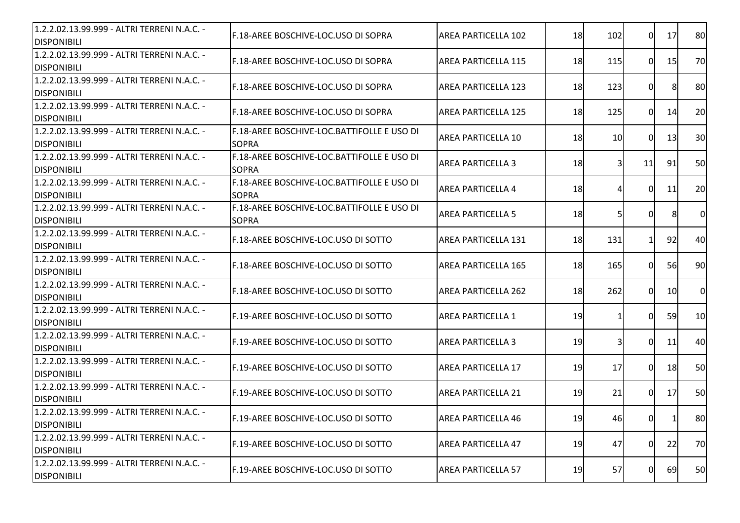| 1.2.2.02.13.99.999 - ALTRI TERRENI N.A.C. -<br><b>DISPONIBILI</b> | F.18-AREE BOSCHIVE-LOC.USO DI SOPRA                        | <b>AREA PARTICELLA 102</b> | 18 | 102 | $\Omega$ | 17 | 80             |
|-------------------------------------------------------------------|------------------------------------------------------------|----------------------------|----|-----|----------|----|----------------|
| 1.2.2.02.13.99.999 - ALTRI TERRENI N.A.C. -<br><b>DISPONIBILI</b> | F.18-AREE BOSCHIVE-LOC.USO DI SOPRA                        | <b>AREA PARTICELLA 115</b> | 18 | 115 | $\Omega$ | 15 | 70             |
| 1.2.2.02.13.99.999 - ALTRI TERRENI N.A.C. -<br><b>DISPONIBILI</b> | F.18-AREE BOSCHIVE-LOC.USO DI SOPRA                        | <b>AREA PARTICELLA 123</b> | 18 | 123 | 0        | 81 | 80             |
| 1.2.2.02.13.99.999 - ALTRI TERRENI N.A.C. -<br><b>DISPONIBILI</b> | F.18-AREE BOSCHIVE-LOC.USO DI SOPRA                        | <b>AREA PARTICELLA 125</b> | 18 | 125 | $\Omega$ | 14 | 20             |
| 1.2.2.02.13.99.999 - ALTRI TERRENI N.A.C. -<br><b>DISPONIBILI</b> | F.18-AREE BOSCHIVE-LOC.BATTIFOLLE E USO DI<br><b>SOPRA</b> | <b>AREA PARTICELLA 10</b>  | 18 | 10  | 0        | 13 | 30             |
| 1.2.2.02.13.99.999 - ALTRI TERRENI N.A.C. -<br><b>DISPONIBILI</b> | F.18-AREE BOSCHIVE-LOC.BATTIFOLLE E USO DI<br><b>SOPRA</b> | <b>AREA PARTICELLA 3</b>   | 18 | 31  | 11       | 91 | 50             |
| 1.2.2.02.13.99.999 - ALTRI TERRENI N.A.C. -<br><b>DISPONIBILI</b> | F.18-AREE BOSCHIVE-LOC.BATTIFOLLE E USO DI<br><b>SOPRA</b> | <b>AREA PARTICELLA 4</b>   | 18 | 41  | 0l       | 11 | 20             |
| 1.2.2.02.13.99.999 - ALTRI TERRENI N.A.C. -<br><b>DISPONIBILI</b> | F.18-AREE BOSCHIVE-LOC.BATTIFOLLE E USO DI<br><b>SOPRA</b> | <b>AREA PARTICELLA 5</b>   | 18 | 51  | 0        | 8  | $\overline{0}$ |
| 1.2.2.02.13.99.999 - ALTRI TERRENI N.A.C. -<br><b>DISPONIBILI</b> | F.18-AREE BOSCHIVE-LOC.USO DI SOTTO                        | <b>AREA PARTICELLA 131</b> | 18 | 131 |          | 92 | 40             |
| 1.2.2.02.13.99.999 - ALTRI TERRENI N.A.C. -<br><b>DISPONIBILI</b> | F.18-AREE BOSCHIVE-LOC.USO DI SOTTO                        | <b>AREA PARTICELLA 165</b> | 18 | 165 | ΩI       | 56 | 90             |
| 1.2.2.02.13.99.999 - ALTRI TERRENI N.A.C. -<br><b>DISPONIBILI</b> | F.18-AREE BOSCHIVE-LOC.USO DI SOTTO                        | AREA PARTICELLA 262        | 18 | 262 | $\Omega$ | 10 | <sub>0</sub>   |
| 1.2.2.02.13.99.999 - ALTRI TERRENI N.A.C. -<br><b>DISPONIBILI</b> | F.19-AREE BOSCHIVE-LOC.USO DI SOTTO                        | <b>AREA PARTICELLA 1</b>   | 19 |     | $\Omega$ | 59 | 10             |
| 1.2.2.02.13.99.999 - ALTRI TERRENI N.A.C. -<br><b>DISPONIBILI</b> | F.19-AREE BOSCHIVE-LOC.USO DI SOTTO                        | <b>AREA PARTICELLA 3</b>   | 19 | 31  | 0l       | 11 | 40             |
| 1.2.2.02.13.99.999 - ALTRI TERRENI N.A.C. -<br><b>DISPONIBILI</b> | F.19-AREE BOSCHIVE-LOC.USO DI SOTTO                        | <b>AREA PARTICELLA 17</b>  | 19 | 17  | $\Omega$ | 18 | 50             |
| 1.2.2.02.13.99.999 - ALTRI TERRENI N.A.C. -<br><b>DISPONIBILI</b> | IF.19-AREE BOSCHIVE-LOC.USO DI SOTTO                       | <b>AREA PARTICELLA 21</b>  | 19 | 21  | 0l       | 17 | 50             |
| 1.2.2.02.13.99.999 - ALTRI TERRENI N.A.C. -<br><b>DISPONIBILI</b> | F.19-AREE BOSCHIVE-LOC.USO DI SOTTO                        | <b>AREA PARTICELLA 46</b>  | 19 | 46  | 01       | 1  | 80             |
| 1.2.2.02.13.99.999 - ALTRI TERRENI N.A.C. -<br><b>DISPONIBILI</b> | F.19-AREE BOSCHIVE-LOC.USO DI SOTTO                        | <b>AREA PARTICELLA 47</b>  | 19 | 47  | $\Omega$ | 22 | 70             |
| 1.2.2.02.13.99.999 - ALTRI TERRENI N.A.C. -<br><b>DISPONIBILI</b> | F.19-AREE BOSCHIVE-LOC.USO DI SOTTO                        | <b>AREA PARTICELLA 57</b>  | 19 | 57  | 0        | 69 | 50             |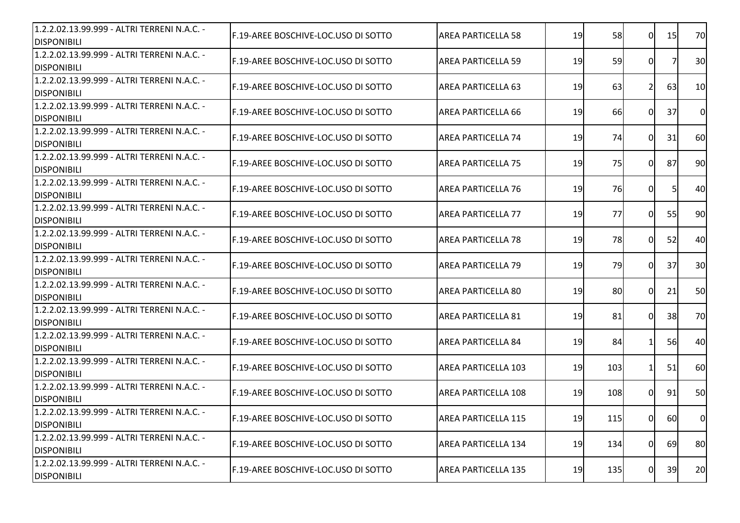| 1.2.2.02.13.99.999 - ALTRI TERRENI N.A.C. -<br><b>DISPONIBILI</b> | F.19-AREE BOSCHIVE-LOC.USO DI SOTTO  | <b>AREA PARTICELLA 58</b>  | 19 | 58  | $\overline{0}$ | 15        | 70             |
|-------------------------------------------------------------------|--------------------------------------|----------------------------|----|-----|----------------|-----------|----------------|
| 1.2.2.02.13.99.999 - ALTRI TERRENI N.A.C. -<br><b>DISPONIBILI</b> | F.19-AREE BOSCHIVE-LOC.USO DI SOTTO  | <b>AREA PARTICELLA 59</b>  | 19 | 59  | 0              |           | 30             |
| 1.2.2.02.13.99.999 - ALTRI TERRENI N.A.C. -<br><b>DISPONIBILI</b> | F.19-AREE BOSCHIVE-LOC.USO DI SOTTO  | <b>AREA PARTICELLA 63</b>  | 19 | 63  | <u>2</u>       | 63        | 10             |
| 1.2.2.02.13.99.999 - ALTRI TERRENI N.A.C. -<br><b>DISPONIBILI</b> | F.19-AREE BOSCHIVE-LOC.USO DI SOTTO  | <b>AREA PARTICELLA 66</b>  | 19 | 66  | 0I             | 37        | $\overline{0}$ |
| 1.2.2.02.13.99.999 - ALTRI TERRENI N.A.C. -<br><b>DISPONIBILI</b> | F.19-AREE BOSCHIVE-LOC.USO DI SOTTO  | <b>AREA PARTICELLA 74</b>  | 19 | 74  | ΩI             | 31        | 60             |
| 1.2.2.02.13.99.999 - ALTRI TERRENI N.A.C. -<br><b>DISPONIBILI</b> | F.19-AREE BOSCHIVE-LOC.USO DI SOTTO  | <b>AREA PARTICELLA 75</b>  | 19 | 75  | $\overline{0}$ | 87        | 90             |
| 1.2.2.02.13.99.999 - ALTRI TERRENI N.A.C. -<br><b>DISPONIBILI</b> | F.19-AREE BOSCHIVE-LOC.USO DI SOTTO  | <b>AREA PARTICELLA 76</b>  | 19 | 76  | 0              | 51        | 40             |
| 1.2.2.02.13.99.999 - ALTRI TERRENI N.A.C. -<br><b>DISPONIBILI</b> | F.19-AREE BOSCHIVE-LOC.USO DI SOTTO  | <b>AREA PARTICELLA 77</b>  | 19 | 77  | $\Omega$       | 55        | 90             |
| 1.2.2.02.13.99.999 - ALTRI TERRENI N.A.C. -<br><b>DISPONIBILI</b> | F.19-AREE BOSCHIVE-LOC.USO DI SOTTO  | <b>AREA PARTICELLA 78</b>  | 19 | 78  | 0              | 52        | 40             |
| 1.2.2.02.13.99.999 - ALTRI TERRENI N.A.C. -<br><b>DISPONIBILI</b> | F.19-AREE BOSCHIVE-LOC.USO DI SOTTO  | <b>AREA PARTICELLA 79</b>  | 19 | 79  | ΩI             | 37        | 30             |
| 1.2.2.02.13.99.999 - ALTRI TERRENI N.A.C. -<br><b>DISPONIBILI</b> | F.19-AREE BOSCHIVE-LOC.USO DI SOTTO  | <b>AREA PARTICELLA 80</b>  | 19 | 80  | $\Omega$       | 21        | 50             |
| 1.2.2.02.13.99.999 - ALTRI TERRENI N.A.C. -<br><b>DISPONIBILI</b> | F.19-AREE BOSCHIVE-LOC.USO DI SOTTO  | <b>AREA PARTICELLA 81</b>  | 19 | 81  | $\Omega$       | 38        | 70             |
| 1.2.2.02.13.99.999 - ALTRI TERRENI N.A.C. -<br><b>DISPONIBILI</b> | F.19-AREE BOSCHIVE-LOC.USO DI SOTTO  | <b>AREA PARTICELLA 84</b>  | 19 | 84  | 11             | 56        | 40             |
| 1.2.2.02.13.99.999 - ALTRI TERRENI N.A.C. -<br><b>DISPONIBILI</b> | F.19-AREE BOSCHIVE-LOC.USO DI SOTTO  | <b>AREA PARTICELLA 103</b> | 19 | 103 | $\mathbf{1}$   | 51        | 60             |
| 1.2.2.02.13.99.999 - ALTRI TERRENI N.A.C. -<br><b>DISPONIBILI</b> | IF.19-AREE BOSCHIVE-LOC.USO DI SOTTO | <b>AREA PARTICELLA 108</b> | 19 | 108 | $\Omega$       | 91        | 50             |
| 1.2.2.02.13.99.999 - ALTRI TERRENI N.A.C. -<br><b>DISPONIBILI</b> | IF.19-AREE BOSCHIVE-LOC.USO DI SOTTO | IAREA PARTICELLA 115       | 19 | 115 | 01             | <b>60</b> | 0              |
| 1.2.2.02.13.99.999 - ALTRI TERRENI N.A.C. -<br><b>DISPONIBILI</b> | F.19-AREE BOSCHIVE-LOC.USO DI SOTTO  | <b>AREA PARTICELLA 134</b> | 19 | 134 | 0              | 69        | 80             |
| 1.2.2.02.13.99.999 - ALTRI TERRENI N.A.C. -<br><b>DISPONIBILI</b> | F.19-AREE BOSCHIVE-LOC.USO DI SOTTO  | <b>AREA PARTICELLA 135</b> | 19 | 135 | $\overline{0}$ | 39        | 20             |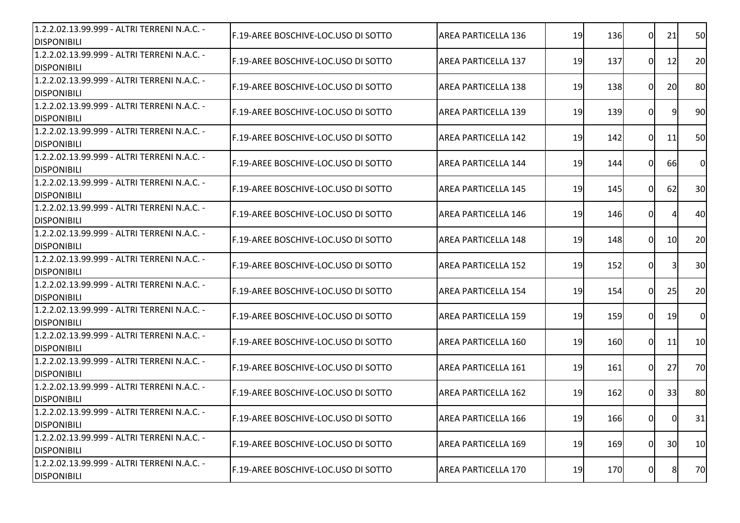| 1.2.2.02.13.99.999 - ALTRI TERRENI N.A.C. -<br><b>IDISPONIBILI</b> | F.19-AREE BOSCHIVE-LOC.USO DI SOTTO         | <b>AREA PARTICELLA 136</b> | 19 | 136 | $\Omega$       | 21        | 50             |
|--------------------------------------------------------------------|---------------------------------------------|----------------------------|----|-----|----------------|-----------|----------------|
| 1.2.2.02.13.99.999 - ALTRI TERRENI N.A.C. -<br><b>DISPONIBILI</b>  | F.19-AREE BOSCHIVE-LOC.USO DI SOTTO         | <b>AREA PARTICELLA 137</b> | 19 | 137 | $\overline{0}$ | 12        | 20             |
| 1.2.2.02.13.99.999 - ALTRI TERRENI N.A.C. -<br><b>DISPONIBILI</b>  | <b>IF.19-AREE BOSCHIVE-LOC.USO DI SOTTO</b> | <b>AREA PARTICELLA 138</b> | 19 | 138 | 0              | 20        | 80             |
| 1.2.2.02.13.99.999 - ALTRI TERRENI N.A.C. -<br><b>DISPONIBILI</b>  | F.19-AREE BOSCHIVE-LOC.USO DI SOTTO         | <b>AREA PARTICELLA 139</b> | 19 | 139 | $\Omega$       | 9         | 90             |
| 1.2.2.02.13.99.999 - ALTRI TERRENI N.A.C. -<br><b>IDISPONIBILI</b> | F.19-AREE BOSCHIVE-LOC.USO DI SOTTO         | <b>AREA PARTICELLA 142</b> | 19 | 142 | 0I             | 11        | 50             |
| 1.2.2.02.13.99.999 - ALTRI TERRENI N.A.C. -<br><b>DISPONIBILI</b>  | IF.19-AREE BOSCHIVE-LOC.USO DI SOTTO        | <b>AREA PARTICELLA 144</b> | 19 | 144 | $\Omega$       | <b>66</b> | $\overline{0}$ |
| 1.2.2.02.13.99.999 - ALTRI TERRENI N.A.C. -<br><b>DISPONIBILI</b>  | F.19-AREE BOSCHIVE-LOC.USO DI SOTTO         | <b>AREA PARTICELLA 145</b> | 19 | 145 | $\overline{0}$ | 62        | 30             |
| 1.2.2.02.13.99.999 - ALTRI TERRENI N.A.C. -<br><b>DISPONIBILI</b>  | IF.19-AREE BOSCHIVE-LOC.USO DI SOTTO        | <b>AREA PARTICELLA 146</b> | 19 | 146 | $\overline{0}$ |           | 40             |
| 1.2.2.02.13.99.999 - ALTRI TERRENI N.A.C. -<br><b>DISPONIBILI</b>  | F.19-AREE BOSCHIVE-LOC.USO DI SOTTO         | <b>AREA PARTICELLA 148</b> | 19 | 148 | $\Omega$       | 10        | 20             |
| 1.2.2.02.13.99.999 - ALTRI TERRENI N.A.C. -<br><b>DISPONIBILI</b>  | F.19-AREE BOSCHIVE-LOC.USO DI SOTTO         | <b>AREA PARTICELLA 152</b> | 19 | 152 | 0              | 31        | 30             |
| 1.2.2.02.13.99.999 - ALTRI TERRENI N.A.C. -<br><b>DISPONIBILI</b>  | F.19-AREE BOSCHIVE-LOC.USO DI SOTTO         | <b>AREA PARTICELLA 154</b> | 19 | 154 | 0I             | 25        | 20             |
| 1.2.2.02.13.99.999 - ALTRI TERRENI N.A.C. -<br><b>DISPONIBILI</b>  | F.19-AREE BOSCHIVE-LOC.USO DI SOTTO         | <b>AREA PARTICELLA 159</b> | 19 | 159 | $\Omega$       | 19        | $\overline{O}$ |
| 1.2.2.02.13.99.999 - ALTRI TERRENI N.A.C. -<br><b>DISPONIBILI</b>  | F.19-AREE BOSCHIVE-LOC.USO DI SOTTO         | AREA PARTICELLA 160        | 19 | 160 | $\overline{0}$ | 11        | 10             |
| 1.2.2.02.13.99.999 - ALTRI TERRENI N.A.C. -<br><b>DISPONIBILI</b>  | F.19-AREE BOSCHIVE-LOC.USO DI SOTTO         | <b>AREA PARTICELLA 161</b> | 19 | 161 | $\overline{0}$ | 27        | 70             |
| 1.2.2.02.13.99.999 - ALTRI TERRENI N.A.C. -<br><b>DISPONIBILI</b>  | F.19-AREE BOSCHIVE-LOC.USO DI SOTTO         | <b>AREA PARTICELLA 162</b> | 19 | 162 | $\Omega$       | 33        | 80             |
| 1.2.2.02.13.99.999 - ALTRI TERRENI N.A.C. -<br><b>DISPONIBILI</b>  | F.19-AREE BOSCHIVE-LOC.USO DI SOTTO         | <b>AREA PARTICELLA 166</b> | 19 | 166 | 01             | 01        | 31             |
| 1.2.2.02.13.99.999 - ALTRI TERRENI N.A.C. -<br><b>DISPONIBILI</b>  | F.19-AREE BOSCHIVE-LOC.USO DI SOTTO         | <b>AREA PARTICELLA 169</b> | 19 | 169 | $\overline{0}$ | 30        | 10             |
| 1.2.2.02.13.99.999 - ALTRI TERRENI N.A.C. -<br><b>DISPONIBILI</b>  | F.19-AREE BOSCHIVE-LOC.USO DI SOTTO         | <b>AREA PARTICELLA 170</b> | 19 | 170 | $\overline{0}$ | 8         | 70             |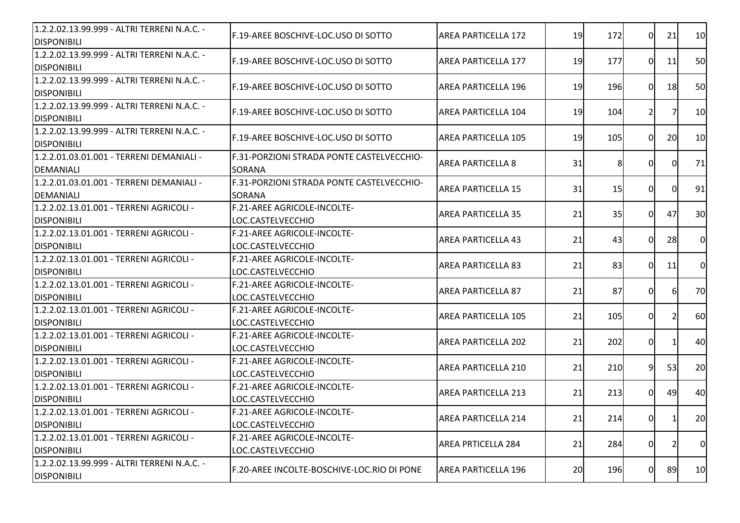| 1.2.2.02.13.99.999 - ALTRI TERRENI N.A.C. -<br><b>DISPONIBILI</b> | <b>IF.19-AREE BOSCHIVE-LOC.USO DI SOTTO</b>                | <b>AREA PARTICELLA 172</b> | 19 | 172 | 0I       | 21             | 10             |
|-------------------------------------------------------------------|------------------------------------------------------------|----------------------------|----|-----|----------|----------------|----------------|
| 1.2.2.02.13.99.999 - ALTRI TERRENI N.A.C. -<br><b>DISPONIBILI</b> | F.19-AREE BOSCHIVE-LOC.USO DI SOTTO                        | <b>AREA PARTICELLA 177</b> | 19 | 177 | ΟI       | 11             | 50             |
| 1.2.2.02.13.99.999 - ALTRI TERRENI N.A.C. -<br><b>DISPONIBILI</b> | F.19-AREE BOSCHIVE-LOC.USO DI SOTTO                        | <b>AREA PARTICELLA 196</b> | 19 | 196 | ΩI       | <b>18</b>      | 50             |
| 1.2.2.02.13.99.999 - ALTRI TERRENI N.A.C. -<br><b>DISPONIBILI</b> | F.19-AREE BOSCHIVE-LOC.USO DI SOTTO                        | AREA PARTICELLA 104        | 19 | 104 | 21       |                | 10             |
| 1.2.2.02.13.99.999 - ALTRI TERRENI N.A.C. -<br><b>DISPONIBILI</b> | F.19-AREE BOSCHIVE-LOC.USO DI SOTTO                        | AREA PARTICELLA 105        | 19 | 105 | ΩL       | 20             | 10             |
| 1.2.2.01.03.01.001 - TERRENI DEMANIALI -<br>DEMANIALI             | F.31-PORZIONI STRADA PONTE CASTELVECCHIO-<br><b>SORANA</b> | <b>AREA PARTICELLA 8</b>   | 31 | 8   | 0I       | $\Omega$       | 71             |
| 1.2.2.01.03.01.001 - TERRENI DEMANIALI -<br><b>DEMANIALI</b>      | F.31-PORZIONI STRADA PONTE CASTELVECCHIO-<br><b>SORANA</b> | <b>AREA PARTICELLA 15</b>  | 31 | 15  | ΟI       | $\Omega$       | 91             |
| 1.2.2.02.13.01.001 - TERRENI AGRICOLI -<br><b>DISPONIBILI</b>     | F.21-AREE AGRICOLE-INCOLTE-<br>LOC.CASTELVECCHIO           | <b>AREA PARTICELLA 35</b>  | 21 | 35  | ΩI       | 47             | 30             |
| 1.2.2.02.13.01.001 - TERRENI AGRICOLI -<br><b>DISPONIBILI</b>     | F.21-AREE AGRICOLE-INCOLTE-<br>LOC.CASTELVECCHIO           | <b>AREA PARTICELLA 43</b>  | 21 | 43  | $\Omega$ | 28             | $\overline{0}$ |
| 1.2.2.02.13.01.001 - TERRENI AGRICOLI -<br><b>DISPONIBILI</b>     | <b>F.21-AREE AGRICOLE-INCOLTE-</b><br>LOC.CASTELVECCHIO    | <b>AREA PARTICELLA 83</b>  | 21 | 83  | $\Omega$ | 11             | $\overline{0}$ |
| 1.2.2.02.13.01.001 - TERRENI AGRICOLI -<br><b>DISPONIBILI</b>     | F.21-AREE AGRICOLE-INCOLTE-<br>LOC.CASTELVECCHIO           | <b>AREA PARTICELLA 87</b>  | 21 | 87  | ΩI       | $\mathsf{G}$   | 70             |
| 1.2.2.02.13.01.001 - TERRENI AGRICOLI -<br><b>DISPONIBILI</b>     | F.21-AREE AGRICOLE-INCOLTE-<br>LOC.CASTELVECCHIO           | <b>AREA PARTICELLA 105</b> | 21 | 105 | 0I       | $\overline{2}$ | 60             |
| 1.2.2.02.13.01.001 - TERRENI AGRICOLI -<br><b>DISPONIBILI</b>     | F.21-AREE AGRICOLE-INCOLTE-<br>LOC.CASTELVECCHIO           | AREA PARTICELLA 202        | 21 | 202 | 0I       | $\mathbf{1}$   | 40             |
| 1.2.2.02.13.01.001 - TERRENI AGRICOLI -<br><b>DISPONIBILI</b>     | F.21-AREE AGRICOLE-INCOLTE-<br>LOC.CASTELVECCHIO           | AREA PARTICELLA 210        | 21 | 210 | 91       | 53             | 20             |
| 1.2.2.02.13.01.001 - TERRENI AGRICOLI -<br><b>DISPONIBILI</b>     | F.21-AREE AGRICOLE-INCOLTE-<br>LOC.CASTELVECCHIO           | AREA PARTICELLA 213        | 21 | 213 | 0I       | 49             | 40             |
| 1.2.2.02.13.01.001 - TERRENI AGRICOLI -<br><b>DISPONIBILI</b>     | F.21-AREE AGRICOLE-INCOLTE-<br>LOC.CASTELVECCHIO           | AREA PARTICELLA 214        | 21 | 214 | 0I       | $\mathbf{1}$   | 20             |
| 1.2.2.02.13.01.001 - TERRENI AGRICOLI -<br><b>DISPONIBILI</b>     | F.21-AREE AGRICOLE-INCOLTE-<br>LOC.CASTELVECCHIO           | AREA PRTICELLA 284         | 21 | 284 | 01       |                | $\overline{0}$ |
| 1.2.2.02.13.99.999 - ALTRI TERRENI N.A.C. -<br><b>DISPONIBILI</b> | F.20-AREE INCOLTE-BOSCHIVE-LOC.RIO DI PONE                 | <b>AREA PARTICELLA 196</b> | 20 | 196 | 0        | 89             | 10             |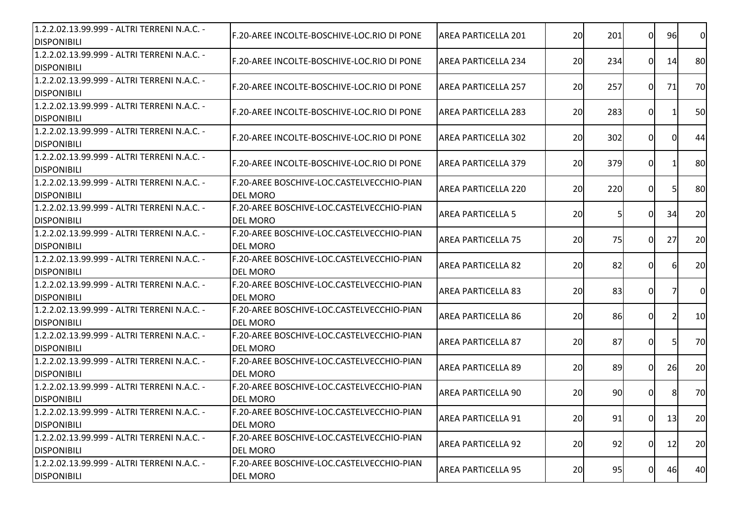| 1.2.2.02.13.99.999 - ALTRI TERRENI N.A.C. -<br><b>DISPONIBILI</b> | F.20-AREE INCOLTE-BOSCHIVE-LOC.RIO DI PONE                   | <b>AREA PARTICELLA 201</b> | 20 | 201       | $\Omega$ | 96       | <sub>0</sub> |
|-------------------------------------------------------------------|--------------------------------------------------------------|----------------------------|----|-----------|----------|----------|--------------|
| 1.2.2.02.13.99.999 - ALTRI TERRENI N.A.C. -<br><b>DISPONIBILI</b> | F.20-AREE INCOLTE-BOSCHIVE-LOC.RIO DI PONE                   | AREA PARTICELLA 234        | 20 | 234       | $\Omega$ | 14       | 80           |
| 1.2.2.02.13.99.999 - ALTRI TERRENI N.A.C. -<br><b>DISPONIBILI</b> | F.20-AREE INCOLTE-BOSCHIVE-LOC.RIO DI PONE                   | <b>AREA PARTICELLA 257</b> | 20 | 257       | 0l       | 71       | 70           |
| 1.2.2.02.13.99.999 - ALTRI TERRENI N.A.C. -<br><b>DISPONIBILI</b> | F.20-AREE INCOLTE-BOSCHIVE-LOC.RIO DI PONE                   | AREA PARTICELLA 283        | 20 | 283       | 0        |          | 50           |
| 1.2.2.02.13.99.999 - ALTRI TERRENI N.A.C. -<br><b>DISPONIBILI</b> | <b>IF.20-AREE INCOLTE-BOSCHIVE-LOC.RIO DI PONE</b>           | <b>AREA PARTICELLA 302</b> | 20 | 302       | 0l       | $\Omega$ | 44           |
| 1.2.2.02.13.99.999 - ALTRI TERRENI N.A.C. -<br><b>DISPONIBILI</b> | F.20-AREE INCOLTE-BOSCHIVE-LOC.RIO DI PONE                   | <b>AREA PARTICELLA 379</b> | 20 | 379       | 0l       |          | 80           |
| 1.2.2.02.13.99.999 - ALTRI TERRENI N.A.C. -<br><b>DISPONIBILI</b> | F.20-AREE BOSCHIVE-LOC.CASTELVECCHIO-PIAN<br><b>DFL MORO</b> | <b>AREA PARTICELLA 220</b> | 20 | 220       | 0        | 51       | 80           |
| 1.2.2.02.13.99.999 - ALTRI TERRENI N.A.C. -<br><b>DISPONIBILI</b> | F.20-AREE BOSCHIVE-LOC.CASTELVECCHIO-PIAN<br><b>DEL MORO</b> | <b>AREA PARTICELLA 5</b>   | 20 | 51        | 0        | 34       | 20           |
| 1.2.2.02.13.99.999 - ALTRI TERRENI N.A.C. -<br><b>DISPONIBILI</b> | F.20-AREE BOSCHIVE-LOC.CASTELVECCHIO-PIAN<br><b>DEL MORO</b> | <b>AREA PARTICELLA 75</b>  | 20 | <b>75</b> | 0        | 27       | 20           |
| 1.2.2.02.13.99.999 - ALTRI TERRENI N.A.C. -<br><b>DISPONIBILI</b> | F.20-AREE BOSCHIVE-LOC.CASTELVECCHIO-PIAN<br><b>DEL MORO</b> | <b>AREA PARTICELLA 82</b>  | 20 | 82        | ΩI       | 61       | 20           |
| 1.2.2.02.13.99.999 - ALTRI TERRENI N.A.C. -<br><b>DISPONIBILI</b> | F.20-AREE BOSCHIVE-LOC.CASTELVECCHIO-PIAN<br><b>DEL MORO</b> | <b>AREA PARTICELLA 83</b>  | 20 | 83        | 0l       |          | <sub>0</sub> |
| 1.2.2.02.13.99.999 - ALTRI TERRENI N.A.C. -<br><b>DISPONIBILI</b> | F.20-AREE BOSCHIVE-LOC.CASTELVECCHIO-PIAN<br><b>DEL MORO</b> | <b>AREA PARTICELLA 86</b>  | 20 | 86        | 0        |          | 10           |
| 1.2.2.02.13.99.999 - ALTRI TERRENI N.A.C. -<br><b>DISPONIBILI</b> | F.20-AREE BOSCHIVE-LOC.CASTELVECCHIO-PIAN<br><b>DEL MORO</b> | <b>AREA PARTICELLA 87</b>  | 20 | 87        | 0        | 51       | 70           |
| 1.2.2.02.13.99.999 - ALTRI TERRENI N.A.C. -<br><b>DISPONIBILI</b> | F.20-AREE BOSCHIVE-LOC.CASTELVECCHIO-PIAN<br><b>DEL MORO</b> | <b>AREA PARTICELLA 89</b>  | 20 | 89        | $\Omega$ | 26       | 20           |
| 1.2.2.02.13.99.999 - ALTRI TERRENI N.A.C. -<br><b>DISPONIBILI</b> | F.20-AREE BOSCHIVE-LOC.CASTELVECCHIO-PIAN<br><b>DEL MORO</b> | AREA PARTICELLA 90         | 20 | 90        | 0        | 8        | 70           |
| 1.2.2.02.13.99.999 - ALTRI TERRENI N.A.C. -<br><b>DISPONIBILI</b> | F.20-AREE BOSCHIVE-LOC.CASTELVECCHIO-PIAN<br><b>DEL MORO</b> | AREA PARTICELLA 91         | 20 | 91        | 01       | 13       | 20           |
| 1.2.2.02.13.99.999 - ALTRI TERRENI N.A.C. -<br><b>DISPONIBILI</b> | F.20-AREE BOSCHIVE-LOC.CASTELVECCHIO-PIAN<br><b>DEL MORO</b> | AREA PARTICELLA 92         | 20 | 92        | $\Omega$ | 12       | 20           |
| 1.2.2.02.13.99.999 - ALTRI TERRENI N.A.C. -<br><b>DISPONIBILI</b> | F.20-AREE BOSCHIVE-LOC.CASTELVECCHIO-PIAN<br><b>DEL MORO</b> | <b>AREA PARTICELLA 95</b>  | 20 | 95        | $\Omega$ | 46       | 40           |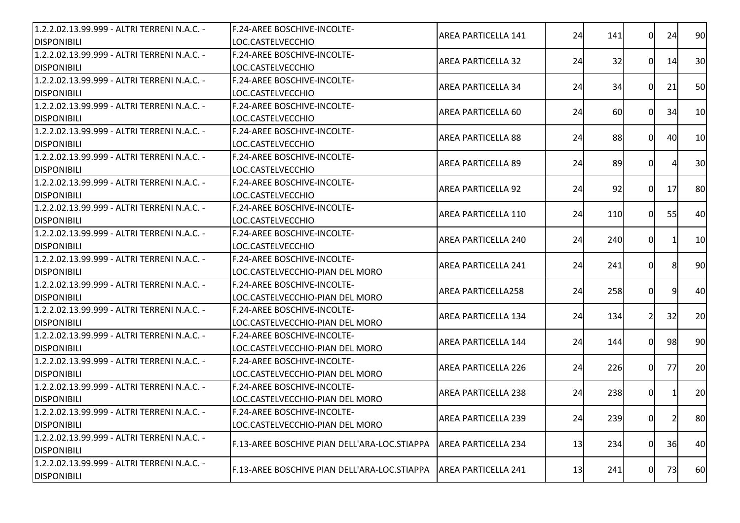| 1.2.2.02.13.99.999 - ALTRI TERRENI N.A.C. - | <b>IF.24-AREE BOSCHIVE-INCOLTE-</b>          |                            |    |     |                |    |    |
|---------------------------------------------|----------------------------------------------|----------------------------|----|-----|----------------|----|----|
| <b>DISPONIBILI</b>                          | LOC.CASTELVECCHIO                            | AREA PARTICELLA 141        | 24 | 141 | 0l             | 24 | 90 |
| 1.2.2.02.13.99.999 - ALTRI TERRENI N.A.C. - | F.24-AREE BOSCHIVE-INCOLTE-                  | <b>AREA PARTICELLA 32</b>  | 24 | 32  | 0l             | 14 | 30 |
| <b>DISPONIBILI</b>                          | LOC.CASTELVECCHIO                            |                            |    |     |                |    |    |
| 1.2.2.02.13.99.999 - ALTRI TERRENI N.A.C. - | F.24-AREE BOSCHIVE-INCOLTE-                  | <b>AREA PARTICELLA 34</b>  | 24 | 34  | 0l             | 21 | 50 |
| <b>DISPONIBILI</b>                          | LOC.CASTELVECCHIO                            |                            |    |     |                |    |    |
| 1.2.2.02.13.99.999 - ALTRI TERRENI N.A.C. - | F.24-AREE BOSCHIVE-INCOLTE-                  | AREA PARTICELLA 60         | 24 | 60  | $\Omega$       | 34 | 10 |
| <b>DISPONIBILI</b>                          | LOC.CASTELVECCHIO                            |                            |    |     |                |    |    |
| 1.2.2.02.13.99.999 - ALTRI TERRENI N.A.C. - | <b>IF.24-AREE BOSCHIVE-INCOLTE-</b>          | <b>AREA PARTICELLA 88</b>  | 24 | 88  | ΩI             | 40 | 10 |
| <b>DISPONIBILI</b>                          | LOC.CASTELVECCHIO                            |                            |    |     |                |    |    |
| 1.2.2.02.13.99.999 - ALTRI TERRENI N.A.C. - | F.24-AREE BOSCHIVE-INCOLTE-                  | <b>AREA PARTICELLA 89</b>  | 24 | 89  | 0l             |    | 30 |
| <b>DISPONIBILI</b>                          | LOC.CASTELVECCHIO                            |                            |    |     |                |    |    |
| 1.2.2.02.13.99.999 - ALTRI TERRENI N.A.C. - | F.24-AREE BOSCHIVE-INCOLTE-                  | <b>AREA PARTICELLA 92</b>  |    | 92  | 0l             |    | 80 |
| <b>DISPONIBILI</b>                          | LOC.CASTELVECCHIO                            |                            | 24 |     |                | 17 |    |
| 1.2.2.02.13.99.999 - ALTRI TERRENI N.A.C. - | <b>IF.24-AREE BOSCHIVE-INCOLTE-</b>          | <b>AREA PARTICELLA 110</b> | 24 | 110 | 0l             | 55 | 40 |
| <b>DISPONIBILI</b>                          | LOC.CASTELVECCHIO                            |                            |    |     |                |    |    |
| 1.2.2.02.13.99.999 - ALTRI TERRENI N.A.C. - | F.24-AREE BOSCHIVE-INCOLTE-                  | <b>AREA PARTICELLA 240</b> | 24 | 240 | 01             |    | 10 |
| <b>DISPONIBILI</b>                          | LOC.CASTELVECCHIO                            |                            |    |     |                |    |    |
| 1.2.2.02.13.99.999 - ALTRI TERRENI N.A.C. - | F.24-AREE BOSCHIVE-INCOLTE-                  | <b>AREA PARTICELLA 241</b> | 24 | 241 | 0l             |    | 90 |
| <b>DISPONIBILI</b>                          | ILOC.CASTELVECCHIO-PIAN DEL MORO             |                            |    |     |                |    |    |
| 1.2.2.02.13.99.999 - ALTRI TERRENI N.A.C. - | <b>F.24-AREE BOSCHIVE-INCOLTE-</b>           | <b>AREA PARTICELLA258</b>  | 24 | 258 | 0l             | q  | 40 |
| <b>DISPONIBILI</b>                          | LOC.CASTELVECCHIO-PIAN DEL MORO              |                            |    |     |                |    |    |
| 1.2.2.02.13.99.999 - ALTRI TERRENI N.A.C. - | F.24-AREE BOSCHIVE-INCOLTE-                  | <b>AREA PARTICELLA 134</b> | 24 | 134 | 2I             | 32 | 20 |
| <b>DISPONIBILI</b>                          | LOC.CASTELVECCHIO-PIAN DEL MORO              |                            |    |     |                |    |    |
| 1.2.2.02.13.99.999 - ALTRI TERRENI N.A.C. - | F.24-AREE BOSCHIVE-INCOLTE-                  | <b>AREA PARTICELLA 144</b> | 24 | 144 | $\Omega$       | 98 | 90 |
| <b>DISPONIBILI</b>                          | LOC.CASTELVECCHIO-PIAN DEL MORO              |                            |    |     |                |    |    |
| 1.2.2.02.13.99.999 - ALTRI TERRENI N.A.C. - | F.24-AREE BOSCHIVE-INCOLTE-                  | <b>AREA PARTICELLA 226</b> | 24 | 226 | 01             | 77 | 20 |
| <b>DISPONIBILI</b>                          | LOC.CASTELVECCHIO-PIAN DEL MORO              |                            |    |     |                |    |    |
| 1.2.2.02.13.99.999 - ALTRI TERRENI N.A.C. - | F.24-AREE BOSCHIVE-INCOLTE-                  | <b>AREA PARTICELLA 238</b> | 24 | 238 | 01             |    | 20 |
| <b>DISPONIBILI</b>                          | LOC.CASTELVECCHIO-PIAN DEL MORO              |                            |    |     |                |    |    |
| 1.2.2.02.13.99.999 - ALTRI TERRENI N.A.C. - | F.24-AREE BOSCHIVE-INCOLTE-                  |                            |    |     |                |    |    |
| <b>DISPONIBILI</b>                          | LOC.CASTELVECCHIO-PIAN DEL MORO              | <b>AREA PARTICELLA 239</b> | 24 | 239 | 01             |    | 80 |
| 1.2.2.02.13.99.999 - ALTRI TERRENI N.A.C. - | F.13-AREE BOSCHIVE PIAN DELL'ARA-LOC.STIAPPA | <b>AREA PARTICELLA 234</b> | 13 | 234 | $\overline{0}$ | 36 | 40 |
| <b>DISPONIBILI</b>                          |                                              |                            |    |     |                |    |    |
| 1.2.2.02.13.99.999 - ALTRI TERRENI N.A.C. - |                                              |                            |    |     |                |    |    |
| <b>DISPONIBILI</b>                          | F.13-AREE BOSCHIVE PIAN DELL'ARA-LOC.STIAPPA | <b>AREA PARTICELLA 241</b> | 13 | 241 | 0              | 73 | 60 |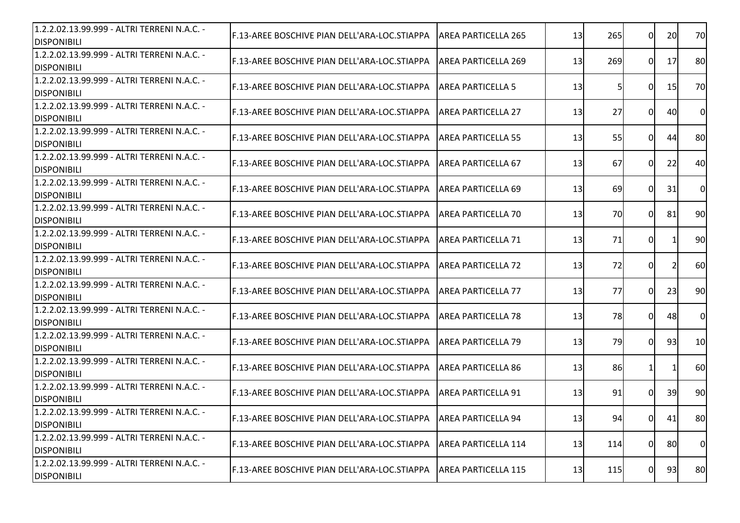| 1.2.2.02.13.99.999 - ALTRI TERRENI N.A.C. -<br><b>DISPONIBILI</b> | <b>IF.13-AREE BOSCHIVE PIAN DELL'ARA-LOC.STIAPPA</b> | <b>AREA PARTICELLA 265</b> | 13 | 265       | $\Omega$ | 20 | 70             |
|-------------------------------------------------------------------|------------------------------------------------------|----------------------------|----|-----------|----------|----|----------------|
| 1.2.2.02.13.99.999 - ALTRI TERRENI N.A.C. -<br><b>DISPONIBILI</b> | F.13-AREE BOSCHIVE PIAN DELL'ARA-LOC.STIAPPA         | <b>AREA PARTICELLA 269</b> | 13 | 269       | 01       | 17 | 80             |
| 1.2.2.02.13.99.999 - ALTRI TERRENI N.A.C. -<br><b>DISPONIBILI</b> | <b>IF.13-AREE BOSCHIVE PIAN DELL'ARA-LOC.STIAPPA</b> | <b>AREA PARTICELLA 5</b>   | 13 |           | $\Omega$ | 15 | 70             |
| 1.2.2.02.13.99.999 - ALTRI TERRENI N.A.C. -<br><b>DISPONIBILI</b> | F.13-AREE BOSCHIVE PIAN DELL'ARA-LOC.STIAPPA         | IAREA PARTICELLA 27        | 13 | 27        | $\Omega$ | 40 | 0              |
| 1.2.2.02.13.99.999 - ALTRI TERRENI N.A.C. -<br><b>DISPONIBILI</b> | F.13-AREE BOSCHIVE PIAN DELL'ARA-LOC.STIAPPA         | <b>AREA PARTICELLA 55</b>  | 13 | 55        | ΩI       | 44 | 80             |
| 1.2.2.02.13.99.999 - ALTRI TERRENI N.A.C. -<br><b>DISPONIBILI</b> | F.13-AREE BOSCHIVE PIAN DELL'ARA-LOC.STIAPPA         | <b>AREA PARTICELLA 67</b>  | 13 | 67        | $\Omega$ | 22 | 40             |
| 1.2.2.02.13.99.999 - ALTRI TERRENI N.A.C. -<br><b>DISPONIBILI</b> | F.13-AREE BOSCHIVE PIAN DELL'ARA-LOC.STIAPPA         | IAREA PARTICELLA 69        | 13 | 69        | $\Omega$ | 31 | $\overline{0}$ |
| 1.2.2.02.13.99.999 - ALTRI TERRENI N.A.C. -<br><b>DISPONIBILI</b> | <b>IF.13-AREE BOSCHIVE PIAN DELL'ARA-LOC.STIAPPA</b> | <b>AREA PARTICELLA 70</b>  | 13 | <b>70</b> | $\Omega$ | 81 | 90             |
| 1.2.2.02.13.99.999 - ALTRI TERRENI N.A.C. -<br><b>DISPONIBILI</b> | F.13-AREE BOSCHIVE PIAN DELL'ARA-LOC.STIAPPA         | <b>AREA PARTICELLA 71</b>  | 13 | 71        | 01       |    | 90             |
| 1.2.2.02.13.99.999 - ALTRI TERRENI N.A.C. -<br><b>DISPONIBILI</b> | F.13-AREE BOSCHIVE PIAN DELL'ARA-LOC.STIAPPA         | <b>AREA PARTICELLA 72</b>  | 13 | 72        | 0        |    | 60             |
| 1.2.2.02.13.99.999 - ALTRI TERRENI N.A.C. -<br><b>DISPONIBILI</b> | F.13-AREE BOSCHIVE PIAN DELL'ARA-LOC.STIAPPA         | IAREA PARTICELLA 77        | 13 | 77        | 0l       | 23 | 90             |
| 1.2.2.02.13.99.999 - ALTRI TERRENI N.A.C. -<br><b>DISPONIBILI</b> | F.13-AREE BOSCHIVE PIAN DELL'ARA-LOC.STIAPPA         | <b>AREA PARTICELLA 78</b>  | 13 | 78        | 0l       | 48 | <sub>0</sub>   |
| 1.2.2.02.13.99.999 - ALTRI TERRENI N.A.C. -<br><b>DISPONIBILI</b> | F.13-AREE BOSCHIVE PIAN DELL'ARA-LOC.STIAPPA         | <b>AREA PARTICELLA 79</b>  | 13 | 79        | $\Omega$ | 93 | 10             |
| 1.2.2.02.13.99.999 - ALTRI TERRENI N.A.C. -<br><b>DISPONIBILI</b> | F.13-AREE BOSCHIVE PIAN DELL'ARA-LOC.STIAPPA         | <b>AREA PARTICELLA 86</b>  | 13 | 86        |          |    | 60             |
| 1.2.2.02.13.99.999 - ALTRI TERRENI N.A.C. -<br><b>DISPONIBILI</b> | F.13-AREE BOSCHIVE PIAN DELL'ARA-LOC.STIAPPA         | <b>AREA PARTICELLA 91</b>  | 13 | 91        | $\Omega$ | 39 | 90             |
| 1.2.2.02.13.99.999 - ALTRI TERRENI N.A.C. -<br><b>DISPONIBILI</b> | F.13-AREE BOSCHIVE PIAN DELL'ARA-LOC.STIAPPA         | <b>AREA PARTICELLA 94</b>  | 13 | 94        | 01       | 41 | 80             |
| 1.2.2.02.13.99.999 - ALTRI TERRENI N.A.C. -<br><b>DISPONIBILI</b> | F.13-AREE BOSCHIVE PIAN DELL'ARA-LOC.STIAPPA         | <b>AREA PARTICELLA 114</b> | 13 | 114       | 0l       | 80 | $\overline{0}$ |
| 1.2.2.02.13.99.999 - ALTRI TERRENI N.A.C. -<br><b>DISPONIBILI</b> | F.13-AREE BOSCHIVE PIAN DELL'ARA-LOC.STIAPPA         | <b>AREA PARTICELLA 115</b> | 13 | 115       | 01       | 93 | 80             |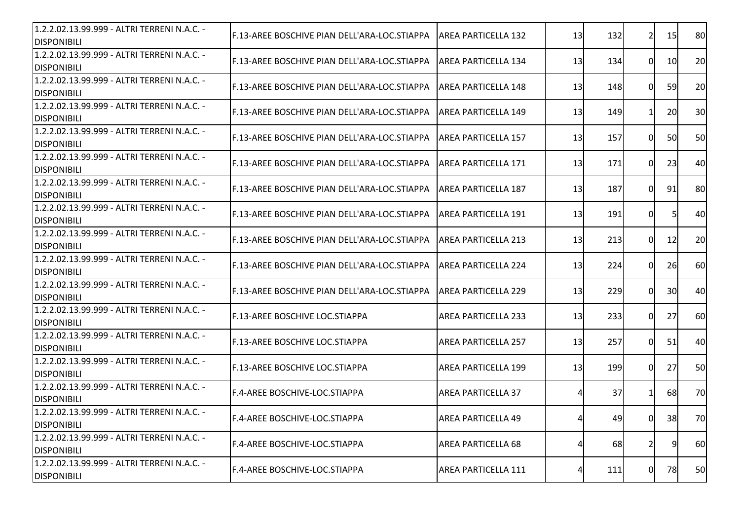| 1.2.2.02.13.99.999 - ALTRI TERRENI N.A.C. -<br><b>IDISPONIBILI</b> | <b>IF.13-AREE BOSCHIVE PIAN DELL'ARA-LOC.STIAPPA</b> | AREA PARTICELLA 132        | 13 | 132 | $\overline{2}$ | 15        | 80 |
|--------------------------------------------------------------------|------------------------------------------------------|----------------------------|----|-----|----------------|-----------|----|
| 1.2.2.02.13.99.999 - ALTRI TERRENI N.A.C. -<br><b>DISPONIBILI</b>  | F.13-AREE BOSCHIVE PIAN DELL'ARA-LOC.STIAPPA         | IAREA PARTICELLA 134       | 13 | 134 | $\overline{0}$ | <b>10</b> | 20 |
| 1.2.2.02.13.99.999 - ALTRI TERRENI N.A.C. -<br><b>DISPONIBILI</b>  | F.13-AREE BOSCHIVE PIAN DELL'ARA-LOC.STIAPPA         | <b>AREA PARTICELLA 148</b> | 13 | 148 | 0              | 59        | 20 |
| 1.2.2.02.13.99.999 - ALTRI TERRENI N.A.C. -<br><b>DISPONIBILI</b>  | F.13-AREE BOSCHIVE PIAN DELL'ARA-LOC.STIAPPA         | IAREA PARTICELLA 149       | 13 | 149 | 11             | 20        | 30 |
| 1.2.2.02.13.99.999 - ALTRI TERRENI N.A.C. -<br><b>DISPONIBILI</b>  | F.13-AREE BOSCHIVE PIAN DELL'ARA-LOC.STIAPPA         | <b>AREA PARTICELLA 157</b> | 13 | 157 | 0I             | 50        | 50 |
| 1.2.2.02.13.99.999 - ALTRI TERRENI N.A.C. -<br><b>DISPONIBILI</b>  | F.13-AREE BOSCHIVE PIAN DELL'ARA-LOC.STIAPPA         | <b>AREA PARTICELLA 171</b> | 13 | 171 | 0              | 23        | 40 |
| 1.2.2.02.13.99.999 - ALTRI TERRENI N.A.C. -<br><b>DISPONIBILI</b>  | F.13-AREE BOSCHIVE PIAN DELL'ARA-LOC.STIAPPA         | <b>AREA PARTICELLA 187</b> | 13 | 187 | $\overline{0}$ | 91        | 80 |
| 1.2.2.02.13.99.999 - ALTRI TERRENI N.A.C. -<br><b>DISPONIBILI</b>  | F.13-AREE BOSCHIVE PIAN DELL'ARA-LOC.STIAPPA         | AREA PARTICELLA 191        | 13 | 191 | $\overline{0}$ | 51        | 40 |
| 1.2.2.02.13.99.999 - ALTRI TERRENI N.A.C. -<br><b>DISPONIBILI</b>  | F.13-AREE BOSCHIVE PIAN DELL'ARA-LOC.STIAPPA         | <b>AREA PARTICELLA 213</b> | 13 | 213 | $\Omega$       | 12        | 20 |
| 1.2.2.02.13.99.999 - ALTRI TERRENI N.A.C. -<br><b>DISPONIBILI</b>  | F.13-AREE BOSCHIVE PIAN DELL'ARA-LOC.STIAPPA         | <b>AREA PARTICELLA 224</b> | 13 | 224 | 0              | 26        | 60 |
| 1.2.2.02.13.99.999 - ALTRI TERRENI N.A.C. -<br><b>DISPONIBILI</b>  | F.13-AREE BOSCHIVE PIAN DELL'ARA-LOC.STIAPPA         | <b>AREA PARTICELLA 229</b> | 13 | 229 | 0I             | 30        | 40 |
| 1.2.2.02.13.99.999 - ALTRI TERRENI N.A.C. -<br><b>DISPONIBILI</b>  | F.13-AREE BOSCHIVE LOC.STIAPPA                       | <b>AREA PARTICELLA 233</b> | 13 | 233 | 0I             | 27        | 60 |
| 1.2.2.02.13.99.999 - ALTRI TERRENI N.A.C. -<br><b>DISPONIBILI</b>  | F.13-AREE BOSCHIVE LOC.STIAPPA                       | <b>AREA PARTICELLA 257</b> | 13 | 257 | 0              | 51        | 40 |
| 1.2.2.02.13.99.999 - ALTRI TERRENI N.A.C. -<br><b>DISPONIBILI</b>  | <b>IF.13-AREE BOSCHIVE LOC.STIAPPA</b>               | <b>AREA PARTICELLA 199</b> | 13 | 199 | $\overline{0}$ | 27        | 50 |
| 1.2.2.02.13.99.999 - ALTRI TERRENI N.A.C. -<br><b>DISPONIBILI</b>  | IF.4-AREE BOSCHIVE-LOC.STIAPPA                       | <b>AREA PARTICELLA 37</b>  |    | 37  |                | 68        | 70 |
| 1.2.2.02.13.99.999 - ALTRI TERRENI N.A.C. -<br><b>DISPONIBILI</b>  | F.4-AREE BOSCHIVE-LOC.STIAPPA                        | <b>AREA PARTICELLA 49</b>  | 4  | 49  | 01             | 38        | 70 |
| 1.2.2.02.13.99.999 - ALTRI TERRENI N.A.C. -<br><b>DISPONIBILI</b>  | F.4-AREE BOSCHIVE-LOC.STIAPPA                        | <b>AREA PARTICELLA 68</b>  | 4  | 68  | $\overline{2}$ | 9         | 60 |
| 1.2.2.02.13.99.999 - ALTRI TERRENI N.A.C. -<br><b>DISPONIBILI</b>  | F.4-AREE BOSCHIVE-LOC.STIAPPA                        | <b>AREA PARTICELLA 111</b> |    | 111 | $\overline{0}$ | 78        | 50 |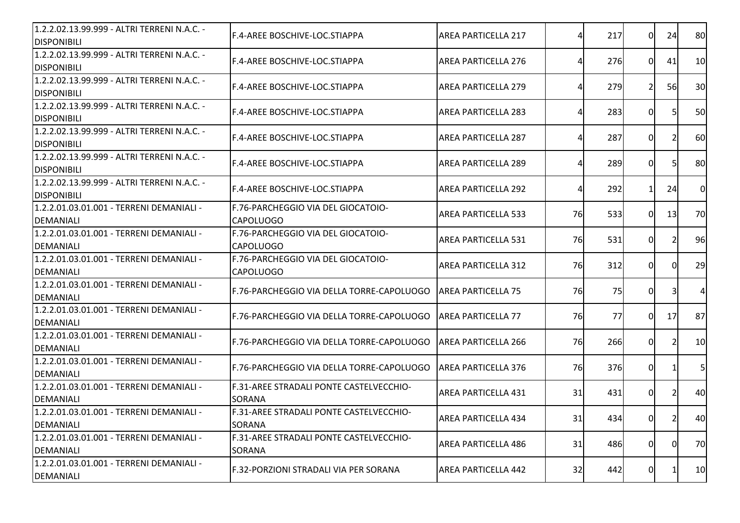| 1.2.2.02.13.99.999 - ALTRI TERRENI N.A.C. -<br><b>DISPONIBILI</b> | F.4-AREE BOSCHIVE-LOC.STIAPPA                            | <b>AREA PARTICELLA 217</b> | Δ  | 217 | $\Omega$       | 24 | 80             |
|-------------------------------------------------------------------|----------------------------------------------------------|----------------------------|----|-----|----------------|----|----------------|
| 1.2.2.02.13.99.999 - ALTRI TERRENI N.A.C. -<br><b>DISPONIBILI</b> | F.4-AREE BOSCHIVE-LOC.STIAPPA                            | AREA PARTICELLA 276        |    | 276 | 0I             | 41 | 10             |
| 1.2.2.02.13.99.999 - ALTRI TERRENI N.A.C. -<br><b>DISPONIBILI</b> | F.4-AREE BOSCHIVE-LOC.STIAPPA                            | <b>AREA PARTICELLA 279</b> |    | 279 | 21             | 56 | 30             |
| 1.2.2.02.13.99.999 - ALTRI TERRENI N.A.C. -<br><b>DISPONIBILI</b> | F.4-AREE BOSCHIVE-LOC.STIAPPA                            | <b>AREA PARTICELLA 283</b> |    | 283 | 0I             |    | 50             |
| 1.2.2.02.13.99.999 - ALTRI TERRENI N.A.C. -<br><b>DISPONIBILI</b> | <b>IF.4-AREE BOSCHIVE-LOC.STIAPPA</b>                    | <b>AREA PARTICELLA 287</b> |    | 287 | $\Omega$       |    | 60             |
| 1.2.2.02.13.99.999 - ALTRI TERRENI N.A.C. -<br><b>DISPONIBILI</b> | F.4-AREE BOSCHIVE-LOC.STIAPPA                            | <b>AREA PARTICELLA 289</b> |    | 289 | 0              | 51 | 80             |
| 1.2.2.02.13.99.999 - ALTRI TERRENI N.A.C. -<br><b>DISPONIBILI</b> | F.4-AREE BOSCHIVE-LOC.STIAPPA                            | <b>AREA PARTICELLA 292</b> | Δ  | 292 | 11             | 24 | $\overline{0}$ |
| 1.2.2.01.03.01.001 - TERRENI DEMANIALI -<br><b>DEMANIALI</b>      | F.76-PARCHEGGIO VIA DEL GIOCATOIO-<br><b>CAPOLUOGO</b>   | <b>AREA PARTICELLA 533</b> | 76 | 533 | 0I             | 13 | 70             |
| 1.2.2.01.03.01.001 - TERRENI DEMANIALI -<br><b>DEMANIALI</b>      | F.76-PARCHEGGIO VIA DEL GIOCATOIO-<br><b>CAPOLUOGO</b>   | <b>AREA PARTICELLA 531</b> | 76 | 531 | 0I             |    | 96             |
| 1.2.2.01.03.01.001 - TERRENI DEMANIALI -<br><b>DEMANIALI</b>      | F.76-PARCHEGGIO VIA DEL GIOCATOIO-<br><b>CAPOLUOGO</b>   | <b>AREA PARTICELLA 312</b> | 76 | 312 | $\Omega$       |    | 29             |
| 1.2.2.01.03.01.001 - TERRENI DEMANIALI -<br><b>DEMANIALI</b>      | F.76-PARCHEGGIO VIA DELLA TORRE-CAPOLUOGO                | <b>JAREA PARTICELLA 75</b> | 76 | 75  | 0I             |    | $\overline{4}$ |
| 1.2.2.01.03.01.001 - TERRENI DEMANIALI -<br><b>DEMANIALI</b>      | F.76-PARCHEGGIO VIA DELLA TORRE-CAPOLUOGO                | <b>AREA PARTICELLA 77</b>  | 76 | 77  | 0I             | 17 | 87             |
| 1.2.2.01.03.01.001 - TERRENI DEMANIALI -<br><b>DEMANIALI</b>      | F.76-PARCHEGGIO VIA DELLA TORRE-CAPOLUOGO                | <b>AREA PARTICELLA 266</b> | 76 | 266 | 0              | 2  | 10             |
| 1.2.2.01.03.01.001 - TERRENI DEMANIALI -<br><b>DEMANIALI</b>      | F.76-PARCHEGGIO VIA DELLA TORRE-CAPOLUOGO                | <b>AREA PARTICELLA 376</b> | 76 | 376 | $\overline{0}$ |    | 5              |
| 1.2.2.01.03.01.001 - TERRENI DEMANIALI -<br><b>DEMANIALI</b>      | F.31-AREE STRADALI PONTE CASTELVECCHIO-<br><b>SORANA</b> | <b>AREA PARTICELLA 431</b> | 31 | 431 | 0I             |    | 40             |
| 1.2.2.01.03.01.001 - TERRENI DEMANIALI -<br><b>DEMANIALI</b>      | F.31-AREE STRADALI PONTE CASTELVECCHIO-<br><b>SORANA</b> | <b>AREA PARTICELLA 434</b> | 31 | 434 | 0              | 2  | 40             |
| 1.2.2.01.03.01.001 - TERRENI DEMANIALI -<br>DEMANIALI             | F.31-AREE STRADALI PONTE CASTELVECCHIO-<br><b>SORANA</b> | <b>AREA PARTICELLA 486</b> | 31 | 486 | $\overline{0}$ | 0I | 70             |
| 1.2.2.01.03.01.001 - TERRENI DEMANIALI -<br><b>DEMANIALI</b>      | F.32-PORZIONI STRADALI VIA PER SORANA                    | <b>AREA PARTICELLA 442</b> | 32 | 442 | 0              |    | 10             |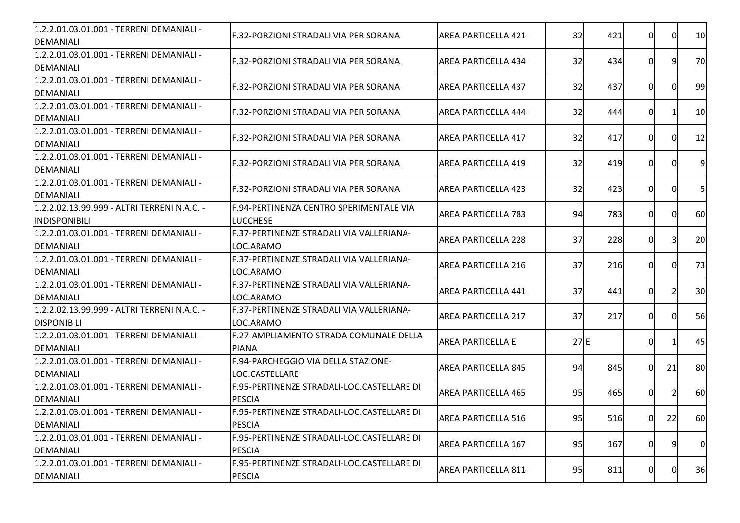| 1.2.2.01.03.01.001 - TERRENI DEMANIALI -<br>DEMANIALI | F.32-PORZIONI STRADALI VIA PER SORANA      | <b>AREA PARTICELLA 421</b> | 32  | 421 | 0              | 0I | 10             |
|-------------------------------------------------------|--------------------------------------------|----------------------------|-----|-----|----------------|----|----------------|
| 1.2.2.01.03.01.001 - TERRENI DEMANIALI -              | F.32-PORZIONI STRADALI VIA PER SORANA      | AREA PARTICELLA 434        | 32  | 434 | 0              | 9  | 70             |
| DEMANIALI                                             |                                            |                            |     |     |                |    |                |
| 1.2.2.01.03.01.001 - TERRENI DEMANIALI -              | IF.32-PORZIONI STRADALI VIA PER SORANA     | AREA PARTICELLA 437        | 32  | 437 | 0              |    | 99             |
| <b>IDEMANIALI</b>                                     |                                            |                            |     |     |                |    |                |
| 1.2.2.01.03.01.001 - TERRENI DEMANIALI -<br>DEMANIALI | F.32-PORZIONI STRADALI VIA PER SORANA      | <b>AREA PARTICELLA 444</b> | 32  | 444 | 0              |    | 10             |
| 1.2.2.01.03.01.001 - TERRENI DEMANIALI -              |                                            |                            |     |     |                |    |                |
| DEMANIALI                                             | F.32-PORZIONI STRADALI VIA PER SORANA      | <b>AREA PARTICELLA 417</b> | 32  | 417 | $\Omega$       |    | 12             |
| 1.2.2.01.03.01.001 - TERRENI DEMANIALI -              |                                            |                            |     |     |                |    |                |
| DEMANIALI                                             | F.32-PORZIONI STRADALI VIA PER SORANA      | <b>AREA PARTICELLA 419</b> | 32  | 419 | 0              | ΩI | 9              |
| 1.2.2.01.03.01.001 - TERRENI DEMANIALI -              |                                            |                            |     |     |                |    |                |
| DEMANIALI                                             | F.32-PORZIONI STRADALI VIA PER SORANA      | <b>AREA PARTICELLA 423</b> | 32  | 423 | $\overline{0}$ | 0  | 5 <sub>l</sub> |
| 1.2.2.02.13.99.999 - ALTRI TERRENI N.A.C. -           | IF.94-PERTINENZA CENTRO SPERIMENTALE VIA   | <b>AREA PARTICELLA 783</b> | 94  | 783 | 0              | ΩI | 60             |
| <b>INDISPONIBILI</b>                                  | <b>LUCCHESE</b>                            |                            |     |     |                |    |                |
| 1.2.2.01.03.01.001 - TERRENI DEMANIALI -              | F.37-PERTINENZE STRADALI VIA VALLERIANA-   | <b>AREA PARTICELLA 228</b> | 37  | 228 | 0              |    | 20             |
| DEMANIALI                                             | LOC.ARAMO                                  |                            |     |     |                |    |                |
| 1.2.2.01.03.01.001 - TERRENI DEMANIALI -              | F.37-PERTINENZE STRADALI VIA VALLERIANA-   | <b>AREA PARTICELLA 216</b> | 37  | 216 | $\Omega$       |    | 73             |
| DEMANIALI                                             | ILOC.ARAMO                                 |                            |     |     |                |    |                |
| 1.2.2.01.03.01.001 - TERRENI DEMANIALI -              | F.37-PERTINENZE STRADALI VIA VALLERIANA-   | AREA PARTICELLA 441        | 37  | 441 | 0I             |    | 30             |
| DEMANIALI                                             | LOC.ARAMO                                  |                            |     |     |                |    |                |
| 1.2.2.02.13.99.999 - ALTRI TERRENI N.A.C. -           | F.37-PERTINENZE STRADALI VIA VALLERIANA-   | <b>AREA PARTICELLA 217</b> | 37  | 217 | 0              |    | 56             |
| <b>DISPONIBILI</b>                                    | LOC.ARAMO                                  |                            |     |     |                |    |                |
| 1.2.2.01.03.01.001 - TERRENI DEMANIALI -              | F.27-AMPLIAMENTO STRADA COMUNALE DELLA     | <b>AREA PARTICELLA E</b>   | 27E |     | 0              |    | 45             |
| DEMANIALI                                             | <b>PIANA</b>                               |                            |     |     |                |    |                |
| 1.2.2.01.03.01.001 - TERRENI DEMANIALI -              | F.94-PARCHEGGIO VIA DELLA STAZIONE-        | <b>AREA PARTICELLA 845</b> | 94  | 845 | $\overline{0}$ | 21 | 80             |
| DEMANIALI                                             | LOC.CASTELLARE                             |                            |     |     |                |    |                |
| 1.2.2.01.03.01.001 - TERRENI DEMANIALI -              | F.95-PERTINENZE STRADALI-LOC.CASTELLARE DI | <b>AREA PARTICELLA 465</b> | 95  | 465 | 0I             |    | 60             |
| <b>DEMANIALI</b>                                      | <b>PESCIA</b>                              |                            |     |     |                |    |                |
| 1.2.2.01.03.01.001 - TERRENI DEMANIALI -              | F.95-PERTINENZE STRADALI-LOC.CASTELLARE DI | AREA PARTICELLA 516        | 95  | 516 | <sup>O</sup>   | 22 | <b>60</b>      |
| DEMANIALI                                             | <b>PESCIA</b>                              |                            |     |     |                |    |                |
| 1.2.2.01.03.01.001 - TERRENI DEMANIALI -              | F.95-PERTINENZE STRADALI-LOC.CASTELLARE DI | <b>AREA PARTICELLA 167</b> | 95  | 167 | $\overline{0}$ | 9  | $\overline{0}$ |
| DEMANIALI                                             | <b>PESCIA</b>                              |                            |     |     |                |    |                |
| 1.2.2.01.03.01.001 - TERRENI DEMANIALI -              | F.95-PERTINENZE STRADALI-LOC.CASTELLARE DI | AREA PARTICELLA 811        | 95  | 811 | $\overline{0}$ | 0  | 36             |
| DEMANIALI                                             | <b>PESCIA</b>                              |                            |     |     |                |    |                |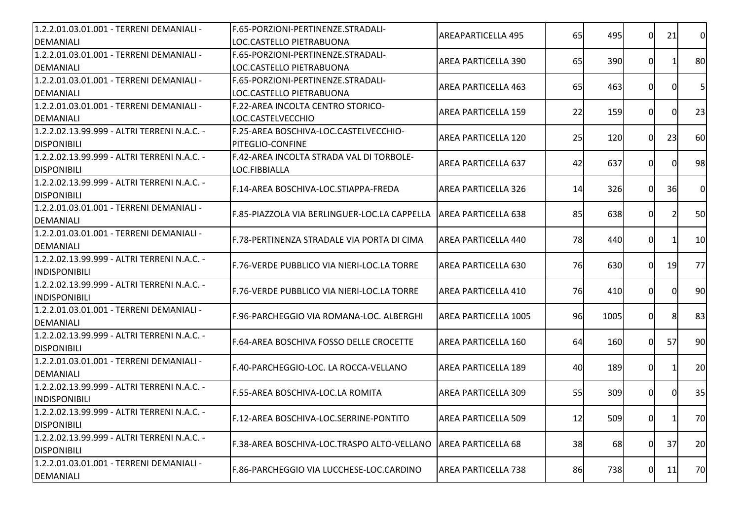| 1.2.2.01.03.01.001 - TERRENI DEMANIALI -    | F.65-PORZIONI-PERTINENZE.STRADALI-                 | <b>AREAPARTICELLA 495</b>  | 65 | 495  | $\Omega$     | 21             | <sub>0</sub>   |
|---------------------------------------------|----------------------------------------------------|----------------------------|----|------|--------------|----------------|----------------|
| DEMANIALI                                   | LOC.CASTELLO PIETRABUONA                           |                            |    |      |              |                |                |
| 1.2.2.01.03.01.001 - TERRENI DEMANIALI -    | F.65-PORZIONI-PERTINENZE.STRADALI-                 | <b>AREA PARTICELLA 390</b> | 65 | 390  | 01           |                | 80             |
| DEMANIALI                                   | LOC.CASTELLO PIETRABUONA                           |                            |    |      |              |                |                |
| 1.2.2.01.03.01.001 - TERRENI DEMANIALI -    | IF.65-PORZIONI-PERTINENZE.STRADALI-                | <b>AREA PARTICELLA 463</b> | 65 | 463  | 01           | ΩI             | 5 <sub>l</sub> |
| DEMANIALI                                   | LOC.CASTELLO PIETRABUONA                           |                            |    |      |              |                |                |
| 1.2.2.01.03.01.001 - TERRENI DEMANIALI -    | F.22-AREA INCOLTA CENTRO STORICO-                  | <b>AREA PARTICELLA 159</b> | 22 | 159  | $\Omega$     | ΩI             | 23             |
| DEMANIALI                                   | LOC.CASTELVECCHIO                                  |                            |    |      |              |                |                |
| 1.2.2.02.13.99.999 - ALTRI TERRENI N.A.C. - | F.25-AREA BOSCHIVA-LOC.CASTELVECCHIO-              | <b>AREA PARTICELLA 120</b> | 25 | 120  | 0l           | 23             | 60             |
| <b>DISPONIBILI</b>                          | PITEGLIO-CONFINE                                   |                            |    |      |              |                |                |
| 1.2.2.02.13.99.999 - ALTRI TERRENI N.A.C. - | F.42-AREA INCOLTA STRADA VAL DI TORBOLE-           | <b>AREA PARTICELLA 637</b> | 42 | 637  | 0l           | $\Omega$       | 98             |
| <b>DISPONIBILI</b>                          | LOC.FIBBIALLA                                      |                            |    |      |              |                |                |
| 1.2.2.02.13.99.999 - ALTRI TERRENI N.A.C. - |                                                    |                            |    |      |              |                | $\overline{0}$ |
| <b>DISPONIBILI</b>                          | F.14-AREA BOSCHIVA-LOC.STIAPPA-FREDA               | <b>AREA PARTICELLA 326</b> | 14 | 326  | $\Omega$     | 36             |                |
| 1.2.2.01.03.01.001 - TERRENI DEMANIALI -    |                                                    |                            |    |      |              |                |                |
| DEMANIALI                                   | IF.85-PIAZZOLA VIA BERLINGUER-LOC.LA CAPPELLA      | <b>AREA PARTICELLA 638</b> | 85 | 638  | 01           | $\overline{2}$ | 50             |
| 1.2.2.01.03.01.001 - TERRENI DEMANIALI -    |                                                    |                            |    |      |              |                |                |
| DEMANIALI                                   | F.78-PERTINENZA STRADALE VIA PORTA DI CIMA         | AREA PARTICELLA 440        | 78 | 440  | 0            |                | 10             |
| 1.2.2.02.13.99.999 - ALTRI TERRENI N.A.C. - |                                                    |                            |    |      |              |                |                |
| <b>INDISPONIBILI</b>                        | <b>IF.76-VERDE PUBBLICO VIA NIERI-LOC.LA TORRE</b> | <b>AREA PARTICELLA 630</b> | 76 | 630  | ΩI           | <b>19</b>      | 77             |
| 1.2.2.02.13.99.999 - ALTRI TERRENI N.A.C. - |                                                    |                            | 76 |      | ΩI           | $\Omega$       | 90             |
| <b>INDISPONIBILI</b>                        | IF.76-VERDE PUBBLICO VIA NIERI-LOC.LA TORRE        | <b>AREA PARTICELLA 410</b> |    | 410  |              |                |                |
| 1.2.2.01.03.01.001 - TERRENI DEMANIALI -    |                                                    |                            | 96 |      |              | 8              | 83             |
| <b>DEMANIALI</b>                            | F.96-PARCHEGGIO VIA ROMANA-LOC. ALBERGHI           | AREA PARTICELLA 1005       |    | 1005 | 0l           |                |                |
| 1.2.2.02.13.99.999 - ALTRI TERRENI N.A.C. - | F.64-AREA BOSCHIVA FOSSO DELLE CROCETTE            | AREA PARTICELLA 160        | 64 | 160  | $\Omega$     | <b>57</b>      | 90             |
| <b>DISPONIBILI</b>                          |                                                    |                            |    |      |              |                |                |
| 1.2.2.01.03.01.001 - TERRENI DEMANIALI -    | lF.40-PARCHEGGIO-LOC. LA ROCCA-VELLANO             |                            |    |      |              |                |                |
| DEMANIALI                                   |                                                    | <b>AREA PARTICELLA 189</b> | 40 | 189  | 01           |                | 20             |
| 1.2.2.02.13.99.999 - ALTRI TERRENI N.A.C. - |                                                    |                            |    |      |              |                |                |
| INDISPONIBILI                               | <b>F.55-AREA BOSCHIVA-LOC.LA ROMITA</b>            | <b>AREA PARTICELLA 309</b> | 55 | 309  | $\Omega$     | 0              | 35             |
| 1.2.2.02.13.99.999 - ALTRI TERRENI N.A.C. - |                                                    |                            |    |      |              |                |                |
| <b>DISPONIBILI</b>                          | F.12-AREA BOSCHIVA-LOC.SERRINE-PONTITO             | IAREA PARTICELLA 509       | 12 | 509  | <sub>0</sub> | 1              | 70             |
| 1.2.2.02.13.99.999 - ALTRI TERRENI N.A.C. - |                                                    |                            |    |      |              |                |                |
| <b>DISPONIBILI</b>                          | F.38-AREA BOSCHIVA-LOC.TRASPO ALTO-VELLANO         | <b>AREA PARTICELLA 68</b>  | 38 | 68   | 0            | 37             | 20             |
| 1.2.2.01.03.01.001 - TERRENI DEMANIALI -    |                                                    |                            |    |      |              |                |                |
| DEMANIALI                                   | F.86-PARCHEGGIO VIA LUCCHESE-LOC.CARDINO           | <b>AREA PARTICELLA 738</b> | 86 | 738  | $\Omega$     | 11             | 70             |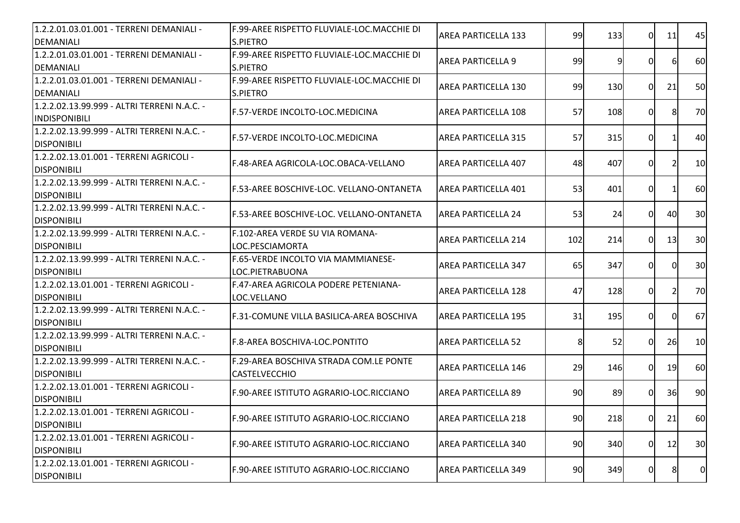| 1.2.2.01.03.01.001 - TERRENI DEMANIALI -<br><b>DEMANIALI</b>        | IF.99-AREE RISPETTO FLUVIALE-LOC.MACCHIE DI<br><b>S.PIETRO</b> | <b>AREA PARTICELLA 133</b> | 99  | 133 | $\Omega$       | 11        | 45             |
|---------------------------------------------------------------------|----------------------------------------------------------------|----------------------------|-----|-----|----------------|-----------|----------------|
| 1.2.2.01.03.01.001 - TERRENI DEMANIALI -<br><b>DEMANIALI</b>        | F.99-AREE RISPETTO FLUVIALE-LOC.MACCHIE DI<br><b>S.PIETRO</b>  | <b>AREA PARTICELLA 9</b>   | 99  | 9   | $\Omega$       | 61        | 60             |
| 1.2.2.01.03.01.001 - TERRENI DEMANIALI -<br><b>DEMANIALI</b>        | F.99-AREE RISPETTO FLUVIALE-LOC.MACCHIE DI<br><b>S.PIETRO</b>  | AREA PARTICELLA 130        | 99  | 130 | $\Omega$       | 21        | 50             |
| 1.2.2.02.13.99.999 - ALTRI TERRENI N.A.C. -<br><b>INDISPONIBILI</b> | F.57-VERDE INCOLTO-LOC.MEDICINA                                | AREA PARTICELLA 108        | 57  | 108 | 0I             | 8         | 70             |
| 1.2.2.02.13.99.999 - ALTRI TERRENI N.A.C. -<br><b>DISPONIBILI</b>   | F.57-VERDE INCOLTO-LOC.MEDICINA                                | <b>AREA PARTICELLA 315</b> | 57  | 315 | $\Omega$       |           | 40             |
| 1.2.2.02.13.01.001 - TERRENI AGRICOLI -<br><b>DISPONIBILI</b>       | F.48-AREA AGRICOLA-LOC.OBACA-VELLANO                           | <b>AREA PARTICELLA 407</b> | 48  | 407 | 0              |           | 10             |
| 1.2.2.02.13.99.999 - ALTRI TERRENI N.A.C. -<br><b>DISPONIBILI</b>   | F.53-AREE BOSCHIVE-LOC. VELLANO-ONTANETA                       | AREA PARTICELLA 401        | 53  | 401 | 0              |           | 60             |
| 1.2.2.02.13.99.999 - ALTRI TERRENI N.A.C. -<br><b>DISPONIBILI</b>   | <b>IF.53-AREE BOSCHIVE-LOC. VELLANO-ONTANETA</b>               | IAREA PARTICELLA 24        | 53  | 24  | 0I             | 40        | 30             |
| 1.2.2.02.13.99.999 - ALTRI TERRENI N.A.C. -<br><b>DISPONIBILI</b>   | F.102-AREA VERDE SU VIA ROMANA-<br>LOC.PESCIAMORTA             | <b>AREA PARTICELLA 214</b> | 102 | 214 | 0I             | 13        | 30             |
| 1.2.2.02.13.99.999 - ALTRI TERRENI N.A.C. -<br><b>DISPONIBILI</b>   | F.65-VERDE INCOLTO VIA MAMMIANESE-<br>LOC.PIETRABUONA          | <b>AREA PARTICELLA 347</b> | 65  | 347 | $\Omega$       |           | 30             |
| 1.2.2.02.13.01.001 - TERRENI AGRICOLI -<br><b>DISPONIBILI</b>       | F.47-AREA AGRICOLA PODERE PETENIANA-<br>LOC.VELLANO            | <b>AREA PARTICELLA 128</b> | 47  | 128 | $\Omega$       |           | 70             |
| 1.2.2.02.13.99.999 - ALTRI TERRENI N.A.C. -<br><b>DISPONIBILI</b>   | F.31-COMUNE VILLA BASILICA-AREA BOSCHIVA                       | AREA PARTICELLA 195        | 31  | 195 | 0I             | 0         | 67             |
| 1.2.2.02.13.99.999 - ALTRI TERRENI N.A.C. -<br><b>DISPONIBILI</b>   | F.8-AREA BOSCHIVA-LOC.PONTITO                                  | <b>AREA PARTICELLA 52</b>  | 8   | 52  | $\Omega$       | <b>26</b> | 10             |
| 1.2.2.02.13.99.999 - ALTRI TERRENI N.A.C. -<br><b>DISPONIBILI</b>   | F.29-AREA BOSCHIVA STRADA COM.LE PONTE<br><b>CASTELVECCHIO</b> | <b>AREA PARTICELLA 146</b> | 29  | 146 | $\overline{0}$ | 19        | 60             |
| 1.2.2.02.13.01.001 - TERRENI AGRICOLI -<br><b>DISPONIBILI</b>       | F.90-AREE ISTITUTO AGRARIO-LOC.RICCIANO                        | <b>AREA PARTICELLA 89</b>  | 90  | 89  | 0              | 36        | 90             |
| 1.2.2.02.13.01.001 - TERRENI AGRICOLI -<br><b>DISPONIBILI</b>       | F.90-AREE ISTITUTO AGRARIO-LOC.RICCIANO                        | IAREA PARTICELLA 218       | 90  | 218 | 0I             | 21        | 60I            |
| 1.2.2.02.13.01.001 - TERRENI AGRICOLI -<br><b>DISPONIBILI</b>       | F.90-AREE ISTITUTO AGRARIO-LOC.RICCIANO                        | AREA PARTICELLA 340        | 90  | 340 | $\overline{0}$ | 12        | 30             |
| 1.2.2.02.13.01.001 - TERRENI AGRICOLI -<br><b>DISPONIBILI</b>       | F.90-AREE ISTITUTO AGRARIO-LOC.RICCIANO                        | <b>AREA PARTICELLA 349</b> | 90  | 349 | $\overline{0}$ | 8         | $\overline{0}$ |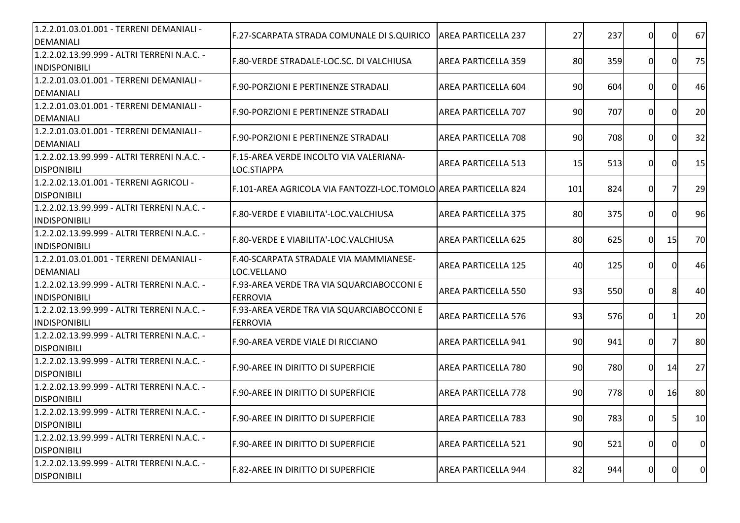| 1.2.2.01.03.01.001 - TERRENI DEMANIALI -<br><b>DEMANIALI</b>        | F.27-SCARPATA STRADA COMUNALE DI S.QUIRICO                      | <b>AREA PARTICELLA 237</b> | 27  | 237 | 0              | $\Omega$  | 67              |
|---------------------------------------------------------------------|-----------------------------------------------------------------|----------------------------|-----|-----|----------------|-----------|-----------------|
| 1.2.2.02.13.99.999 - ALTRI TERRENI N.A.C. -<br>INDISPONIBILI        | F.80-VERDE STRADALE-LOC.SC. DI VALCHIUSA                        | <b>AREA PARTICELLA 359</b> | 80  | 359 | $\overline{0}$ | 0I        | 75              |
| 1.2.2.01.03.01.001 - TERRENI DEMANIALI -<br><b>DEMANIALI</b>        | F.90-PORZIONI E PERTINENZE STRADALI                             | AREA PARTICELLA 604        | 90  | 604 | 0              | 0         | 46              |
| 1.2.2.01.03.01.001 - TERRENI DEMANIALI -<br><b>DEMANIALI</b>        | F.90-PORZIONI E PERTINENZE STRADALI                             | AREA PARTICELLA 707        | 90  | 707 | $\Omega$       | ΩI        | 20              |
| 1.2.2.01.03.01.001 - TERRENI DEMANIALI -<br><b>DEMANIALI</b>        | F.90-PORZIONI E PERTINENZE STRADALI                             | <b>AREA PARTICELLA 708</b> | 90  | 708 | 0I             | $\Omega$  | 32              |
| 1.2.2.02.13.99.999 - ALTRI TERRENI N.A.C. -<br><b>DISPONIBILI</b>   | F.15-AREA VERDE INCOLTO VIA VALERIANA-<br>LOC.STIAPPA           | <b>AREA PARTICELLA 513</b> | 15  | 513 | 0              | $\Omega$  | 15              |
| 1.2.2.02.13.01.001 - TERRENI AGRICOLI -<br><b>DISPONIBILI</b>       | F.101-AREA AGRICOLA VIA FANTOZZI-LOC.TOMOLO AREA PARTICELLA 824 |                            | 101 | 824 | $\overline{0}$ |           | 29              |
| 1.2.2.02.13.99.999 - ALTRI TERRENI N.A.C. -<br>INDISPONIBILI        | F.80-VERDE E VIABILITA'-LOC.VALCHIUSA                           | <b>AREA PARTICELLA 375</b> | 80  | 375 | $\overline{0}$ | 0I        | 96              |
| 1.2.2.02.13.99.999 - ALTRI TERRENI N.A.C. -<br>INDISPONIBILI        | F.80-VERDE E VIABILITA'-LOC.VALCHIUSA                           | <b>AREA PARTICELLA 625</b> | 80  | 625 | $\Omega$       | 15        | 70              |
| 1.2.2.01.03.01.001 - TERRENI DEMANIALI -<br>DEMANIALI               | F.40-SCARPATA STRADALE VIA MAMMIANESE-<br>LOC.VELLANO           | <b>AREA PARTICELLA 125</b> | 40  | 125 | 0              |           | 46              |
| 1.2.2.02.13.99.999 - ALTRI TERRENI N.A.C. -<br><b>INDISPONIBILI</b> | F.93-AREA VERDE TRA VIA SQUARCIABOCCONI E<br><b>FERROVIA</b>    | <b>AREA PARTICELLA 550</b> | 93  | 550 | $\Omega$       |           | 40              |
| 1.2.2.02.13.99.999 - ALTRI TERRENI N.A.C. -<br><b>INDISPONIBILI</b> | F.93-AREA VERDE TRA VIA SQUARCIABOCCONI E<br><b>FERROVIA</b>    | <b>AREA PARTICELLA 576</b> | 93  | 576 | $\Omega$       |           | 20              |
| 1.2.2.02.13.99.999 - ALTRI TERRENI N.A.C. -<br><b>DISPONIBILI</b>   | F.90-AREA VERDE VIALE DI RICCIANO                               | <b>AREA PARTICELLA 941</b> | 90  | 941 | $\overline{0}$ |           | 80              |
| 1.2.2.02.13.99.999 - ALTRI TERRENI N.A.C. -<br><b>DISPONIBILI</b>   | F.90-AREE IN DIRITTO DI SUPERFICIE                              | AREA PARTICELLA 780        | 90  | 780 | $\overline{0}$ | 14        | 27              |
| 1.2.2.02.13.99.999 - ALTRI TERRENI N.A.C. -<br><b>DISPONIBILI</b>   | IF.90-AREE IN DIRITTO DI SUPERFICIE                             | <b>AREA PARTICELLA 778</b> | 90  | 778 | $\Omega$       | <b>16</b> | 80              |
| 1.2.2.02.13.99.999 - ALTRI TERRENI N.A.C. -<br><b>DISPONIBILI</b>   | F.90-AREE IN DIRITTO DI SUPERFICIE                              | AREA PARTICELLA 783        | 90  | 783 | 01             | 51        | 10 <sub>l</sub> |
| 1.2.2.02.13.99.999 - ALTRI TERRENI N.A.C. -<br><b>DISPONIBILI</b>   | F.90-AREE IN DIRITTO DI SUPERFICIE                              | <b>AREA PARTICELLA 521</b> | 90  | 521 | $\overline{0}$ | 01        | $\overline{0}$  |
| 1.2.2.02.13.99.999 - ALTRI TERRENI N.A.C. -<br><b>DISPONIBILI</b>   | <b>F.82-AREE IN DIRITTO DI SUPERFICIE</b>                       | <b>AREA PARTICELLA 944</b> | 82  | 944 | $\overline{0}$ | 0         | $\overline{0}$  |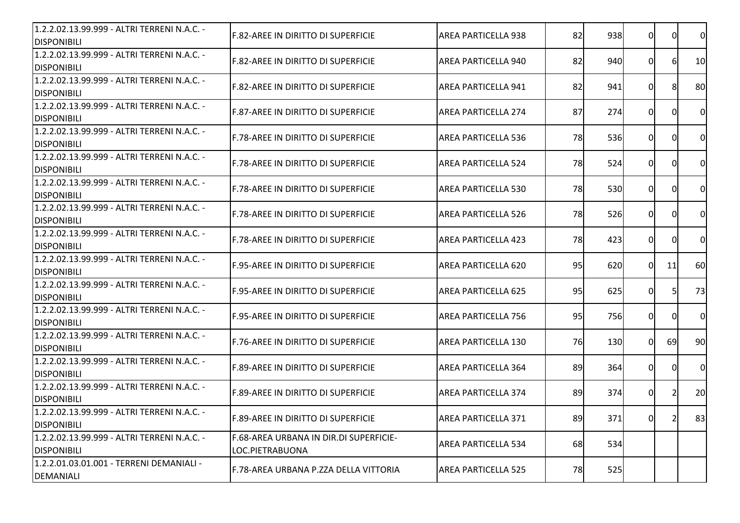| 1.2.2.02.13.99.999 - ALTRI TERRENI N.A.C. -<br><b>DISPONIBILI</b> | <b>F.82-AREE IN DIRITTO DI SUPERFICIE</b>                         | <b>AREA PARTICELLA 938</b> | 82 | 938 | 0I       | $\Omega$       | $\overline{0}$ |
|-------------------------------------------------------------------|-------------------------------------------------------------------|----------------------------|----|-----|----------|----------------|----------------|
| 1.2.2.02.13.99.999 - ALTRI TERRENI N.A.C. -<br><b>DISPONIBILI</b> | <b>F.82-AREE IN DIRITTO DI SUPERFICIE</b>                         | AREA PARTICELLA 940        | 82 | 940 | 0        | 6              | 10             |
| 1.2.2.02.13.99.999 - ALTRI TERRENI N.A.C. -<br><b>DISPONIBILI</b> | <b>IF.82-AREE IN DIRITTO DI SUPERFICIE</b>                        | <b>AREA PARTICELLA 941</b> | 82 | 941 | $\Omega$ | 8              | 80             |
| 1.2.2.02.13.99.999 - ALTRI TERRENI N.A.C. -<br><b>DISPONIBILI</b> | <b>F.87-AREE IN DIRITTO DI SUPERFICIE</b>                         | <b>AREA PARTICELLA 274</b> | 87 | 274 | ΩI       | $\Omega$       | $\overline{0}$ |
| 1.2.2.02.13.99.999 - ALTRI TERRENI N.A.C. -<br><b>DISPONIBILI</b> | F.78-AREE IN DIRITTO DI SUPERFICIE                                | <b>AREA PARTICELLA 536</b> | 78 | 536 | ΩI       | <sup>0</sup>   | $\mathsf{O}$   |
| 1.2.2.02.13.99.999 - ALTRI TERRENI N.A.C. -<br><b>DISPONIBILI</b> | F.78-AREE IN DIRITTO DI SUPERFICIE                                | <b>AREA PARTICELLA 524</b> | 78 | 524 | 0I       | $\Omega$       | $\overline{0}$ |
| 1.2.2.02.13.99.999 - ALTRI TERRENI N.A.C. -<br><b>DISPONIBILI</b> | F.78-AREE IN DIRITTO DI SUPERFICIE                                | AREA PARTICELLA 530        | 78 | 530 | 0I       | $\Omega$       | $\overline{0}$ |
| 1.2.2.02.13.99.999 - ALTRI TERRENI N.A.C. -<br><b>DISPONIBILI</b> | F.78-AREE IN DIRITTO DI SUPERFICIE                                | AREA PARTICELLA 526        | 78 | 526 | ΟI       | $\Omega$       | $\overline{0}$ |
| 1.2.2.02.13.99.999 - ALTRI TERRENI N.A.C. -<br><b>DISPONIBILI</b> | F.78-AREE IN DIRITTO DI SUPERFICIE                                | <b>AREA PARTICELLA 423</b> | 78 | 423 | 0        | $\Omega$       | $\overline{0}$ |
| 1.2.2.02.13.99.999 - ALTRI TERRENI N.A.C. -<br><b>DISPONIBILI</b> | F.95-AREE IN DIRITTO DI SUPERFICIE                                | <b>AREA PARTICELLA 620</b> | 95 | 620 | $\Omega$ | 11             | 60             |
| 1.2.2.02.13.99.999 - ALTRI TERRENI N.A.C. -<br><b>DISPONIBILI</b> | IF.95-AREE IN DIRITTO DI SUPERFICIE                               | <b>AREA PARTICELLA 625</b> | 95 | 625 | ΩL       | 5              | 73             |
| 1.2.2.02.13.99.999 - ALTRI TERRENI N.A.C. -<br><b>DISPONIBILI</b> | F.95-AREE IN DIRITTO DI SUPERFICIE                                | <b>AREA PARTICELLA 756</b> | 95 | 756 | 0I       | $\Omega$       | $\overline{0}$ |
| 1.2.2.02.13.99.999 - ALTRI TERRENI N.A.C. -<br><b>DISPONIBILI</b> | F.76-AREE IN DIRITTO DI SUPERFICIE                                | AREA PARTICELLA 130        | 76 | 130 | ΩI       | 69             | 90             |
| 1.2.2.02.13.99.999 - ALTRI TERRENI N.A.C. -<br><b>DISPONIBILI</b> | <b>F.89-AREE IN DIRITTO DI SUPERFICIE</b>                         | AREA PARTICELLA 364        | 89 | 364 | 01       | $\Omega$       | $\overline{0}$ |
| 1.2.2.02.13.99.999 - ALTRI TERRENI N.A.C. -<br><b>DISPONIBILI</b> | IF.89-AREE IN DIRITTO DI SUPERFICIE                               | <b>AREA PARTICELLA 374</b> | 89 | 374 | 0        | $\overline{2}$ | 20             |
| 1.2.2.02.13.99.999 - ALTRI TERRENI N.A.C. -<br><b>DISPONIBILI</b> | IF.89-AREE IN DIRITTO DI SUPERFICIE                               | AREA PARTICELLA 371        | 89 | 371 | 0I       | $\mathbf{z}$   | 83             |
| 1.2.2.02.13.99.999 - ALTRI TERRENI N.A.C. -<br><b>DISPONIBILI</b> | <b>IF.68-AREA URBANA IN DIR.DI SUPERFICIE-</b><br>LOC.PIETRABUONA | <b>AREA PARTICELLA 534</b> | 68 | 534 |          |                |                |
| 1.2.2.01.03.01.001 - TERRENI DEMANIALI -<br><b>DEMANIALI</b>      | F.78-AREA URBANA P.ZZA DELLA VITTORIA                             | AREA PARTICELLA 525        | 78 | 525 |          |                |                |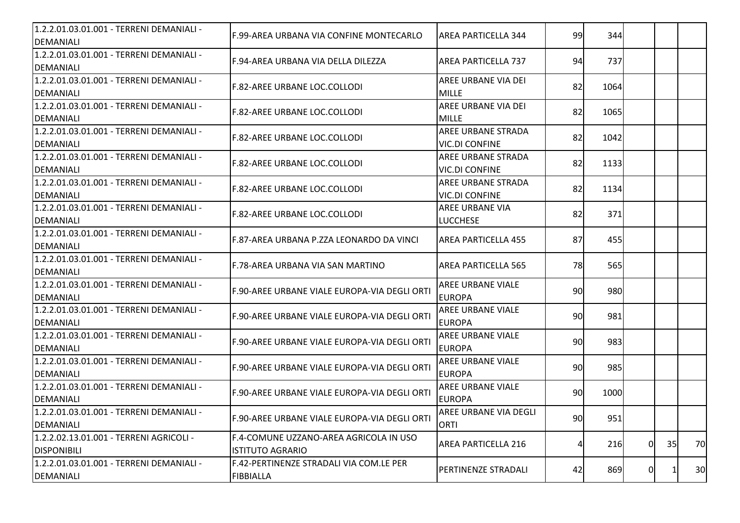| 1.2.2.01.03.01.001 - TERRENI DEMANIALI -<br><b>DEMANIALI</b> | F.99-AREA URBANA VIA CONFINE MONTECARLO       | <b>AREA PARTICELLA 344</b> | 99 | 344  |          |    |    |
|--------------------------------------------------------------|-----------------------------------------------|----------------------------|----|------|----------|----|----|
| 1.2.2.01.03.01.001 - TERRENI DEMANIALI -                     |                                               |                            |    |      |          |    |    |
| DEMANIALI                                                    | F.94-AREA URBANA VIA DELLA DILEZZA            | <b>AREA PARTICELLA 737</b> | 94 | 737  |          |    |    |
| 1.2.2.01.03.01.001 - TERRENI DEMANIALI -                     |                                               | AREE URBANE VIA DEI        |    |      |          |    |    |
| DEMANIALI                                                    | F.82-AREE URBANE LOC.COLLODI                  | <b>MILLE</b>               | 82 | 1064 |          |    |    |
| 1.2.2.01.03.01.001 - TERRENI DEMANIALI -                     | F.82-AREE URBANE LOC.COLLODI                  | AREE URBANE VIA DEI        | 82 | 1065 |          |    |    |
| DEMANIALI                                                    |                                               | <b>MILLE</b>               |    |      |          |    |    |
| 1.2.2.01.03.01.001 - TERRENI DEMANIALI -                     | F.82-AREE URBANE LOC.COLLODI                  | <b>AREE URBANE STRADA</b>  | 82 | 1042 |          |    |    |
| DEMANIALI                                                    |                                               | <b>VIC.DI CONFINE</b>      |    |      |          |    |    |
| 1.2.2.01.03.01.001 - TERRENI DEMANIALI -                     | F.82-AREE URBANE LOC.COLLODI                  | AREE URBANE STRADA         | 82 | 1133 |          |    |    |
| DEMANIALI                                                    |                                               | <b>VIC.DI CONFINE</b>      |    |      |          |    |    |
| 1.2.2.01.03.01.001 - TERRENI DEMANIALI -                     | F.82-AREE URBANE LOC.COLLODI                  | AREE URBANE STRADA         | 82 | 1134 |          |    |    |
| DEMANIALI                                                    |                                               | <b>VIC.DI CONFINE</b>      |    |      |          |    |    |
| 1.2.2.01.03.01.001 - TERRENI DEMANIALI -                     | F.82-AREE URBANE LOC.COLLODI                  | AREE URBANE VIA            | 82 | 371  |          |    |    |
| <b>DEMANIALI</b>                                             |                                               | <b>LUCCHESE</b>            |    |      |          |    |    |
| 1.2.2.01.03.01.001 - TERRENI DEMANIALI -                     | IF.87-AREA URBANA P.ZZA LEONARDO DA VINCI     | IAREA PARTICELLA 455       | 87 | 455  |          |    |    |
| DEMANIALI                                                    |                                               |                            |    |      |          |    |    |
| 1.2.2.01.03.01.001 - TERRENI DEMANIALI -                     | F.78-AREA URBANA VIA SAN MARTINO              | <b>AREA PARTICELLA 565</b> | 78 | 565  |          |    |    |
| DEMANIALI                                                    |                                               |                            |    |      |          |    |    |
| 1.2.2.01.03.01.001 - TERRENI DEMANIALI -                     | F.90-AREE URBANE VIALE EUROPA-VIA DEGLI ORTI  | <b>AREE URBANE VIALE</b>   | 90 | 980  |          |    |    |
| DEMANIALI                                                    |                                               | <b>EUROPA</b>              |    |      |          |    |    |
| 1.2.2.01.03.01.001 - TERRENI DEMANIALI -                     | F.90-AREE URBANE VIALE EUROPA-VIA DEGLI ORTI  | <b>AREE URBANE VIALE</b>   | 90 | 981  |          |    |    |
| DEMANIALI                                                    |                                               | <b>EUROPA</b>              |    |      |          |    |    |
| 1.2.2.01.03.01.001 - TERRENI DEMANIALI -                     | F.90-AREE URBANE VIALE EUROPA-VIA DEGLI ORTI  | AREE URBANE VIALE          | 90 | 983  |          |    |    |
| DEMANIALI                                                    |                                               | <b>EUROPA</b>              |    |      |          |    |    |
| 1.2.2.01.03.01.001 - TERRENI DEMANIALI -                     | F.90-AREE URBANE VIALE EUROPA-VIA DEGLI ORTI  | <b>AREE URBANE VIALE</b>   | 90 | 985  |          |    |    |
| DEMANIALI                                                    |                                               | <b>EUROPA</b>              |    |      |          |    |    |
| 1.2.2.01.03.01.001 - TERRENI DEMANIALI -                     | lF.90-AREE URBANE VIALE EUROPA-VIA DEGLI ORTI | <b>AREE URBANE VIALE</b>   | 90 | 1000 |          |    |    |
| DEMANIALI                                                    |                                               | <b>EUROPA</b>              |    |      |          |    |    |
| 1.2.2.01.03.01.001 - TERRENI DEMANIALI -                     | F.90-AREE URBANE VIALE EUROPA-VIA DEGLI ORTI  | AREE URBANE VIA DEGLI      | 90 | 951  |          |    |    |
| DEMANIALI                                                    |                                               | <b>ORTI</b>                |    |      |          |    |    |
| 1.2.2.02.13.01.001 - TERRENI AGRICOLI -                      | F.4-COMUNE UZZANO-AREA AGRICOLA IN USO        | <b>AREA PARTICELLA 216</b> |    | 216  | $\Omega$ | 35 | 70 |
| <b>DISPONIBILI</b>                                           | <b>ISTITUTO AGRARIO</b>                       |                            |    |      |          |    |    |
| 1.2.2.01.03.01.001 - TERRENI DEMANIALI -                     | F.42-PERTINENZE STRADALI VIA COM.LE PER       | <b>PERTINENZE STRADALI</b> | 42 | 869  | 0        |    | 30 |
| DEMANIALI                                                    | <b>FIBBIALLA</b>                              |                            |    |      |          |    |    |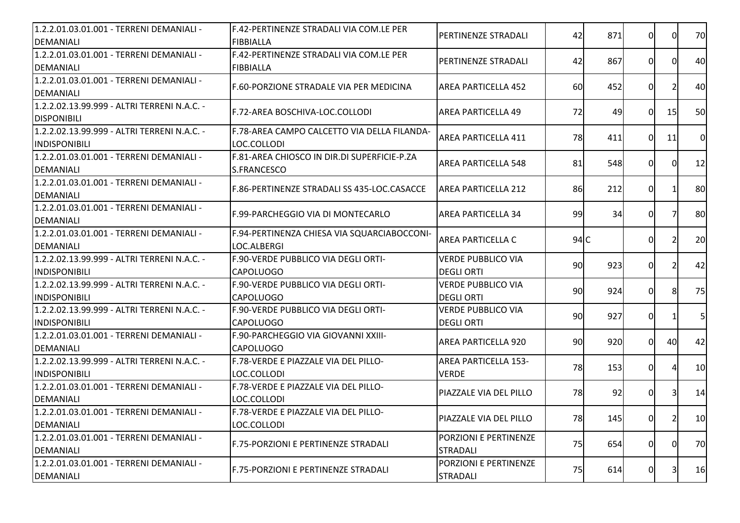| 1.2.2.01.03.01.001 - TERRENI DEMANIALI -<br>DEMANIALI               | F.42-PERTINENZE STRADALI VIA COM.LE PER<br><b>FIBBIALLA</b> | <b>PERTINENZE STRADALI</b>                     | 42  | 871 | 0              | 0I | 70             |
|---------------------------------------------------------------------|-------------------------------------------------------------|------------------------------------------------|-----|-----|----------------|----|----------------|
| 1.2.2.01.03.01.001 - TERRENI DEMANIALI -                            | F.42-PERTINENZE STRADALI VIA COM.LE PER                     |                                                |     |     |                |    |                |
| DEMANIALI                                                           | FIBBIALLA                                                   | <b>PERTINENZE STRADALI</b>                     | 42  | 867 | 0              | 0I | 40             |
| 1.2.2.01.03.01.001 - TERRENI DEMANIALI -<br>DEMANIALI               | F.60-PORZIONE STRADALE VIA PER MEDICINA                     | <b>AREA PARTICELLA 452</b>                     | 60  | 452 | ΟI             |    | 40             |
| 1.2.2.02.13.99.999 - ALTRI TERRENI N.A.C. -<br><b>DISPONIBILI</b>   | F.72-AREA BOSCHIVA-LOC.COLLODI                              | <b>AREA PARTICELLA 49</b>                      | 72  | 49  | 0I             | 15 | 50             |
| 1.2.2.02.13.99.999 - ALTRI TERRENI N.A.C. -<br><b>INDISPONIBILI</b> | F.78-AREA CAMPO CALCETTO VIA DELLA FILANDA-<br>LOC.COLLODI  | <b>AREA PARTICELLA 411</b>                     | 78  | 411 | ΩL             | 11 | $\overline{0}$ |
| 1.2.2.01.03.01.001 - TERRENI DEMANIALI -<br>DEMANIALI               | F.81-AREA CHIOSCO IN DIR.DI SUPERFICIE-P.ZA<br>S.FRANCESCO  | <b>AREA PARTICELLA 548</b>                     | 81  | 548 | 0I             | ΩI | 12             |
| 1.2.2.01.03.01.001 - TERRENI DEMANIALI -<br>DEMANIALI               | F.86-PERTINENZE STRADALI SS 435-LOC.CASACCE                 | <b>AREA PARTICELLA 212</b>                     | 86  | 212 | 0              |    | 80             |
| 1.2.2.01.03.01.001 - TERRENI DEMANIALI -<br>DEMANIALI               | F.99-PARCHEGGIO VIA DI MONTECARLO                           | AREA PARTICELLA 34                             | 99  | 34  | 0              |    | 80             |
| 1.2.2.01.03.01.001 - TERRENI DEMANIALI -<br>DEMANIALI               | F.94-PERTINENZA CHIESA VIA SQUARCIABOCCONI-<br>LOC.ALBERGI  | <b>AREA PARTICELLA C</b>                       | 94C |     | 0              |    | 20             |
| 1.2.2.02.13.99.999 - ALTRI TERRENI N.A.C. -<br><b>INDISPONIBILI</b> | F.90-VERDE PUBBLICO VIA DEGLI ORTI-<br><b>CAPOLUOGO</b>     | <b>VERDE PUBBLICO VIA</b><br><b>DEGLI ORTI</b> | 90  | 923 | 0              |    | 42             |
| 1.2.2.02.13.99.999 - ALTRI TERRENI N.A.C. -<br><b>INDISPONIBILI</b> | F.90-VERDE PUBBLICO VIA DEGLI ORTI-<br><b>CAPOLUOGO</b>     | <b>VERDE PUBBLICO VIA</b><br><b>DEGLI ORTI</b> | 90  | 924 | $\Omega$       |    | 75             |
| 1.2.2.02.13.99.999 - ALTRI TERRENI N.A.C. -<br><b>INDISPONIBILI</b> | F.90-VERDE PUBBLICO VIA DEGLI ORTI-<br><b>CAPOLUOGO</b>     | <b>VERDE PUBBLICO VIA</b><br><b>DEGLI ORTI</b> | 90  | 927 | 0              |    | 5 <sub>l</sub> |
| 1.2.2.01.03.01.001 - TERRENI DEMANIALI -<br>DEMANIALI               | F.90-PARCHEGGIO VIA GIOVANNI XXIII-<br><b>CAPOLUOGO</b>     | <b>AREA PARTICELLA 920</b>                     | 90  | 920 | 0I             | 40 | 42             |
| 1.2.2.02.13.99.999 - ALTRI TERRENI N.A.C. -<br><b>INDISPONIBILI</b> | F.78-VERDE E PIAZZALE VIA DEL PILLO-<br>LOC.COLLODI         | <b>AREA PARTICELLA 153-</b><br><b>VERDE</b>    | 78  | 153 | $\overline{0}$ |    | 10             |
| 1.2.2.01.03.01.001 - TERRENI DEMANIALI -<br>DEMANIALI               | F.78-VERDE E PIAZZALE VIA DEL PILLO-<br>LOC.COLLODI         | PIAZZALE VIA DEL PILLO                         | 78  | 92  | 0              |    | 14             |
| 1.2.2.01.03.01.001 - TERRENI DEMANIALI -<br><b>DEMANIALI</b>        | F.78-VERDE E PIAZZALE VIA DEL PILLO-<br>LOC.COLLODI         | PIAZZALE VIA DEL PILLO                         | 78  | 145 | 0              | 2  | 10             |
| 1.2.2.01.03.01.001 - TERRENI DEMANIALI -<br>DEMANIALI               | F.75-PORZIONI E PERTINENZE STRADALI                         | PORZIONI E PERTINENZE<br><b>STRADALI</b>       | 75  | 654 | $\overline{0}$ | 0I | 70             |
| 1.2.2.01.03.01.001 - TERRENI DEMANIALI -<br><b>DEMANIALI</b>        | F.75-PORZIONI E PERTINENZE STRADALI                         | PORZIONI E PERTINENZE<br><b>STRADALI</b>       | 75  | 614 | $\overline{0}$ | 3  | 16             |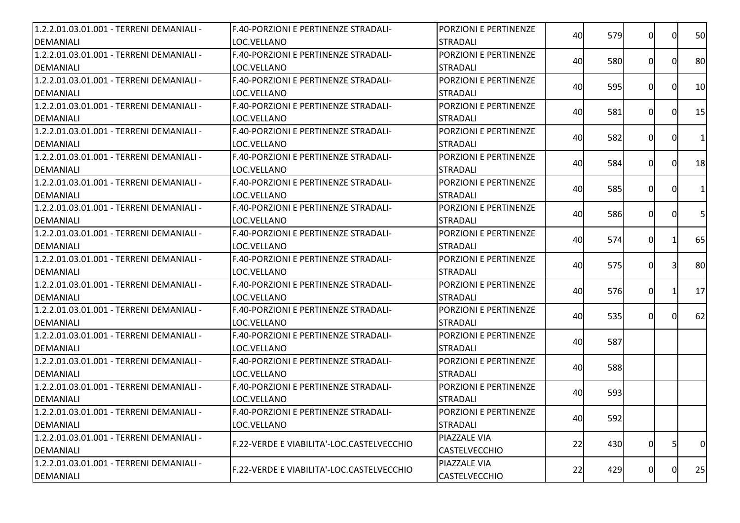| 1.2.2.01.03.01.001 - TERRENI DEMANIALI - | F.40-PORZIONI E PERTINENZE STRADALI-        | PORZIONI E PERTINENZE | 40 | 579        | ΩI       | $\Omega$     | 50             |
|------------------------------------------|---------------------------------------------|-----------------------|----|------------|----------|--------------|----------------|
| DEMANIALI                                | LOC.VELLANO                                 | <b>STRADALI</b>       |    |            |          |              |                |
| 1.2.2.01.03.01.001 - TERRENI DEMANIALI - | <b>F.40-PORZIONI E PERTINENZE STRADALI-</b> | PORZIONI E PERTINENZE | 40 | 580        | 0I       | 0l           | 80             |
| DEMANIALI                                | LOC.VELLANO                                 | <b>STRADALI</b>       |    |            |          |              |                |
| 1.2.2.01.03.01.001 - TERRENI DEMANIALI - | F.40-PORZIONI E PERTINENZE STRADALI-        | PORZIONI E PERTINENZE | 40 | 595        | 0        | $\Omega$     | 10             |
| DEMANIALI                                | LOC.VELLANO                                 | <b>STRADALI</b>       |    |            |          |              |                |
| 1.2.2.01.03.01.001 - TERRENI DEMANIALI - | F.40-PORZIONI E PERTINENZE STRADALI-        | PORZIONI E PERTINENZE | 40 | 581        | $\Omega$ | $\Omega$     | 15             |
| DEMANIALI                                | LOC.VELLANO                                 | <b>STRADALI</b>       |    |            |          |              |                |
| 1.2.2.01.03.01.001 - TERRENI DEMANIALI - | F.40-PORZIONI E PERTINENZE STRADALI-        | PORZIONI E PERTINENZE | 40 |            |          | 0l           | 1 <sup>1</sup> |
| DEMANIALI                                | LOC.VELLANO                                 | <b>STRADALI</b>       |    | 582        | ΩI       |              |                |
| 1.2.2.01.03.01.001 - TERRENI DEMANIALI - | F.40-PORZIONI E PERTINENZE STRADALI-        | PORZIONI E PERTINENZE |    |            |          | 0l           | 18             |
| DEMANIALI                                | LOC.VELLANO                                 | <b>STRADALI</b>       | 40 | 584        | 0I       |              |                |
| 1.2.2.01.03.01.001 - TERRENI DEMANIALI - | F.40-PORZIONI E PERTINENZE STRADALI-        | PORZIONI E PERTINENZE |    |            |          |              |                |
| <b>DEMANIALI</b>                         | LOC.VELLANO                                 | <b>STRADALI</b>       | 40 | 585        | 0I       | $\Omega$     | 1 <sup>1</sup> |
| 1.2.2.01.03.01.001 - TERRENI DEMANIALI - | F.40-PORZIONI E PERTINENZE STRADALI-        | PORZIONI E PERTINENZE |    |            |          |              |                |
| DEMANIALI                                | LOC.VELLANO                                 | <b>STRADALI</b>       | 40 | 586        | ΟI       | $\Omega$     | 5              |
| 1.2.2.01.03.01.001 - TERRENI DEMANIALI - | F.40-PORZIONI E PERTINENZE STRADALI-        | PORZIONI E PERTINENZE |    |            |          |              |                |
| DEMANIALI                                | LOC.VELLANO                                 | <b>STRADALI</b>       | 40 | 574        | ΟI       |              | 65             |
| 1.2.2.01.03.01.001 - TERRENI DEMANIALI - | F.40-PORZIONI E PERTINENZE STRADALI-        | PORZIONI E PERTINENZE |    |            |          |              |                |
| <b>DEMANIALI</b>                         | LOC.VELLANO                                 | <b>STRADALI</b>       | 40 | 575        | $\Omega$ |              | 80             |
| 1.2.2.01.03.01.001 - TERRENI DEMANIALI - | F.40-PORZIONI E PERTINENZE STRADALI-        | PORZIONI E PERTINENZE |    |            |          |              |                |
| DEMANIALI                                | LOC.VELLANO                                 | <b>STRADALI</b>       | 40 | <b>576</b> | 0I       |              | 17             |
| 1.2.2.01.03.01.001 - TERRENI DEMANIALI - | F.40-PORZIONI E PERTINENZE STRADALI-        | PORZIONI E PERTINENZE |    |            |          | <sup>0</sup> |                |
| DEMANIALI                                | LOC.VELLANO                                 | <b>STRADALI</b>       | 40 | 535        | ΩI       |              | 62             |
| 1.2.2.01.03.01.001 - TERRENI DEMANIALI - | F.40-PORZIONI E PERTINENZE STRADALI-        | PORZIONI E PERTINENZE |    |            |          |              |                |
| DEMANIALI                                | LOC.VELLANO                                 | <b>STRADALI</b>       | 40 | 587        |          |              |                |
| 1.2.2.01.03.01.001 - TERRENI DEMANIALI - | F.40-PORZIONI E PERTINENZE STRADALI-        | PORZIONI E PERTINENZE |    |            |          |              |                |
| DEMANIALI                                | LOC.VELLANO                                 | <b>STRADALI</b>       | 40 | 588        |          |              |                |
| 1.2.2.01.03.01.001 - TERRENI DEMANIALI - | F.40-PORZIONI E PERTINENZE STRADALI-        | PORZIONI E PERTINENZE |    |            |          |              |                |
| DEMANIALI                                | LOC.VELLANO                                 | <b>STRADALI</b>       | 40 | 593        |          |              |                |
| 1.2.2.01.03.01.001 - TERRENI DEMANIALI - | F.40-PORZIONI E PERTINENZE STRADALI-        | PORZIONI E PERTINENZE |    |            |          |              |                |
| DEMANIALI                                | LOC.VELLANO                                 | <b>STRADALI</b>       | 40 | 592        |          |              |                |
| 1.2.2.01.03.01.001 - TERRENI DEMANIALI - |                                             | PIAZZALE VIA          |    |            |          |              |                |
| <b>DEMANIALI</b>                         | F.22-VERDE E VIABILITA'-LOC.CASTELVECCHIO   | <b>CASTELVECCHIO</b>  | 22 | 430        | 0I       | 5            | 0              |
| 1.2.2.01.03.01.001 - TERRENI DEMANIALI - |                                             | PIAZZALE VIA          |    |            |          |              |                |
| DEMANIALI                                | F.22-VERDE E VIABILITA'-LOC.CASTELVECCHIO   | CASTELVECCHIO         | 22 | 429        | 01       | 0            | 25             |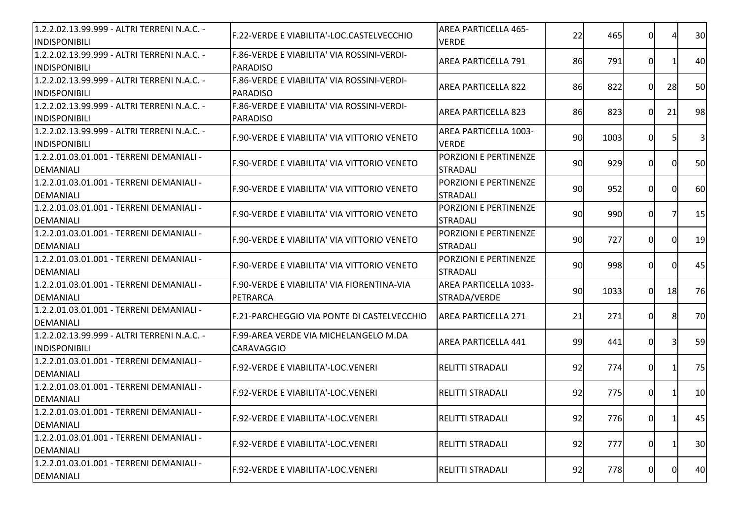| 1.2.2.02.13.99.999 - ALTRI TERRENI N.A.C. -<br><b>INDISPONIBILI</b> | F.22-VERDE E VIABILITA'-LOC.CASTELVECCHIO                  | <b>AREA PARTICELLA 465-</b><br><b>VERDE</b>  | 22 | 465  | 0              |          | 30 |
|---------------------------------------------------------------------|------------------------------------------------------------|----------------------------------------------|----|------|----------------|----------|----|
| 1.2.2.02.13.99.999 - ALTRI TERRENI N.A.C. -<br>INDISPONIBILI        | F.86-VERDE E VIABILITA' VIA ROSSINI-VERDI-<br>PARADISO     | <b>AREA PARTICELLA 791</b>                   | 86 | 791  | 0              |          | 40 |
| 1.2.2.02.13.99.999 - ALTRI TERRENI N.A.C. -<br>INDISPONIBILI        | F.86-VERDE E VIABILITA' VIA ROSSINI-VERDI-<br>PARADISO     | <b>AREA PARTICELLA 822</b>                   | 86 | 822  | 0I             | 28       | 50 |
| 1.2.2.02.13.99.999 - ALTRI TERRENI N.A.C. -<br>INDISPONIBILI        | F.86-VERDE E VIABILITA' VIA ROSSINI-VERDI-<br>PARADISO     | <b>AREA PARTICELLA 823</b>                   | 86 | 823  | 0I             | 21       | 98 |
| 1.2.2.02.13.99.999 - ALTRI TERRENI N.A.C. -<br>INDISPONIBILI        | F.90-VERDE E VIABILITA' VIA VITTORIO VENETO                | AREA PARTICELLA 1003-<br><b>VERDE</b>        | 90 | 1003 | 0I             |          | 3  |
| 1.2.2.01.03.01.001 - TERRENI DEMANIALI -<br>DEMANIALI               | F.90-VERDE E VIABILITA' VIA VITTORIO VENETO                | PORZIONI E PERTINENZE<br><b>STRADALI</b>     | 90 | 929  | $\overline{0}$ | $\Omega$ | 50 |
| 1.2.2.01.03.01.001 - TERRENI DEMANIALI -<br>DEMANIALI               | F.90-VERDE E VIABILITA' VIA VITTORIO VENETO                | PORZIONI E PERTINENZE<br><b>STRADALI</b>     | 90 | 952  | $\overline{0}$ | $\Omega$ | 60 |
| 1.2.2.01.03.01.001 - TERRENI DEMANIALI -<br>DEMANIALI               | F.90-VERDE E VIABILITA' VIA VITTORIO VENETO                | PORZIONI E PERTINENZE<br><b>STRADALI</b>     | 90 | 990  | $\overline{0}$ |          | 15 |
| 1.2.2.01.03.01.001 - TERRENI DEMANIALI -<br>DEMANIALI               | F.90-VERDE E VIABILITA' VIA VITTORIO VENETO                | PORZIONI E PERTINENZE<br><b>STRADALI</b>     | 90 | 727  | $\Omega$       | ΩI       | 19 |
| 1.2.2.01.03.01.001 - TERRENI DEMANIALI -<br>DEMANIALI               | F.90-VERDE E VIABILITA' VIA VITTORIO VENETO                | PORZIONI E PERTINENZE<br><b>STRADALI</b>     | 90 | 998  | $\Omega$       |          | 45 |
| 1.2.2.01.03.01.001 - TERRENI DEMANIALI -<br>DEMANIALI               | F.90-VERDE E VIABILITA' VIA FIORENTINA-VIA<br>PETRARCA     | <b>AREA PARTICELLA 1033-</b><br>STRADA/VERDE | 90 | 1033 | 0I             | 18       | 76 |
| 1.2.2.01.03.01.001 - TERRENI DEMANIALI -<br>DEMANIALI               | F.21-PARCHEGGIO VIA PONTE DI CASTELVECCHIO                 | <b>AREA PARTICELLA 271</b>                   | 21 | 271  | $\Omega$       | 8        | 70 |
| 1.2.2.02.13.99.999 - ALTRI TERRENI N.A.C. -<br><b>INDISPONIBILI</b> | F.99-AREA VERDE VIA MICHELANGELO M.DA<br><b>CARAVAGGIO</b> | <b>AREA PARTICELLA 441</b>                   | 99 | 441  | 0              | 31       | 59 |
| 1.2.2.01.03.01.001 - TERRENI DEMANIALI -<br>DEMANIALI               | IF.92-VERDE E VIABILITA'-LOC.VENERI                        | <b>RELITTI STRADALI</b>                      | 92 | 774  | $\overline{0}$ |          | 75 |
| 1.2.2.01.03.01.001 - TERRENI DEMANIALI -<br>DEMANIALI               | <b>F.92-VERDE E VIABILITA'-LOC.VENERI</b>                  | <b>RELITTI STRADALI</b>                      | 92 | 775  | 0              |          | 10 |
| 1.2.2.01.03.01.001 - TERRENI DEMANIALI -<br>DEMANIALI               | <b>F.92-VERDE E VIABILITA'-LOC.VENERI</b>                  | RELITTI STRADALI                             | 92 | 776  | 0I             |          | 45 |
| 1.2.2.01.03.01.001 - TERRENI DEMANIALI -<br>DEMANIALI               | F.92-VERDE E VIABILITA'-LOC.VENERI                         | <b>RELITTI STRADALI</b>                      | 92 | 777  | $\overline{0}$ |          | 30 |
| 1.2.2.01.03.01.001 - TERRENI DEMANIALI -<br>DEMANIALI               | F.92-VERDE E VIABILITA'-LOC.VENERI                         | <b>RELITTI STRADALI</b>                      | 92 | 778  | $\overline{0}$ | 0        | 40 |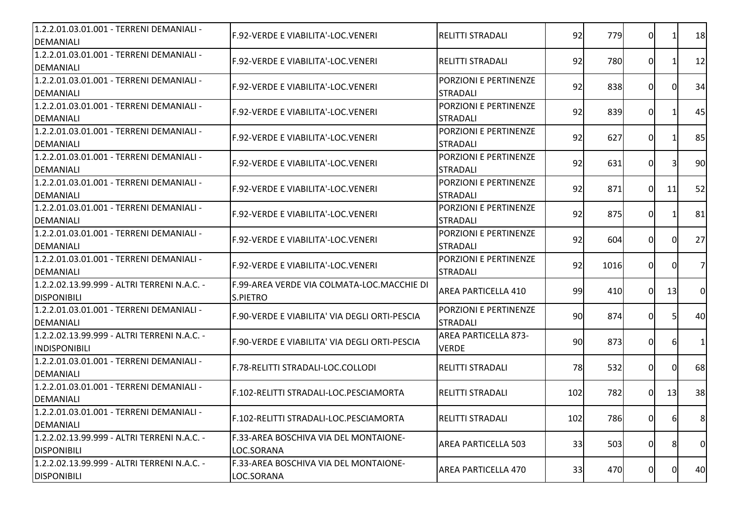| 1.2.2.01.03.01.001 - TERRENI DEMANIALI -<br><b>DEMANIALI</b>        | <b>IF.92-VERDE E VIABILITA'-LOC.VENERI</b>                    | <b>RELITTI STRADALI</b>                         | 92  | 779  | 0              |    | 18             |
|---------------------------------------------------------------------|---------------------------------------------------------------|-------------------------------------------------|-----|------|----------------|----|----------------|
| 1.2.2.01.03.01.001 - TERRENI DEMANIALI -<br><b>DEMANIALI</b>        | F.92-VERDE E VIABILITA'-LOC.VENERI                            | <b>RELITTI STRADALI</b>                         | 92  | 780  | 0              |    | 12             |
| 1.2.2.01.03.01.001 - TERRENI DEMANIALI -<br><b>DEMANIALI</b>        | F.92-VERDE E VIABILITA'-LOC.VENERI                            | PORZIONI E PERTINENZE<br><b>STRADALI</b>        | 92  | 838  | 0              |    | 34             |
| 1.2.2.01.03.01.001 - TERRENI DEMANIALI -<br><b>DEMANIALI</b>        | F.92-VERDE E VIABILITA'-LOC.VENERI                            | <b>PORZIONI E PERTINENZE</b><br><b>STRADALI</b> | 92  | 839  | $\overline{0}$ |    | 45             |
| 1.2.2.01.03.01.001 - TERRENI DEMANIALI -<br><b>DEMANIALI</b>        | F.92-VERDE E VIABILITA'-LOC.VENERI                            | PORZIONI E PERTINENZE<br><b>STRADALI</b>        | 92  | 627  | $\Omega$       |    | 85             |
| 1.2.2.01.03.01.001 - TERRENI DEMANIALI -<br><b>DEMANIALI</b>        | F.92-VERDE E VIABILITA'-LOC.VENERI                            | PORZIONI E PERTINENZE<br><b>STRADALI</b>        | 92  | 631  | $\overline{0}$ |    | 90             |
| 1.2.2.01.03.01.001 - TERRENI DEMANIALI -<br><b>DEMANIALI</b>        | F.92-VERDE E VIABILITA'-LOC.VENERI                            | PORZIONI E PERTINENZE<br><b>STRADALI</b>        | 92  | 871  | $\Omega$       | 11 | 52             |
| 1.2.2.01.03.01.001 - TERRENI DEMANIALI -<br><b>DEMANIALI</b>        | <b>IF.92-VERDE E VIABILITA'-LOC.VENERI</b>                    | PORZIONI E PERTINENZE<br><b>STRADALI</b>        | 92  | 875  | 0              |    | 81             |
| 1.2.2.01.03.01.001 - TERRENI DEMANIALI -<br><b>DEMANIALI</b>        | <b>IF.92-VERDE E VIABILITA'-LOC.VENERI</b>                    | PORZIONI E PERTINENZE<br><b>STRADALI</b>        | 92  | 604  | $\Omega$       | 0  | 27             |
| 1.2.2.01.03.01.001 - TERRENI DEMANIALI -<br><b>DEMANIALI</b>        | F.92-VERDE E VIABILITA'-LOC.VENERI                            | PORZIONI E PERTINENZE<br><b>STRADALI</b>        | 92  | 1016 | $\Omega$       |    | 7              |
| 1.2.2.02.13.99.999 - ALTRI TERRENI N.A.C. -<br><b>DISPONIBILI</b>   | F.99-AREA VERDE VIA COLMATA-LOC.MACCHIE DI<br><b>S.PIETRO</b> | <b>AREA PARTICELLA 410</b>                      | 99  | 410  | 0I             | 13 | $\overline{0}$ |
| 1.2.2.01.03.01.001 - TERRENI DEMANIALI -<br><b>DEMANIALI</b>        | F.90-VERDE E VIABILITA' VIA DEGLI ORTI-PESCIA                 | PORZIONI E PERTINENZE<br><b>STRADALI</b>        | 90  | 874  | 0I             |    | 40             |
| 1.2.2.02.13.99.999 - ALTRI TERRENI N.A.C. -<br><b>INDISPONIBILI</b> | F.90-VERDE E VIABILITA' VIA DEGLI ORTI-PESCIA                 | <b>AREA PARTICELLA 873-</b><br><b>VERDE</b>     | 90  | 873  | $\overline{0}$ | 61 | $\mathbf{1}$   |
| 1.2.2.01.03.01.001 - TERRENI DEMANIALI -<br><b>DEMANIALI</b>        | F.78-RELITTI STRADALI-LOC.COLLODI                             | <b>IRELITTI STRADALI</b>                        | 78  | 532  | $\overline{0}$ | 0I | 68             |
| 1.2.2.01.03.01.001 - TERRENI DEMANIALI -<br><b>DEMANIALI</b>        | F.102-RELITTI STRADALI-LOC.PESCIAMORTA                        | RELITTI STRADALI                                | 102 | 782  | $\Omega$       | 13 | 38             |
| 1.2.2.01.03.01.001 - TERRENI DEMANIALI -<br><b>DEMANIALI</b>        | IF.102-RELITTI STRADALI-LOC.PESCIAMORTA                       | RELITTI STRADALI                                | 102 | 786  | 0I             | 61 | 8              |
| 1.2.2.02.13.99.999 - ALTRI TERRENI N.A.C. -<br><b>DISPONIBILI</b>   | F.33-AREA BOSCHIVA VIA DEL MONTAIONE-<br>LOC.SORANA           | AREA PARTICELLA 503                             | 33  | 503  | $\overline{0}$ | 8  | $\overline{0}$ |
| 1.2.2.02.13.99.999 - ALTRI TERRENI N.A.C. -<br><b>DISPONIBILI</b>   | F.33-AREA BOSCHIVA VIA DEL MONTAIONE-<br>LOC.SORANA           | AREA PARTICELLA 470                             | 33  | 470  | $\overline{0}$ | 01 | 40             |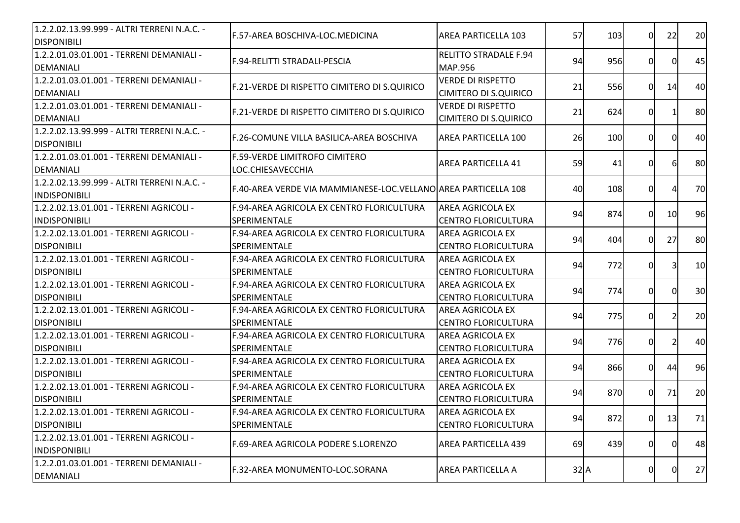| 1.2.2.02.13.99.999 - ALTRI TERRENI N.A.C. -<br><b>DISPONIBILI</b>   | F.57-AREA BOSCHIVA-LOC.MEDICINA                                   | AREA PARTICELLA 103                                      | 57       | 103 | $\Omega$       | 22             | 20 |
|---------------------------------------------------------------------|-------------------------------------------------------------------|----------------------------------------------------------|----------|-----|----------------|----------------|----|
| 1.2.2.01.03.01.001 - TERRENI DEMANIALI -<br><b>DEMANIALI</b>        | F.94-RELITTI STRADALI-PESCIA                                      | <b>RELITTO STRADALE F.94</b><br><b>MAP.956</b>           | 94       | 956 | 0              | 0              | 45 |
| 1.2.2.01.03.01.001 - TERRENI DEMANIALI -<br><b>DEMANIALI</b>        | F.21-VERDE DI RISPETTO CIMITERO DI S.QUIRICO                      | <b>VERDE DI RISPETTO</b><br><b>CIMITERO DI S.QUIRICO</b> | 21       | 556 | $\Omega$       | 14             | 40 |
| 1.2.2.01.03.01.001 - TERRENI DEMANIALI -<br><b>DEMANIALI</b>        | F.21-VERDE DI RISPETTO CIMITERO DI S.QUIRICO                      | <b>VERDE DI RISPETTO</b><br><b>CIMITERO DI S.QUIRICO</b> | 21       | 624 | 0I             |                | 80 |
| 1.2.2.02.13.99.999 - ALTRI TERRENI N.A.C. -<br><b>DISPONIBILI</b>   | F.26-COMUNE VILLA BASILICA-AREA BOSCHIVA                          | <b>AREA PARTICELLA 100</b>                               | 26       | 100 | ΩI             | $\Omega$       | 40 |
| 1.2.2.01.03.01.001 - TERRENI DEMANIALI -<br><b>DEMANIALI</b>        | <b>F.59-VERDE LIMITROFO CIMITERO</b><br>LOC.CHIESAVECCHIA         | <b>AREA PARTICELLA 41</b>                                | 59       | 41  | 0              | 61             | 80 |
| 1.2.2.02.13.99.999 - ALTRI TERRENI N.A.C. -<br><b>INDISPONIBILI</b> | F.40-AREA VERDE VIA MAMMIANESE-LOC.VELLANO AREA PARTICELLA 108    |                                                          | 40       | 108 | 0              |                | 70 |
| 1.2.2.02.13.01.001 - TERRENI AGRICOLI -<br><b>INDISPONIBILI</b>     | F.94-AREA AGRICOLA EX CENTRO FLORICULTURA<br><b>SPERIMENTALE</b>  | <b>AREA AGRICOLA EX</b><br><b>CENTRO FLORICULTURA</b>    | 94       | 874 | 0I             | 10             | 96 |
| 1.2.2.02.13.01.001 - TERRENI AGRICOLI -<br><b>DISPONIBILI</b>       | F.94-AREA AGRICOLA EX CENTRO FLORICULTURA<br><b>SPERIMENTALE</b>  | <b>AREA AGRICOLA EX</b><br><b>CENTRO FLORICULTURA</b>    | 94       | 404 | 0I             | 27             | 80 |
| 1.2.2.02.13.01.001 - TERRENI AGRICOLI -<br><b>DISPONIBILI</b>       | F.94-AREA AGRICOLA EX CENTRO FLORICULTURA<br><b>ISPERIMENTALE</b> | <b>AREA AGRICOLA EX</b><br><b> CENTRO FLORICULTURA</b>   | 94       | 772 | $\Omega$       |                | 10 |
| 1.2.2.02.13.01.001 - TERRENI AGRICOLI -<br><b>DISPONIBILI</b>       | F.94-AREA AGRICOLA EX CENTRO FLORICULTURA<br><b>SPERIMENTALE</b>  | <b>AREA AGRICOLA EX</b><br><b> CENTRO FLORICULTURA</b>   | 94       | 774 | $\Omega$       | ΩI             | 30 |
| 1.2.2.02.13.01.001 - TERRENI AGRICOLI -<br><b>DISPONIBILI</b>       | F.94-AREA AGRICOLA EX CENTRO FLORICULTURA<br><b>SPERIMENTALE</b>  | <b>AREA AGRICOLA EX</b><br><b>CENTRO FLORICULTURA</b>    | 94       | 775 | 0              |                | 20 |
| 1.2.2.02.13.01.001 - TERRENI AGRICOLI -<br><b>DISPONIBILI</b>       | F.94-AREA AGRICOLA EX CENTRO FLORICULTURA<br>SPERIMENTALE         | <b>AREA AGRICOLA EX</b><br><b>CENTRO FLORICULTURA</b>    | 94       | 776 | 0              | $\overline{2}$ | 40 |
| 1.2.2.02.13.01.001 - TERRENI AGRICOLI -<br><b>DISPONIBILI</b>       | F.94-AREA AGRICOLA EX CENTRO FLORICULTURA<br>SPERIMENTALE         | <b>AREA AGRICOLA EX</b><br><b>CENTRO FLORICULTURA</b>    | 94       | 866 | $\overline{0}$ | 44             | 96 |
| 1.2.2.02.13.01.001 - TERRENI AGRICOLI -<br><b>DISPONIBILI</b>       | F.94-AREA AGRICOLA EX CENTRO FLORICULTURA<br><b>SPERIMENTALE</b>  | <b>AREA AGRICOLA EX</b><br><b>CENTRO FLORICULTURA</b>    | 94       | 870 | 0I             | 71             | 20 |
| 1.2.2.02.13.01.001 - TERRENI AGRICOLI -<br><b>DISPONIBILI</b>       | F.94-AREA AGRICOLA EX CENTRO FLORICULTURA<br>SPERIMENTALE         | <b>AREA AGRICOLA EX</b><br><b>CENTRO FLORICULTURA</b>    | 94       | 872 | 01             | 13             | 71 |
| 1.2.2.02.13.01.001 - TERRENI AGRICOLI -<br><b>INDISPONIBILI</b>     | F.69-AREA AGRICOLA PODERE S.LORENZO                               | <b>AREA PARTICELLA 439</b>                               | 69       | 439 | $\overline{0}$ | 0I             | 48 |
| 1.2.2.01.03.01.001 - TERRENI DEMANIALI -<br><b>DEMANIALI</b>        | F.32-AREA MONUMENTO-LOC.SORANA                                    | <b>AREA PARTICELLA A</b>                                 | $32$ $A$ |     | $\overline{0}$ | 0              | 27 |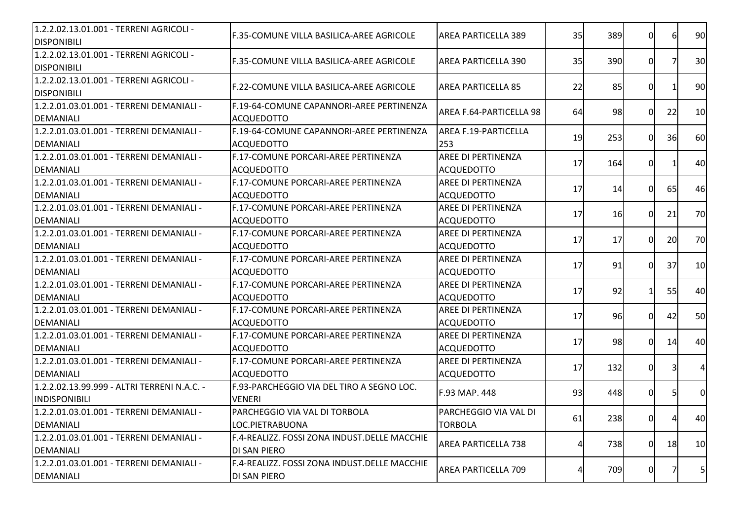| 1.2.2.02.13.01.001 - TERRENI AGRICOLI -<br><b>DISPONIBILI</b> | F.35-COMUNE VILLA BASILICA-AREE AGRICOLE                            | <b>AREA PARTICELLA 389</b>                     | 35 | 389 | $\Omega$ | 61        | 90             |
|---------------------------------------------------------------|---------------------------------------------------------------------|------------------------------------------------|----|-----|----------|-----------|----------------|
| 1.2.2.02.13.01.001 - TERRENI AGRICOLI -<br><b>DISPONIBILI</b> | F.35-COMUNE VILLA BASILICA-AREE AGRICOLE                            | AREA PARTICELLA 390                            | 35 | 390 | 0l       | 71        | 30             |
| 1.2.2.02.13.01.001 - TERRENI AGRICOLI -<br><b>DISPONIBILI</b> | F.22-COMUNE VILLA BASILICA-AREE AGRICOLE                            | <b>AREA PARTICELLA 85</b>                      | 22 | 85  | ΩI       |           | 90             |
| 1.2.2.01.03.01.001 - TERRENI DEMANIALI -<br>DEMANIALI         | F.19-64-COMUNE CAPANNORI-AREE PERTINENZA<br><b>ACQUEDOTTO</b>       | AREA F.64-PARTICELLA 98                        | 64 | 98  | 0l       | 22        | 10             |
| 1.2.2.01.03.01.001 - TERRENI DEMANIALI -<br>DEMANIALI         | F.19-64-COMUNE CAPANNORI-AREE PERTINENZA<br><b>ACOUEDOTTO</b>       | AREA F.19-PARTICELLA<br>253                    | 19 | 253 | ΩI       | 36        | 60             |
| 1.2.2.01.03.01.001 - TERRENI DEMANIALI -<br><b>DEMANIALI</b>  | F.17-COMUNE PORCARI-AREE PERTINENZA<br><b>ACQUEDOTTO</b>            | <b>AREE DI PERTINENZA</b><br><b>ACQUEDOTTO</b> | 17 | 164 | $\Omega$ |           | 40             |
| 1.2.2.01.03.01.001 - TERRENI DEMANIALI -<br>DEMANIALI         | F.17-COMUNE PORCARI-AREE PERTINENZA<br><b>ACQUEDOTTO</b>            | AREE DI PERTINENZA<br><b>ACQUEDOTTO</b>        | 17 | 14  | $\Omega$ | 65        | 46             |
| 1.2.2.01.03.01.001 - TERRENI DEMANIALI -<br>DEMANIALI         | F.17-COMUNE PORCARI-AREE PERTINENZA<br><b>ACQUEDOTTO</b>            | <b>AREE DI PERTINENZA</b><br>ACQUEDOTTO        | 17 | 16  | 0l       | 21        | 70             |
| 1.2.2.01.03.01.001 - TERRENI DEMANIALI -<br>DEMANIALI         | F.17-COMUNE PORCARI-AREE PERTINENZA<br>ACQUEDOTTO                   | AREE DI PERTINENZA<br><b>ACQUEDOTTO</b>        | 17 | 17  | 0l       | <b>20</b> | 70             |
| 1.2.2.01.03.01.001 - TERRENI DEMANIALI -<br>DEMANIALI         | <b>IF.17-COMUNE PORCARI-AREE PERTINENZA</b><br>ACQUEDOTTO           | AREE DI PERTINENZA<br>ACQUEDOTTO               | 17 | 91  | ΩI       | 37        | 10             |
| 1.2.2.01.03.01.001 - TERRENI DEMANIALI -<br>DEMANIALI         | F.17-COMUNE PORCARI-AREE PERTINENZA<br><b>ACQUEDOTTO</b>            | <b>AREE DI PERTINENZA</b><br>ACQUEDOTTO        | 17 | 92  |          | 55        | 40             |
| 1.2.2.01.03.01.001 - TERRENI DEMANIALI -<br>DEMANIALI         | F.17-COMUNE PORCARI-AREE PERTINENZA<br><b>ACQUEDOTTO</b>            | <b>AREE DI PERTINENZA</b><br><b>ACQUEDOTTO</b> | 17 | 96  | 0l       | 42        | 50             |
| 1.2.2.01.03.01.001 - TERRENI DEMANIALI -<br>DEMANIALI         | F.17-COMUNE PORCARI-AREE PERTINENZA<br><b>ACQUEDOTTO</b>            | AREE DI PERTINENZA<br><b>ACQUEDOTTO</b>        | 17 | 98  | $\Omega$ | 14        | 40             |
| 1.2.2.01.03.01.001 - TERRENI DEMANIALI -<br>DEMANIALI         | F.17-COMUNE PORCARI-AREE PERTINENZA<br><b>ACQUEDOTTO</b>            | <b>AREE DI PERTINENZA</b><br>ACQUEDOTTO        | 17 | 132 | 0        | 31        | $\overline{4}$ |
| 1.2.2.02.13.99.999 - ALTRI TERRENI N.A.C. -<br>INDISPONIBILI  | F.93-PARCHEGGIO VIA DEL TIRO A SEGNO LOC.<br><b>VENERI</b>          | F.93 MAP. 448                                  | 93 | 448 | 01       | 51        | $\overline{0}$ |
| 1.2.2.01.03.01.001 - TERRENI DEMANIALI -<br>DEMANIALI         | PARCHEGGIO VIA VAL DI TORBOLA<br>LOC.PIETRABUONA                    | PARCHEGGIO VIA VAL DI<br><b>TORBOLA</b>        | 61 | 238 | OI       | 4         | 40             |
| 1.2.2.01.03.01.001 - TERRENI DEMANIALI -<br><b>DEMANIALI</b>  | F.4-REALIZZ. FOSSI ZONA INDUST.DELLE MACCHIE<br>DI SAN PIERO        | <b>AREA PARTICELLA 738</b>                     | Δ  | 738 | $\Omega$ | 18        | 10             |
| 1.2.2.01.03.01.001 - TERRENI DEMANIALI -<br>DEMANIALI         | F.4-REALIZZ. FOSSI ZONA INDUST.DELLE MACCHIE<br><b>DI SAN PIERO</b> | <b>AREA PARTICELLA 709</b>                     | 4  | 709 | 0        |           | 5 <sup>1</sup> |